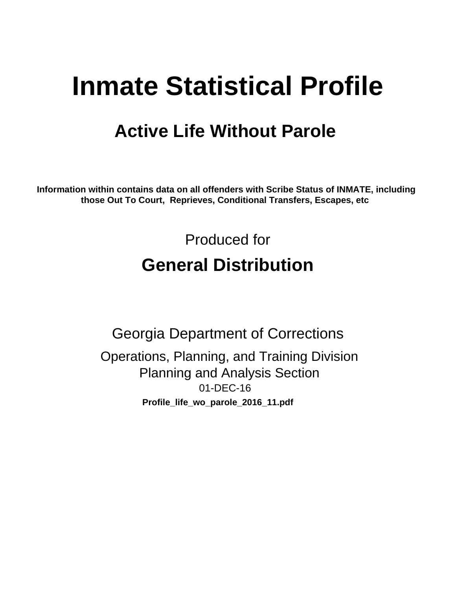# **Inmate Statistical Profile**

# **Active Life Without Parole**

Information within contains data on all offenders with Scribe Status of INMATE, including those Out To Court, Reprieves, Conditional Transfers, Escapes, etc

> Produced for **General Distribution**

**Georgia Department of Corrections** Operations, Planning, and Training Division **Planning and Analysis Section** 01-DEC-16 Profile\_life\_wo\_parole\_2016\_11.pdf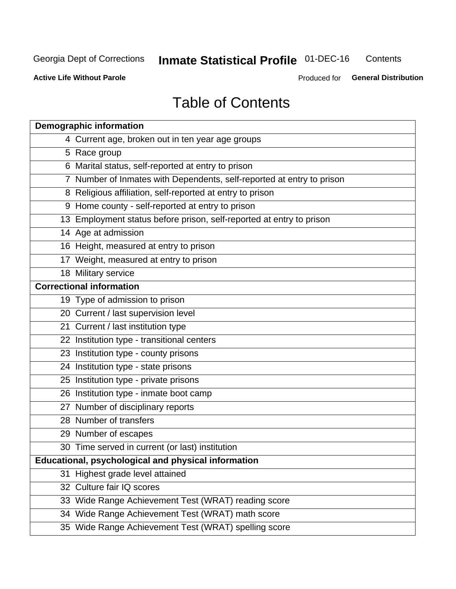#### **Inmate Statistical Profile 01-DEC-16** Contents

**Active Life Without Parole** 

Produced for General Distribution

# **Table of Contents**

|    | <b>Demographic information</b>                                        |
|----|-----------------------------------------------------------------------|
|    | 4 Current age, broken out in ten year age groups                      |
|    | 5 Race group                                                          |
|    | 6 Marital status, self-reported at entry to prison                    |
|    | 7 Number of Inmates with Dependents, self-reported at entry to prison |
|    | 8 Religious affiliation, self-reported at entry to prison             |
|    | 9 Home county - self-reported at entry to prison                      |
|    | 13 Employment status before prison, self-reported at entry to prison  |
|    | 14 Age at admission                                                   |
|    | 16 Height, measured at entry to prison                                |
|    | 17 Weight, measured at entry to prison                                |
|    | 18 Military service                                                   |
|    | <b>Correctional information</b>                                       |
|    | 19 Type of admission to prison                                        |
|    | 20 Current / last supervision level                                   |
|    | 21 Current / last institution type                                    |
|    | 22 Institution type - transitional centers                            |
|    | 23 Institution type - county prisons                                  |
|    | 24 Institution type - state prisons                                   |
|    | 25 Institution type - private prisons                                 |
|    | 26 Institution type - inmate boot camp                                |
|    | 27 Number of disciplinary reports                                     |
|    | 28 Number of transfers                                                |
|    | 29 Number of escapes                                                  |
|    | 30 Time served in current (or last) institution                       |
|    | Educational, psychological and physical information                   |
| 31 | Highest grade level attained                                          |
|    | 32 Culture fair IQ scores                                             |
|    | 33 Wide Range Achievement Test (WRAT) reading score                   |
|    | 34 Wide Range Achievement Test (WRAT) math score                      |
|    | 35 Wide Range Achievement Test (WRAT) spelling score                  |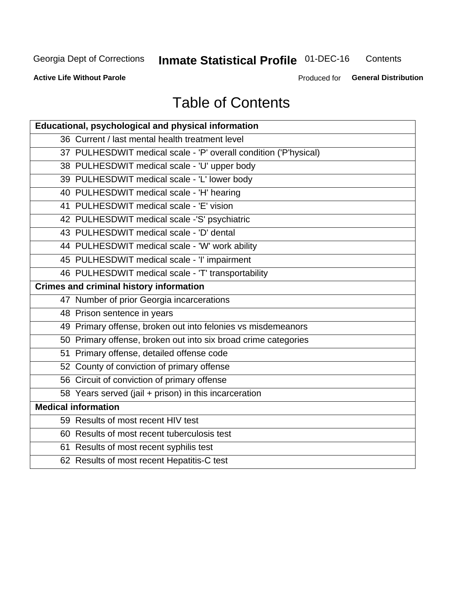# **Inmate Statistical Profile 01-DEC-16**

Contents

**Active Life Without Parole** 

Produced for General Distribution

# **Table of Contents**

| Educational, psychological and physical information              |
|------------------------------------------------------------------|
| 36 Current / last mental health treatment level                  |
| 37 PULHESDWIT medical scale - 'P' overall condition ('P'hysical) |
| 38 PULHESDWIT medical scale - 'U' upper body                     |
| 39 PULHESDWIT medical scale - 'L' lower body                     |
| 40 PULHESDWIT medical scale - 'H' hearing                        |
| 41 PULHESDWIT medical scale - 'E' vision                         |
| 42 PULHESDWIT medical scale -'S' psychiatric                     |
| 43 PULHESDWIT medical scale - 'D' dental                         |
| 44 PULHESDWIT medical scale - 'W' work ability                   |
| 45 PULHESDWIT medical scale - 'I' impairment                     |
| 46 PULHESDWIT medical scale - 'T' transportability               |
| <b>Crimes and criminal history information</b>                   |
| 47 Number of prior Georgia incarcerations                        |
| 48 Prison sentence in years                                      |
| 49 Primary offense, broken out into felonies vs misdemeanors     |
| 50 Primary offense, broken out into six broad crime categories   |
| 51 Primary offense, detailed offense code                        |
| 52 County of conviction of primary offense                       |
| 56 Circuit of conviction of primary offense                      |
| 58 Years served (jail + prison) in this incarceration            |
| <b>Medical information</b>                                       |
| 59 Results of most recent HIV test                               |
| 60 Results of most recent tuberculosis test                      |
| 61 Results of most recent syphilis test                          |
| 62 Results of most recent Hepatitis-C test                       |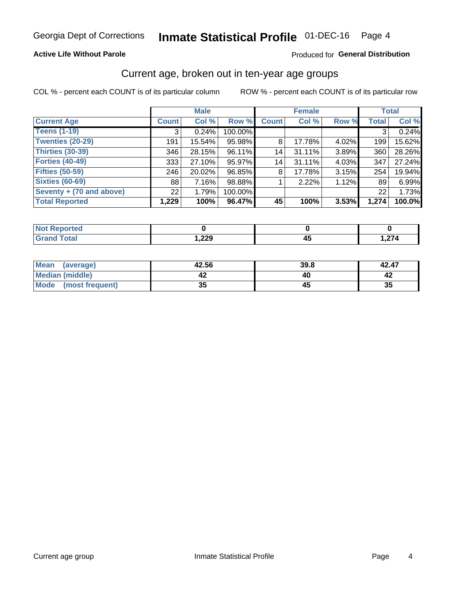### **Active Life Without Parole**

### Produced for General Distribution

# Current age, broken out in ten-year age groups

COL % - percent each COUNT is of its particular column

|                          |                 | <b>Male</b> |         |              | <b>Female</b> |       |              | <b>Total</b> |
|--------------------------|-----------------|-------------|---------|--------------|---------------|-------|--------------|--------------|
| <b>Current Age</b>       | <b>Count</b>    | Col %       | Row %   | <b>Count</b> | Col %         | Row % | <b>Total</b> | Col %        |
| <b>Teens (1-19)</b>      | 3               | 0.24%       | 100.00% |              |               |       | 3            | 0.24%        |
| <b>Twenties (20-29)</b>  | 191             | 15.54%      | 95.98%  | 8            | 17.78%        | 4.02% | 199          | 15.62%       |
| Thirties (30-39)         | 346             | 28.15%      | 96.11%  | 14           | 31.11%        | 3.89% | 360          | 28.26%       |
| <b>Forties (40-49)</b>   | 333             | 27.10%      | 95.97%  | 14           | 31.11%        | 4.03% | 347          | 27.24%       |
| <b>Fifties (50-59)</b>   | 246             | 20.02%      | 96.85%  | 8            | 17.78%        | 3.15% | 254          | 19.94%       |
| <b>Sixties (60-69)</b>   | 88              | 7.16%       | 98.88%  |              | 2.22%         | 1.12% | 89           | 6.99%        |
| Seventy + (70 and above) | 22 <sub>1</sub> | 1.79%       | 100.00% |              |               |       | 22           | 1.73%        |
| <b>Total Reported</b>    | 1,229           | 100%        | 96.47%  | 45           | 100%          | 3.53% | 1,274        | 100.0%       |

| <b><i>Contractory</i></b><br>m.<br>теп |               |        |
|----------------------------------------|---------------|--------|
| $f \wedge f \wedge f$                  | າາດ<br>322, ا | $\sim$ |

| Mean<br>(average)       | 42.56    | 39.8 | 42.47 |
|-------------------------|----------|------|-------|
| Median (middle)         |          |      |       |
| Mode<br>(most frequent) | つん<br>vu |      | 35    |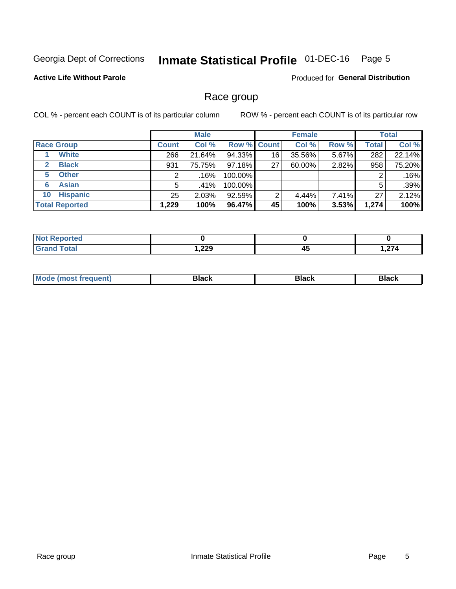#### **Inmate Statistical Profile 01-DEC-16** Page 5

## **Active Life Without Parole**

Produced for General Distribution

# Race group

COL % - percent each COUNT is of its particular column

|                              | <b>Male</b>  |        |                    | <b>Female</b> |        |       | <b>Total</b> |        |
|------------------------------|--------------|--------|--------------------|---------------|--------|-------|--------------|--------|
| <b>Race Group</b>            | <b>Count</b> | Col %  | <b>Row % Count</b> |               | Col %  | Row % | <b>Total</b> | Col %  |
| <b>White</b>                 | 266          | 21.64% | 94.33%             | 16            | 35.56% | 5.67% | 282          | 22.14% |
| <b>Black</b><br>$\mathbf{2}$ | 931          | 75.75% | 97.18%             | 27            | 60.00% | 2.82% | 958          | 75.20% |
| <b>Other</b><br>5.           |              | .16%   | 100.00%            |               |        |       | 2            | .16%   |
| <b>Asian</b><br>6            | 5            | .41%   | 100.00%            |               |        |       | 5            | .39%   |
| <b>Hispanic</b><br>10        | 25           | 2.03%  | 92.59%             | 2             | 4.44%  | 7.41% | 27           | 2.12%  |
| <b>Total Reported</b>        | 1,229        | 100%   | 96.47%             | 45            | 100%   | 3.53% | 1,274        | 100%   |

| rted         |             |    |                           |
|--------------|-------------|----|---------------------------|
| <b>Total</b> | າາດ<br>322, | 45 | $\sim$ $\sim$ $\sim$<br>, |

| M |  |  |
|---|--|--|
|   |  |  |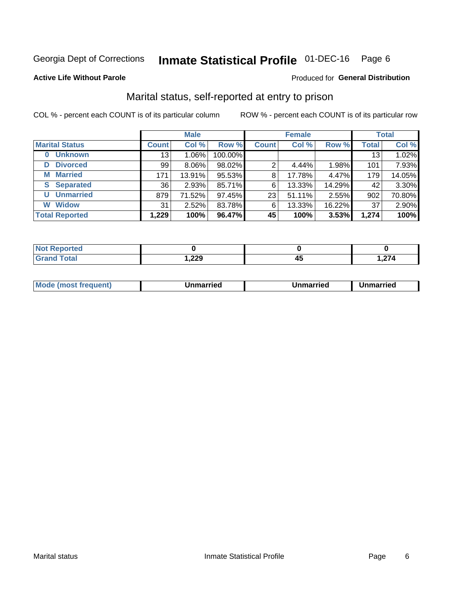#### **Inmate Statistical Profile 01-DEC-16** Page 6

### **Active Life Without Parole**

### Produced for General Distribution

# Marital status, self-reported at entry to prison

COL % - percent each COUNT is of its particular column

|                            |              | <b>Male</b> |         |              | <b>Female</b> |        |              | <b>Total</b> |
|----------------------------|--------------|-------------|---------|--------------|---------------|--------|--------------|--------------|
| <b>Marital Status</b>      | <b>Count</b> | Col %       | Row %   | <b>Count</b> | Col %         | Row %  | <b>Total</b> | Col %        |
| <b>Unknown</b><br>$\bf{0}$ | 13           | $1.06\%$    | 100.00% |              |               |        | 13           | 1.02%        |
| <b>Divorced</b><br>D       | 99           | $8.06\%$    | 98.02%  | 2            | 4.44%         | 1.98%  | 101          | 7.93%        |
| <b>Married</b><br>М        | 171          | 13.91%      | 95.53%  | 8            | 17.78%        | 4.47%  | 179          | 14.05%       |
| <b>Separated</b><br>S      | 36           | 2.93%       | 85.71%  | 6            | 13.33%        | 14.29% | 42           | 3.30%        |
| <b>Unmarried</b><br>U      | 879          | 71.52%      | 97.45%  | 23           | 51.11%        | 2.55%  | 902          | 70.80%       |
| <b>Widow</b><br>W          | 31           | 2.52%       | 83.78%  | 6            | 13.33%        | 16.22% | 37           | 2.90%        |
| <b>Total Reported</b>      | 1,229        | 100%        | 96.47%  | 45           | 100%          | 3.53%  | 1,274        | 100%         |

| Reported<br>INOT F<br>. . <b>. .</b> |        |                        |
|--------------------------------------|--------|------------------------|
| Гоtal                                | 229, ، | $\sim$<br>. <i>. .</i> |

|  | <b>Mode</b><br>(most frequent) | Jnmarried | Unmarried | Unmarried |
|--|--------------------------------|-----------|-----------|-----------|
|--|--------------------------------|-----------|-----------|-----------|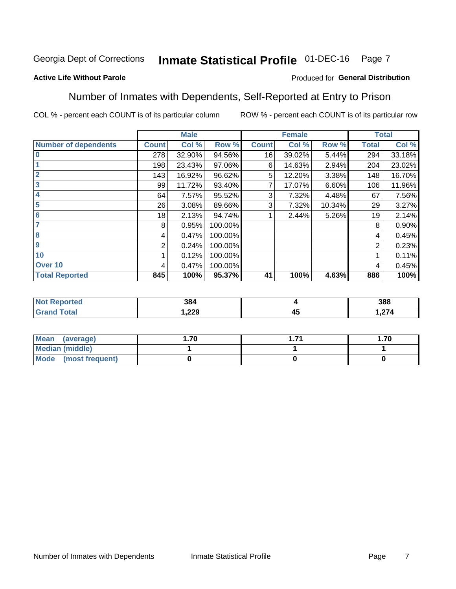#### Inmate Statistical Profile 01-DEC-16 Page 7

## **Active Life Without Parole**

### Produced for General Distribution

# Number of Inmates with Dependents, Self-Reported at Entry to Prison

COL % - percent each COUNT is of its particular column

|                             |              | <b>Male</b> |         |              | <b>Female</b> |        |              | <b>Total</b> |
|-----------------------------|--------------|-------------|---------|--------------|---------------|--------|--------------|--------------|
| <b>Number of dependents</b> | <b>Count</b> | Col %       | Row %   | <b>Count</b> | Col %         | Row %  | <b>Total</b> | Col %        |
| $\overline{0}$              | 278          | 32.90%      | 94.56%  | 16           | 39.02%        | 5.44%  | 294          | 33.18%       |
|                             | 198          | 23.43%      | 97.06%  | 6            | 14.63%        | 2.94%  | 204          | 23.02%       |
| $\overline{2}$              | 143          | 16.92%      | 96.62%  | 5            | 12.20%        | 3.38%  | 148          | 16.70%       |
| $\overline{\mathbf{3}}$     | 99           | 11.72%      | 93.40%  |              | 17.07%        | 6.60%  | 106          | 11.96%       |
| 4                           | 64           | 7.57%       | 95.52%  | 3            | 7.32%         | 4.48%  | 67           | 7.56%        |
| 5                           | 26           | 3.08%       | 89.66%  | 3            | 7.32%         | 10.34% | 29           | 3.27%        |
| $6\phantom{1}6$             | 18           | 2.13%       | 94.74%  |              | 2.44%         | 5.26%  | 19           | 2.14%        |
| 7                           | 8            | 0.95%       | 100.00% |              |               |        | 8            | 0.90%        |
| 8                           | 4            | 0.47%       | 100.00% |              |               |        | 4            | 0.45%        |
| 9                           | 2            | 0.24%       | 100.00% |              |               |        | 2            | 0.23%        |
| 10                          |              | 0.12%       | 100.00% |              |               |        |              | 0.11%        |
| Over 10                     | 4            | 0.47%       | 100.00% |              |               |        | 4            | 0.45%        |
| <b>Total Reported</b>       | 845          | 100%        | 95.37%  | 41           | 100%          | 4.63%  | 886          | 100%         |

| ισυ | 384  |         | 388              |
|-----|------|---------|------------------|
|     | ,229 | 4<br>≖∾ | $\sim$<br>1,41 T |

| Mean (average)       | l.70 | -74 | . .70 |
|----------------------|------|-----|-------|
| Median (middle)      |      |     |       |
| Mode (most frequent) |      |     |       |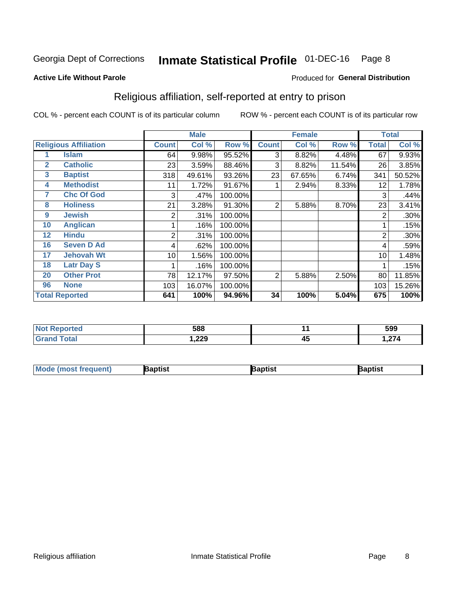#### **Inmate Statistical Profile 01-DEC-16** Page 8

### **Active Life Without Parole**

### Produced for General Distribution

# Religious affiliation, self-reported at entry to prison

COL % - percent each COUNT is of its particular column

|              |                              |              | <b>Male</b> |         |              | <b>Female</b> |        |              | <b>Total</b> |
|--------------|------------------------------|--------------|-------------|---------|--------------|---------------|--------|--------------|--------------|
|              | <b>Religious Affiliation</b> | <b>Count</b> | Col %       | Row %   | <b>Count</b> | Col %         | Row %  | <b>Total</b> | Col %        |
|              | Islam                        | 64           | 9.98%       | 95.52%  | 3            | 8.82%         | 4.48%  | 67           | 9.93%        |
| $\mathbf{2}$ | <b>Catholic</b>              | 23           | 3.59%       | 88.46%  | 3            | 8.82%         | 11.54% | 26           | 3.85%        |
| 3            | <b>Baptist</b>               | 318          | 49.61%      | 93.26%  | 23           | 67.65%        | 6.74%  | 341          | 50.52%       |
| 4            | <b>Methodist</b>             | 11           | 1.72%       | 91.67%  |              | 2.94%         | 8.33%  | 12           | 1.78%        |
| 7            | <b>Chc Of God</b>            | 3            | .47%        | 100.00% |              |               |        | 3            | .44%         |
| 8            | <b>Holiness</b>              | 21           | 3.28%       | 91.30%  | 2            | 5.88%         | 8.70%  | 23           | 3.41%        |
| 9            | <b>Jewish</b>                | 2            | .31%        | 100.00% |              |               |        | 2            | .30%         |
| 10           | <b>Anglican</b>              |              | .16%        | 100.00% |              |               |        |              | .15%         |
| 12           | <b>Hindu</b>                 | 2            | .31%        | 100.00% |              |               |        | 2            | .30%         |
| 16           | <b>Seven D Ad</b>            | 4            | .62%        | 100.00% |              |               |        | 4            | .59%         |
| 17           | <b>Jehovah Wt</b>            | 10           | 1.56%       | 100.00% |              |               |        | 10           | 1.48%        |
| 18           | <b>Latr Day S</b>            |              | .16%        | 100.00% |              |               |        |              | .15%         |
| 20           | <b>Other Prot</b>            | 78           | 12.17%      | 97.50%  | 2            | 5.88%         | 2.50%  | 80           | 11.85%       |
| 96           | <b>None</b>                  | 103          | 16.07%      | 100.00% |              |               |        | 103          | 15.26%       |
|              | <b>Total Reported</b>        | 641          | 100%        | 94.96%  | 34           | 100%          | 5.04%  | 675          | 100%         |

| ı tere                 | 588           |           | 599    |
|------------------------|---------------|-----------|--------|
| $f \wedge f \wedge f'$ | റററ<br>372, ا | . .<br>≖∾ | $\sim$ |

| <b>Mode (most frequent)</b> | 3aptist | 3aptist | Baptist |
|-----------------------------|---------|---------|---------|
|-----------------------------|---------|---------|---------|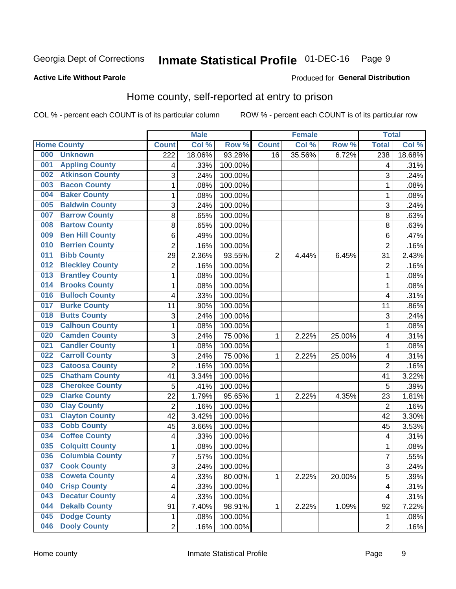#### **Inmate Statistical Profile 01-DEC-16** Page 9

### **Active Life Without Parole**

## **Produced for General Distribution**

# Home county, self-reported at entry to prison

COL % - percent each COUNT is of its particular column

|     |                        |                         | <b>Male</b> |         |              | <b>Female</b> |        | <b>Total</b>            |        |
|-----|------------------------|-------------------------|-------------|---------|--------------|---------------|--------|-------------------------|--------|
|     | <b>Home County</b>     | <b>Count</b>            | Col %       | Row %   | <b>Count</b> | Col %         | Row %  | <b>Total</b>            | Col %  |
| 000 | <b>Unknown</b>         | $\overline{222}$        | 18.06%      | 93.28%  | 16           | 35.56%        | 6.72%  | 238                     | 18.68% |
| 001 | <b>Appling County</b>  | 4                       | .33%        | 100.00% |              |               |        | 4                       | .31%   |
| 002 | <b>Atkinson County</b> | 3                       | .24%        | 100.00% |              |               |        | 3                       | .24%   |
| 003 | <b>Bacon County</b>    | $\mathbf 1$             | .08%        | 100.00% |              |               |        | 1                       | .08%   |
| 004 | <b>Baker County</b>    | $\mathbf 1$             | .08%        | 100.00% |              |               |        | 1                       | .08%   |
| 005 | <b>Baldwin County</b>  | 3                       | .24%        | 100.00% |              |               |        | 3                       | .24%   |
| 007 | <b>Barrow County</b>   | 8                       | .65%        | 100.00% |              |               |        | 8                       | .63%   |
| 008 | <b>Bartow County</b>   | 8                       | .65%        | 100.00% |              |               |        | 8                       | .63%   |
| 009 | <b>Ben Hill County</b> | 6                       | .49%        | 100.00% |              |               |        | 6                       | .47%   |
| 010 | <b>Berrien County</b>  | $\overline{2}$          | .16%        | 100.00% |              |               |        | $\overline{2}$          | .16%   |
| 011 | <b>Bibb County</b>     | 29                      | 2.36%       | 93.55%  | 2            | 4.44%         | 6.45%  | 31                      | 2.43%  |
| 012 | <b>Bleckley County</b> | $\overline{c}$          | .16%        | 100.00% |              |               |        | $\overline{2}$          | .16%   |
| 013 | <b>Brantley County</b> | $\mathbf 1$             | .08%        | 100.00% |              |               |        | 1                       | .08%   |
| 014 | <b>Brooks County</b>   | $\mathbf 1$             | .08%        | 100.00% |              |               |        | 1                       | .08%   |
| 016 | <b>Bulloch County</b>  | 4                       | .33%        | 100.00% |              |               |        | 4                       | .31%   |
| 017 | <b>Burke County</b>    | 11                      | .90%        | 100.00% |              |               |        | 11                      | .86%   |
| 018 | <b>Butts County</b>    | 3                       | .24%        | 100.00% |              |               |        | 3                       | .24%   |
| 019 | <b>Calhoun County</b>  | $\mathbf 1$             | .08%        | 100.00% |              |               |        | 1                       | .08%   |
| 020 | <b>Camden County</b>   | 3                       | .24%        | 75.00%  | 1            | 2.22%         | 25.00% | 4                       | .31%   |
| 021 | <b>Candler County</b>  | $\mathbf 1$             | .08%        | 100.00% |              |               |        | 1                       | .08%   |
| 022 | <b>Carroll County</b>  | 3                       | .24%        | 75.00%  | 1            | 2.22%         | 25.00% | 4                       | .31%   |
| 023 | <b>Catoosa County</b>  | $\overline{2}$          | .16%        | 100.00% |              |               |        | $\overline{2}$          | .16%   |
| 025 | <b>Chatham County</b>  | 41                      | 3.34%       | 100.00% |              |               |        | 41                      | 3.22%  |
| 028 | <b>Cherokee County</b> | 5                       | .41%        | 100.00% |              |               |        | 5                       | .39%   |
| 029 | <b>Clarke County</b>   | 22                      | 1.79%       | 95.65%  | 1            | 2.22%         | 4.35%  | 23                      | 1.81%  |
| 030 | <b>Clay County</b>     | $\overline{c}$          | .16%        | 100.00% |              |               |        | $\overline{2}$          | .16%   |
| 031 | <b>Clayton County</b>  | 42                      | 3.42%       | 100.00% |              |               |        | 42                      | 3.30%  |
| 033 | <b>Cobb County</b>     | 45                      | 3.66%       | 100.00% |              |               |        | 45                      | 3.53%  |
| 034 | <b>Coffee County</b>   | 4                       | .33%        | 100.00% |              |               |        | 4                       | .31%   |
| 035 | <b>Colquitt County</b> | $\mathbf{1}$            | .08%        | 100.00% |              |               |        | 1                       | .08%   |
| 036 | <b>Columbia County</b> | $\overline{7}$          | .57%        | 100.00% |              |               |        | 7                       | .55%   |
| 037 | <b>Cook County</b>     | 3                       | .24%        | 100.00% |              |               |        | 3                       | .24%   |
| 038 | <b>Coweta County</b>   | $\overline{\mathbf{4}}$ | .33%        | 80.00%  | 1            | 2.22%         | 20.00% | 5                       | .39%   |
| 040 | <b>Crisp County</b>    | $\overline{\mathbf{4}}$ | .33%        | 100.00% |              |               |        | $\overline{\mathbf{4}}$ | .31%   |
| 043 | <b>Decatur County</b>  | $\overline{\mathbf{4}}$ | .33%        | 100.00% |              |               |        | $\overline{\mathbf{4}}$ | .31%   |
| 044 | <b>Dekalb County</b>   | 91                      | 7.40%       | 98.91%  | 1            | 2.22%         | 1.09%  | 92                      | 7.22%  |
| 045 | <b>Dodge County</b>    | $\mathbf{1}$            | .08%        | 100.00% |              |               |        | $\mathbf 1$             | .08%   |
| 046 | <b>Dooly County</b>    | $\overline{2}$          | .16%        | 100.00% |              |               |        | $\overline{2}$          | .16%   |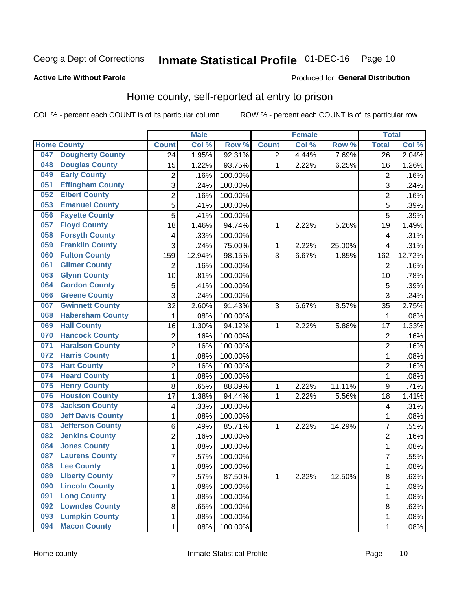# Inmate Statistical Profile 01-DEC-16 Page 10

### **Active Life Without Parole**

### Produced for General Distribution

# Home county, self-reported at entry to prison

COL % - percent each COUNT is of its particular column

|     |                          |                | <b>Male</b> |         |                | <b>Female</b> |        | <b>Total</b>            |        |
|-----|--------------------------|----------------|-------------|---------|----------------|---------------|--------|-------------------------|--------|
|     | <b>Home County</b>       | <b>Count</b>   | Col %       | Row %   | <b>Count</b>   | Col %         | Row %  | <b>Total</b>            | Col %  |
| 047 | <b>Dougherty County</b>  | 24             | 1.95%       | 92.31%  | $\overline{2}$ | 4.44%         | 7.69%  | 26                      | 2.04%  |
| 048 | <b>Douglas County</b>    | 15             | 1.22%       | 93.75%  | 1              | 2.22%         | 6.25%  | 16                      | 1.26%  |
| 049 | <b>Early County</b>      | 2              | .16%        | 100.00% |                |               |        | $\overline{2}$          | .16%   |
| 051 | <b>Effingham County</b>  | 3              | .24%        | 100.00% |                |               |        | 3                       | .24%   |
| 052 | <b>Elbert County</b>     | $\overline{c}$ | .16%        | 100.00% |                |               |        | $\overline{2}$          | .16%   |
| 053 | <b>Emanuel County</b>    | 5              | .41%        | 100.00% |                |               |        | 5                       | .39%   |
| 056 | <b>Fayette County</b>    | 5              | .41%        | 100.00% |                |               |        | 5                       | .39%   |
| 057 | <b>Floyd County</b>      | 18             | 1.46%       | 94.74%  | 1              | 2.22%         | 5.26%  | 19                      | 1.49%  |
| 058 | <b>Forsyth County</b>    | 4              | .33%        | 100.00% |                |               |        | 4                       | .31%   |
| 059 | <b>Franklin County</b>   | 3              | .24%        | 75.00%  | 1              | 2.22%         | 25.00% | $\overline{4}$          | .31%   |
| 060 | <b>Fulton County</b>     | 159            | 12.94%      | 98.15%  | 3              | 6.67%         | 1.85%  | 162                     | 12.72% |
| 061 | <b>Gilmer County</b>     | $\overline{2}$ | .16%        | 100.00% |                |               |        | $\overline{2}$          | .16%   |
| 063 | <b>Glynn County</b>      | 10             | .81%        | 100.00% |                |               |        | 10                      | .78%   |
| 064 | <b>Gordon County</b>     | 5              | .41%        | 100.00% |                |               |        | 5                       | .39%   |
| 066 | <b>Greene County</b>     | 3              | .24%        | 100.00% |                |               |        | 3                       | .24%   |
| 067 | <b>Gwinnett County</b>   | 32             | 2.60%       | 91.43%  | 3              | 6.67%         | 8.57%  | 35                      | 2.75%  |
| 068 | <b>Habersham County</b>  | 1              | .08%        | 100.00% |                |               |        | 1                       | .08%   |
| 069 | <b>Hall County</b>       | 16             | 1.30%       | 94.12%  | 1              | 2.22%         | 5.88%  | 17                      | 1.33%  |
| 070 | <b>Hancock County</b>    | 2              | .16%        | 100.00% |                |               |        | $\overline{2}$          | .16%   |
| 071 | <b>Haralson County</b>   | $\overline{2}$ | .16%        | 100.00% |                |               |        | $\overline{2}$          | .16%   |
| 072 | <b>Harris County</b>     | $\mathbf 1$    | .08%        | 100.00% |                |               |        | 1                       | .08%   |
| 073 | <b>Hart County</b>       | $\overline{2}$ | .16%        | 100.00% |                |               |        | $\overline{2}$          | .16%   |
| 074 | <b>Heard County</b>      | $\mathbf{1}$   | .08%        | 100.00% |                |               |        | 1                       | .08%   |
| 075 | <b>Henry County</b>      | 8              | .65%        | 88.89%  | 1              | 2.22%         | 11.11% | 9                       | .71%   |
| 076 | <b>Houston County</b>    | 17             | 1.38%       | 94.44%  | 1              | 2.22%         | 5.56%  | 18                      | 1.41%  |
| 078 | <b>Jackson County</b>    | 4              | .33%        | 100.00% |                |               |        | $\overline{\mathbf{4}}$ | .31%   |
| 080 | <b>Jeff Davis County</b> | $\mathbf 1$    | .08%        | 100.00% |                |               |        | 1                       | .08%   |
| 081 | <b>Jefferson County</b>  | 6              | .49%        | 85.71%  | 1              | 2.22%         | 14.29% | $\overline{7}$          | .55%   |
| 082 | <b>Jenkins County</b>    | $\overline{c}$ | .16%        | 100.00% |                |               |        | $\overline{2}$          | .16%   |
| 084 | <b>Jones County</b>      | $\mathbf{1}$   | .08%        | 100.00% |                |               |        | 1                       | .08%   |
| 087 | <b>Laurens County</b>    | $\overline{7}$ | .57%        | 100.00% |                |               |        | 7                       | .55%   |
| 088 | <b>Lee County</b>        | 1              | .08%        | 100.00% |                |               |        | 1                       | .08%   |
| 089 | <b>Liberty County</b>    | $\overline{7}$ | .57%        | 87.50%  | $\mathbf{1}$   | 2.22%         | 12.50% | 8                       | .63%   |
| 090 | <b>Lincoln County</b>    | $\mathbf 1$    | .08%        | 100.00% |                |               |        | 1                       | .08%   |
| 091 | <b>Long County</b>       | $\mathbf{1}$   | .08%        | 100.00% |                |               |        | 1                       | .08%   |
| 092 | <b>Lowndes County</b>    | 8              | .65%        | 100.00% |                |               |        | 8                       | .63%   |
| 093 | <b>Lumpkin County</b>    | $\mathbf{1}$   | .08%        | 100.00% |                |               |        | 1                       | .08%   |
| 094 | <b>Macon County</b>      | $\mathbf{1}$   | .08%        | 100.00% |                |               |        | 1                       | .08%   |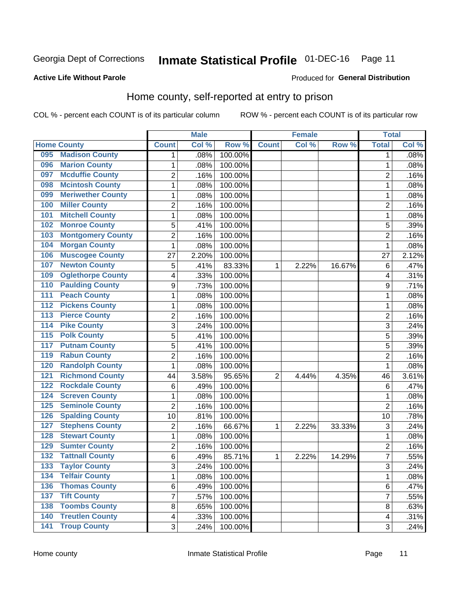# Inmate Statistical Profile 01-DEC-16 Page 11

### **Active Life Without Parole**

### Produced for General Distribution

# Home county, self-reported at entry to prison

COL % - percent each COUNT is of its particular column

|                  |                          |                          | <b>Male</b> |         |                | <b>Female</b> |        | <b>Total</b>   |       |
|------------------|--------------------------|--------------------------|-------------|---------|----------------|---------------|--------|----------------|-------|
|                  | <b>Home County</b>       | <b>Count</b>             | Col %       | Row %   | <b>Count</b>   | Col %         | Row %  | <b>Total</b>   | Col % |
| 095              | <b>Madison County</b>    | 1                        | .08%        | 100.00% |                |               |        | 1              | .08%  |
| 096              | <b>Marion County</b>     | 1                        | .08%        | 100.00% |                |               |        | 1              | .08%  |
| 097              | <b>Mcduffie County</b>   | 2                        | .16%        | 100.00% |                |               |        | 2              | .16%  |
| 098              | <b>Mcintosh County</b>   | $\mathbf{1}$             | .08%        | 100.00% |                |               |        | 1              | .08%  |
| 099              | <b>Meriwether County</b> | $\mathbf{1}$             | .08%        | 100.00% |                |               |        | 1              | .08%  |
| 100              | <b>Miller County</b>     | $\overline{2}$           | .16%        | 100.00% |                |               |        | $\overline{2}$ | .16%  |
| 101              | <b>Mitchell County</b>   | $\mathbf{1}$             | .08%        | 100.00% |                |               |        | 1              | .08%  |
| 102              | <b>Monroe County</b>     | 5                        | .41%        | 100.00% |                |               |        | 5              | .39%  |
| 103              | <b>Montgomery County</b> | 2                        | .16%        | 100.00% |                |               |        | $\overline{c}$ | .16%  |
| 104              | <b>Morgan County</b>     | $\mathbf{1}$             | .08%        | 100.00% |                |               |        | 1              | .08%  |
| 106              | <b>Muscogee County</b>   | 27                       | 2.20%       | 100.00% |                |               |        | 27             | 2.12% |
| 107              | <b>Newton County</b>     | 5                        | .41%        | 83.33%  | 1              | 2.22%         | 16.67% | 6              | .47%  |
| 109              | <b>Oglethorpe County</b> | $\overline{\mathcal{A}}$ | .33%        | 100.00% |                |               |        | 4              | .31%  |
| 110              | <b>Paulding County</b>   | 9                        | .73%        | 100.00% |                |               |        | 9              | .71%  |
| 111              | <b>Peach County</b>      | $\mathbf{1}$             | .08%        | 100.00% |                |               |        | 1              | .08%  |
| 112              | <b>Pickens County</b>    | 1                        | .08%        | 100.00% |                |               |        | 1              | .08%  |
| 113              | <b>Pierce County</b>     | $\overline{2}$           | .16%        | 100.00% |                |               |        | 2              | .16%  |
| 114              | <b>Pike County</b>       | 3                        | .24%        | 100.00% |                |               |        | 3              | .24%  |
| $\overline{115}$ | <b>Polk County</b>       | 5                        | .41%        | 100.00% |                |               |        | 5              | .39%  |
| 117              | <b>Putnam County</b>     | 5                        | .41%        | 100.00% |                |               |        | 5              | .39%  |
| 119              | <b>Rabun County</b>      | $\overline{2}$           | .16%        | 100.00% |                |               |        | 2              | .16%  |
| 120              | <b>Randolph County</b>   | $\mathbf{1}$             | .08%        | 100.00% |                |               |        | 1              | .08%  |
| 121              | <b>Richmond County</b>   | 44                       | 3.58%       | 95.65%  | $\overline{2}$ | 4.44%         | 4.35%  | 46             | 3.61% |
| 122              | <b>Rockdale County</b>   | $\,6$                    | .49%        | 100.00% |                |               |        | 6              | .47%  |
| 124              | <b>Screven County</b>    | 1                        | .08%        | 100.00% |                |               |        | 1              | .08%  |
| 125              | <b>Seminole County</b>   | $\overline{2}$           | .16%        | 100.00% |                |               |        | $\overline{2}$ | .16%  |
| 126              | <b>Spalding County</b>   | 10                       | .81%        | 100.00% |                |               |        | 10             | .78%  |
| 127              | <b>Stephens County</b>   | $\overline{2}$           | .16%        | 66.67%  | 1              | 2.22%         | 33.33% | 3              | .24%  |
| 128              | <b>Stewart County</b>    | 1                        | .08%        | 100.00% |                |               |        | 1              | .08%  |
| 129              | <b>Sumter County</b>     | $\overline{2}$           | .16%        | 100.00% |                |               |        | $\overline{2}$ | .16%  |
| 132              | <b>Tattnall County</b>   | $6\phantom{1}$           | .49%        | 85.71%  | 1              | 2.22%         | 14.29% | $\overline{7}$ | .55%  |
| 133              | <b>Taylor County</b>     | 3                        | .24%        | 100.00% |                |               |        | 3              | .24%  |
| 134              | <b>Telfair County</b>    | $\mathbf{1}$             | .08%        | 100.00% |                |               |        | 1              | .08%  |
| 136              | <b>Thomas County</b>     | 6                        | .49%        | 100.00% |                |               |        | 6              | .47%  |
| 137              | <b>Tift County</b>       | $\overline{7}$           | .57%        | 100.00% |                |               |        | $\overline{7}$ | .55%  |
| 138              | <b>Toombs County</b>     | 8                        | .65%        | 100.00% |                |               |        | 8              | .63%  |
| 140              | <b>Treutlen County</b>   | $\overline{4}$           | .33%        | 100.00% |                |               |        | 4              | .31%  |
| $\overline{141}$ | <b>Troup County</b>      | 3                        | .24%        | 100.00% |                |               |        | 3              | .24%  |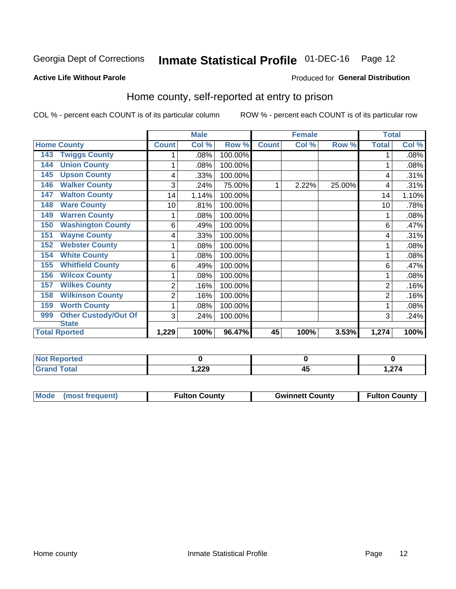# Inmate Statistical Profile 01-DEC-16 Page 12

### **Active Life Without Parole**

## **Produced for General Distribution**

# Home county, self-reported at entry to prison

COL % - percent each COUNT is of its particular column

|                                    |                | <b>Male</b> |         |              | <b>Female</b> |        | <b>Total</b> |       |
|------------------------------------|----------------|-------------|---------|--------------|---------------|--------|--------------|-------|
| <b>Home County</b>                 | <b>Count</b>   | Col %       | Row %   | <b>Count</b> | Col %         | Row %  | <b>Total</b> | Col % |
| <b>Twiggs County</b><br>143        |                | .08%        | 100.00% |              |               |        |              | .08%  |
| <b>Union County</b><br>144         | 1              | $.08\%$     | 100.00% |              |               |        |              | .08%  |
| <b>Upson County</b><br>145         | 4              | .33%        | 100.00% |              |               |        | 4            | .31%  |
| <b>Walker County</b><br>146        | 3              | .24%        | 75.00%  | 1            | 2.22%         | 25.00% | 4            | .31%  |
| <b>Walton County</b><br>147        | 14             | 1.14%       | 100.00% |              |               |        | 14           | 1.10% |
| <b>Ware County</b><br>148          | 10             | .81%        | 100.00% |              |               |        | 10           | .78%  |
| <b>Warren County</b><br>149        | 1              | $.08\%$     | 100.00% |              |               |        |              | .08%  |
| <b>Washington County</b><br>150    | 6              | .49%        | 100.00% |              |               |        | 6            | .47%  |
| <b>Wayne County</b><br>151         | 4              | .33%        | 100.00% |              |               |        | 4            | .31%  |
| <b>Webster County</b><br>152       | 1              | .08%        | 100.00% |              |               |        |              | .08%  |
| <b>White County</b><br>154         | 1              | .08%        | 100.00% |              |               |        |              | .08%  |
| <b>Whitfield County</b><br>155     | 6              | .49%        | 100.00% |              |               |        | 6            | .47%  |
| <b>Wilcox County</b><br>156        | 1              | $.08\%$     | 100.00% |              |               |        |              | .08%  |
| <b>Wilkes County</b><br>157        | $\overline{2}$ | .16%        | 100.00% |              |               |        | 2            | .16%  |
| <b>Wilkinson County</b><br>158     | 2              | .16%        | 100.00% |              |               |        | 2            | .16%  |
| <b>Worth County</b><br>159         | 1              | .08%        | 100.00% |              |               |        |              | .08%  |
| <b>Other Custody/Out Of</b><br>999 | 3              | .24%        | 100.00% |              |               |        | 3            | .24%  |
| <b>State</b>                       |                |             |         |              |               |        |              |       |
| <b>Total Rported</b>               | 1,229          | 100%        | 96.47%  | 45           | 100%          | 3.53%  | 1,274        | 100%  |

| <b>Not Reported</b> |               |                  |
|---------------------|---------------|------------------|
| Гоtal               | ההה<br>322, ا | 27/<br>4 ، 2 , ا |

| Mode (most frequent)<br><b>Gwinnett County</b><br><b>Fulton County</b> |                      |
|------------------------------------------------------------------------|----------------------|
|                                                                        | <b>Fulton County</b> |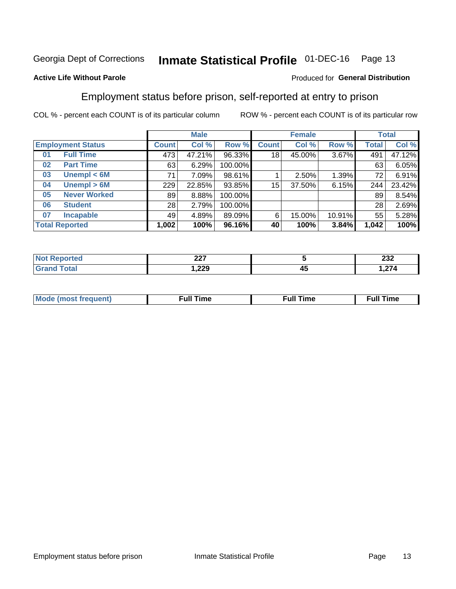#### **Inmate Statistical Profile 01-DEC-16** Page 13

## **Active Life Without Parole**

### Produced for General Distribution

# Employment status before prison, self-reported at entry to prison

COL % - percent each COUNT is of its particular column

|                           |              | <b>Male</b> |         |              | <b>Female</b> | <b>Total</b> |              |        |
|---------------------------|--------------|-------------|---------|--------------|---------------|--------------|--------------|--------|
| <b>Employment Status</b>  | <b>Count</b> | Col %       | Row %   | <b>Count</b> | Col %         | Row %        | <b>Total</b> | Col %  |
| <b>Full Time</b><br>01    | 473          | 47.21%      | 96.33%  | 18           | 45.00%        | 3.67%        | 491          | 47.12% |
| <b>Part Time</b><br>02    | 63           | 6.29%       | 100.00% |              |               |              | 63           | 6.05%  |
| Unempl $<$ 6M<br>03       | 71           | 7.09%       | 98.61%  |              | 2.50%         | 1.39%        | 72           | 6.91%  |
| Unempl > 6M<br>04         | 229          | 22.85%      | 93.85%  | $15\,$       | 37.50%        | 6.15%        | 244          | 23.42% |
| <b>Never Worked</b><br>05 | 89           | 8.88%       | 100.00% |              |               |              | 89           | 8.54%  |
| <b>Student</b><br>06      | 28           | 2.79%       | 100.00% |              |               |              | 28           | 2.69%  |
| <b>Incapable</b><br>07    | 49           | 4.89%       | 89.09%  | 6            | 15.00%        | 10.91%       | 55           | 5.28%  |
| <b>Total Reported</b>     | 1,002        | 100%        | 96.16%  | 40           | 100%          | 3.84%        | 1,042        | 100%   |

| ິ<br>--- |    | ົາາາ<br>ZJZ                               |
|----------|----|-------------------------------------------|
| 1,229    | 4. | $\sim$<br>. . <i>.</i> .<br>$\sim$ $\sim$ |

| Mc | ∴ull | ----<br>ıme<br>w |
|----|------|------------------|
|    |      |                  |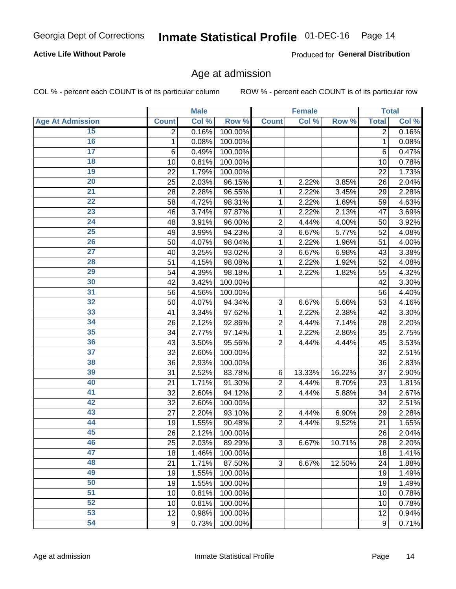## **Active Life Without Parole**

Produced for General Distribution

## Age at admission

COL % - percent each COUNT is of its particular column

|                         |                 | <b>Male</b> |         |                           | <b>Female</b> |        |              | <b>Total</b> |
|-------------------------|-----------------|-------------|---------|---------------------------|---------------|--------|--------------|--------------|
| <b>Age At Admission</b> | <b>Count</b>    | Col %       | Row %   | <b>Count</b>              | Col %         | Row %  | <b>Total</b> | Col %        |
| 15                      | $\overline{2}$  | 0.16%       | 100.00% |                           |               |        | 2            | 0.16%        |
| 16                      | 1               | 0.08%       | 100.00% |                           |               |        | $\mathbf{1}$ | 0.08%        |
| $\overline{17}$         | $6\phantom{1}6$ | 0.49%       | 100.00% |                           |               |        | 6            | 0.47%        |
| 18                      | 10              | 0.81%       | 100.00% |                           |               |        | 10           | 0.78%        |
| 19                      | 22              | 1.79%       | 100.00% |                           |               |        | 22           | 1.73%        |
| $\overline{20}$         | 25              | 2.03%       | 96.15%  | 1                         | 2.22%         | 3.85%  | 26           | 2.04%        |
| 21                      | 28              | 2.28%       | 96.55%  | 1                         | 2.22%         | 3.45%  | 29           | 2.28%        |
| $\overline{22}$         | 58              | 4.72%       | 98.31%  | 1                         | 2.22%         | 1.69%  | 59           | 4.63%        |
| 23                      | 46              | 3.74%       | 97.87%  | 1                         | 2.22%         | 2.13%  | 47           | 3.69%        |
| 24                      | 48              | 3.91%       | 96.00%  | $\overline{2}$            | 4.44%         | 4.00%  | 50           | 3.92%        |
| $\overline{25}$         | 49              | 3.99%       | 94.23%  | 3                         | 6.67%         | 5.77%  | 52           | 4.08%        |
| 26                      | 50              | 4.07%       | 98.04%  | 1                         | 2.22%         | 1.96%  | 51           | 4.00%        |
| $\overline{27}$         | 40              | 3.25%       | 93.02%  | 3                         | 6.67%         | 6.98%  | 43           | 3.38%        |
| 28                      | 51              | 4.15%       | 98.08%  | 1                         | 2.22%         | 1.92%  | 52           | 4.08%        |
| 29                      | 54              | 4.39%       | 98.18%  | 1                         | 2.22%         | 1.82%  | 55           | 4.32%        |
| 30                      | 42              | 3.42%       | 100.00% |                           |               |        | 42           | 3.30%        |
| 31                      | 56              | 4.56%       | 100.00% |                           |               |        | 56           | 4.40%        |
| 32                      | 50              | 4.07%       | 94.34%  | $\ensuremath{\mathsf{3}}$ | 6.67%         | 5.66%  | 53           | 4.16%        |
| 33                      | 41              | 3.34%       | 97.62%  | 1                         | 2.22%         | 2.38%  | 42           | 3.30%        |
| 34                      | 26              | 2.12%       | 92.86%  | $\overline{2}$            | 4.44%         | 7.14%  | 28           | 2.20%        |
| 35                      | 34              | 2.77%       | 97.14%  | 1                         | 2.22%         | 2.86%  | 35           | 2.75%        |
| 36                      | 43              | 3.50%       | 95.56%  | $\overline{2}$            | 4.44%         | 4.44%  | 45           | 3.53%        |
| $\overline{37}$         | 32              | 2.60%       | 100.00% |                           |               |        | 32           | 2.51%        |
| 38                      | 36              | 2.93%       | 100.00% |                           |               |        | 36           | 2.83%        |
| 39                      | 31              | 2.52%       | 83.78%  | 6                         | 13.33%        | 16.22% | 37           | 2.90%        |
| 40                      | 21              | 1.71%       | 91.30%  | 2                         | 4.44%         | 8.70%  | 23           | 1.81%        |
| 41                      | 32              | 2.60%       | 94.12%  | $\overline{2}$            | 4.44%         | 5.88%  | 34           | 2.67%        |
| 42                      | 32              | 2.60%       | 100.00% |                           |               |        | 32           | 2.51%        |
| 43                      | 27              | 2.20%       | 93.10%  | $\mathbf 2$               | 4.44%         | 6.90%  | 29           | 2.28%        |
| 44                      | 19              | 1.55%       | 90.48%  | $\overline{2}$            | 4.44%         | 9.52%  | 21           | 1.65%        |
| 45                      | 26              | 2.12%       | 100.00% |                           |               |        | 26           | 2.04%        |
| 46                      | 25              | 2.03%       | 89.29%  | $\sqrt{3}$                | 6.67%         | 10.71% | 28           | 2.20%        |
| 47                      | 18              | 1.46%       | 100.00% |                           |               |        | 18           | 1.41%        |
| 48                      | 21              | 1.71%       | 87.50%  | 3                         | 6.67%         | 12.50% | 24           | 1.88%        |
| 49                      | 19              | 1.55%       | 100.00% |                           |               |        | 19           | 1.49%        |
| 50                      | 19              | 1.55%       | 100.00% |                           |               |        | 19           | 1.49%        |
| $\overline{51}$         | 10              | 0.81%       | 100.00% |                           |               |        | 10           | 0.78%        |
| 52                      | 10              | 0.81%       | 100.00% |                           |               |        | 10           | 0.78%        |
| 53                      | 12              | 0.98%       | 100.00% |                           |               |        | 12           | 0.94%        |
| 54                      | $9\,$           | 0.73%       | 100.00% |                           |               |        | 9            | 0.71%        |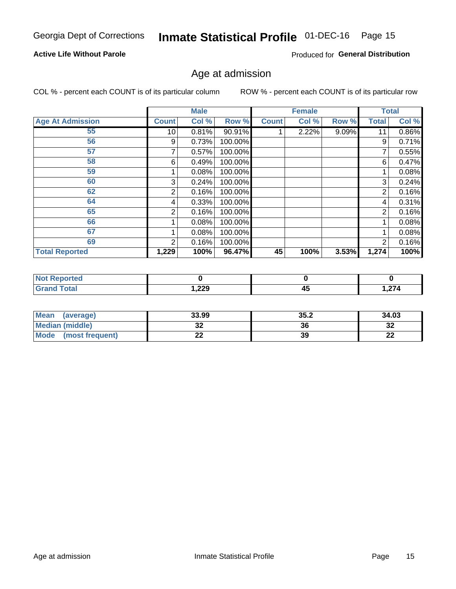# Inmate Statistical Profile 01-DEC-16 Page 15

## **Active Life Without Parole**

Produced for General Distribution

## Age at admission

COL % - percent each COUNT is of its particular column

|                         |              | <b>Male</b> |         |              | <b>Female</b> |       |                | <b>Total</b> |
|-------------------------|--------------|-------------|---------|--------------|---------------|-------|----------------|--------------|
| <b>Age At Admission</b> | <b>Count</b> | Col %       | Row %   | <b>Count</b> | Col %         | Row % | <b>Total</b>   | Col %        |
| 55                      | 10           | 0.81%       | 90.91%  |              | 2.22%         | 9.09% | 11             | 0.86%        |
| 56                      | 9            | 0.73%       | 100.00% |              |               |       | 9              | 0.71%        |
| 57                      |              | 0.57%       | 100.00% |              |               |       |                | 0.55%        |
| 58                      | 6            | 0.49%       | 100.00% |              |               |       | 6              | 0.47%        |
| 59                      |              | 0.08%       | 100.00% |              |               |       |                | 0.08%        |
| 60                      | 3            | 0.24%       | 100.00% |              |               |       | 3              | 0.24%        |
| 62                      | 2            | 0.16%       | 100.00% |              |               |       | 2              | 0.16%        |
| 64                      | 4            | 0.33%       | 100.00% |              |               |       | 4              | 0.31%        |
| 65                      | 2            | 0.16%       | 100.00% |              |               |       | $\overline{2}$ | 0.16%        |
| 66                      |              | 0.08%       | 100.00% |              |               |       |                | 0.08%        |
| 67                      |              | 0.08%       | 100.00% |              |               |       |                | 0.08%        |
| 69                      | 2            | 0.16%       | 100.00% |              |               |       | $\overline{2}$ | 0.16%        |
| <b>Total Reported</b>   | 1,229        | 100%        | 96.47%  | 45           | 100%          | 3.53% | 1,274          | 100%         |

| ported<br><b>NOT</b> |        |                |                     |
|----------------------|--------|----------------|---------------------|
| <b>otal</b><br>_____ | 229, ا | - -<br>д.<br>∼ | $\sim$<br>∽ ، ∠ , ، |

| <b>Mean</b><br>(average)       | 33.99 | 35.2 | 34.03    |
|--------------------------------|-------|------|----------|
| <b>Median (middle)</b>         | u     | 36   | າາ<br>ാച |
| <b>Mode</b><br>(most frequent) | --    | 39   | n,<br>LL |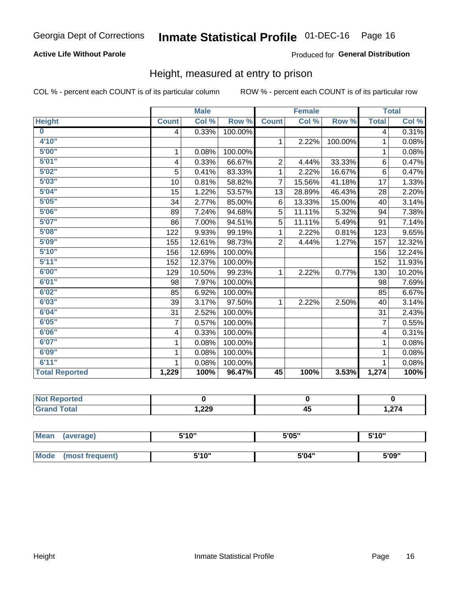## **Active Life Without Parole**

## Produced for General Distribution

## Height, measured at entry to prison

COL % - percent each COUNT is of its particular column

|                       |              | <b>Male</b> |         |                | <b>Female</b> |         |                         | <b>Total</b> |
|-----------------------|--------------|-------------|---------|----------------|---------------|---------|-------------------------|--------------|
| <b>Height</b>         | <b>Count</b> | Col %       | Row %   | <b>Count</b>   | Col %         | Row %   | <b>Total</b>            | Col %        |
| $\bf{0}$              | 4            | 0.33%       | 100.00% |                |               |         | $\overline{\mathbf{4}}$ | 0.31%        |
| 4'10''                |              |             |         | $\mathbf{1}$   | 2.22%         | 100.00% | 1                       | 0.08%        |
| 5'00''                | 1            | 0.08%       | 100.00% |                |               |         | 1                       | 0.08%        |
| 5'01"                 | 4            | 0.33%       | 66.67%  | $\overline{2}$ | 4.44%         | 33.33%  | 6                       | 0.47%        |
| 5'02"                 | 5            | 0.41%       | 83.33%  | 1              | 2.22%         | 16.67%  | $6\phantom{1}$          | 0.47%        |
| 5'03''                | 10           | 0.81%       | 58.82%  | $\overline{7}$ | 15.56%        | 41.18%  | 17                      | 1.33%        |
| 5'04"                 | 15           | 1.22%       | 53.57%  | 13             | 28.89%        | 46.43%  | 28                      | 2.20%        |
| 5'05"                 | 34           | 2.77%       | 85.00%  | 6              | 13.33%        | 15.00%  | 40                      | 3.14%        |
| 5'06''                | 89           | 7.24%       | 94.68%  | 5              | 11.11%        | 5.32%   | 94                      | 7.38%        |
| 5'07''                | 86           | 7.00%       | 94.51%  | 5              | 11.11%        | 5.49%   | 91                      | 7.14%        |
| 5'08''                | 122          | 9.93%       | 99.19%  | 1              | 2.22%         | 0.81%   | 123                     | 9.65%        |
| 5'09''                | 155          | 12.61%      | 98.73%  | $\overline{2}$ | 4.44%         | 1.27%   | 157                     | 12.32%       |
| 5'10''                | 156          | 12.69%      | 100.00% |                |               |         | 156                     | 12.24%       |
| 5'11''                | 152          | 12.37%      | 100.00% |                |               |         | 152                     | 11.93%       |
| 6'00''                | 129          | 10.50%      | 99.23%  | 1              | 2.22%         | 0.77%   | 130                     | 10.20%       |
| 6'01''                | 98           | 7.97%       | 100.00% |                |               |         | 98                      | 7.69%        |
| 6'02"                 | 85           | 6.92%       | 100.00% |                |               |         | 85                      | 6.67%        |
| 6'03''                | 39           | 3.17%       | 97.50%  | $\mathbf{1}$   | 2.22%         | 2.50%   | 40                      | 3.14%        |
| 6'04"                 | 31           | 2.52%       | 100.00% |                |               |         | 31                      | 2.43%        |
| 6'05"                 | 7            | 0.57%       | 100.00% |                |               |         | $\overline{7}$          | 0.55%        |
| 6'06''                | 4            | 0.33%       | 100.00% |                |               |         | $\overline{4}$          | 0.31%        |
| 6'07''                | 1            | 0.08%       | 100.00% |                |               |         | 1                       | 0.08%        |
| 6'09''                | 1            | 0.08%       | 100.00% |                |               |         | 1                       | 0.08%        |
| 6'11''                |              | 0.08%       | 100.00% |                |               |         |                         | 0.08%        |
| <b>Total Reported</b> | 1,229        | 100%        | 96.47%  | 45             | 100%          | 3.53%   | 1,274                   | 100%         |

| <b>eported</b><br>NOT<br>$\sim$ |       |          |      |
|---------------------------------|-------|----------|------|
| <b>ota</b>                      | 1,229 | . .<br>≁ | 274, |

| <b>Mean</b> | (average)       | 5'10" | 5'05" | 5'10" |
|-------------|-----------------|-------|-------|-------|
|             |                 |       |       |       |
| Mode        | (most frequent) | 5'10" | 5'04" | 5'09" |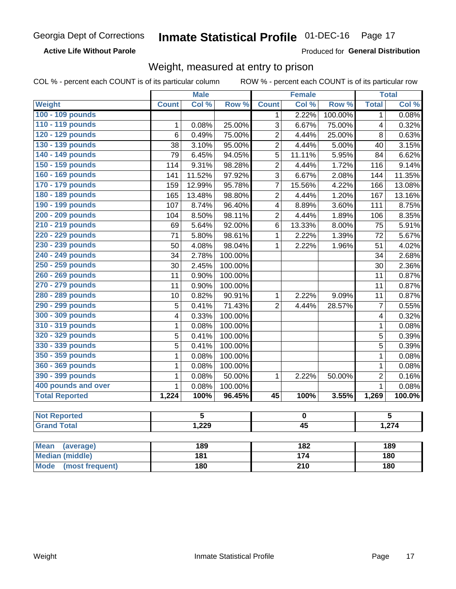### **Active Life Without Parole**

Produced for General Distribution

# Weight, measured at entry to prison

COL % - percent each COUNT is of its particular column

|                                |                          | <b>Male</b>             |         |                  | <b>Female</b>    |         |                | <b>Total</b> |  |
|--------------------------------|--------------------------|-------------------------|---------|------------------|------------------|---------|----------------|--------------|--|
| <b>Weight</b>                  | <b>Count</b>             | Col %                   | Row %   | <b>Count</b>     | Col %            | Row %   | <b>Total</b>   | Col %        |  |
| 100 - 109 pounds               |                          |                         |         | 1                | 2.22%            | 100.00% | $\mathbf 1$    | 0.08%        |  |
| 110 - 119 pounds               | $\mathbf{1}$             | 0.08%                   | 25.00%  | 3                | 6.67%            | 75.00%  | 4              | 0.32%        |  |
| 120 - 129 pounds               | $\overline{6}$           | 0.49%                   | 75.00%  | $\overline{c}$   | 4.44%            | 25.00%  | 8              | 0.63%        |  |
| 130 - 139 pounds               | 38                       | 3.10%                   | 95.00%  | $\overline{2}$   | 4.44%            | 5.00%   | 40             | 3.15%        |  |
| 140 - 149 pounds               | $\overline{79}$          | 6.45%                   | 94.05%  | $\overline{5}$   | 11.11%           | 5.95%   | 84             | 6.62%        |  |
| 150 - 159 pounds               | 114                      | 9.31%                   | 98.28%  | $\overline{2}$   | 4.44%            | 1.72%   | 116            | 9.14%        |  |
| 160 - 169 pounds               | 141                      | 11.52%                  | 97.92%  | $\overline{3}$   | 6.67%            | 2.08%   | 144            | 11.35%       |  |
| 170 - 179 pounds               | 159                      | 12.99%                  | 95.78%  | $\overline{7}$   | 15.56%           | 4.22%   | 166            | 13.08%       |  |
| 180 - 189 pounds               | 165                      | 13.48%                  | 98.80%  | $\overline{2}$   | 4.44%            | 1.20%   | 167            | 13.16%       |  |
| 190 - 199 pounds               | 107                      | 8.74%                   | 96.40%  | $\overline{4}$   | 8.89%            | 3.60%   | 111            | 8.75%        |  |
| 200 - 209 pounds               | 104                      | 8.50%                   | 98.11%  | $\overline{2}$   | 4.44%            | 1.89%   | 106            | 8.35%        |  |
| 210 - 219 pounds               | 69                       | 5.64%                   | 92.00%  | 6                | 13.33%           | 8.00%   | 75             | 5.91%        |  |
| 220 - 229 pounds               | 71                       | 5.80%                   | 98.61%  | $\mathbf{1}$     | 2.22%            | 1.39%   | 72             | 5.67%        |  |
| 230 - 239 pounds               | 50                       | 4.08%                   | 98.04%  | $\mathbf{1}$     | 2.22%            | 1.96%   | 51             | 4.02%        |  |
| 240 - 249 pounds               | 34                       | 2.78%                   | 100.00% |                  |                  |         | 34             | 2.68%        |  |
| 250 - 259 pounds               | 30                       | 2.45%                   | 100.00% |                  |                  |         | 30             | 2.36%        |  |
| 260 - 269 pounds               | 11                       | 0.90%                   | 100.00% |                  |                  |         | 11             | 0.87%        |  |
| 270 - 279 pounds               | 11                       | 0.90%                   | 100.00% |                  |                  |         | 11             | 0.87%        |  |
| 280 - 289 pounds               | 10                       | 0.82%                   | 90.91%  | $\mathbf{1}$     | 2.22%            | 9.09%   | 11             | 0.87%        |  |
| 290 - 299 pounds               | 5                        | 0.41%                   | 71.43%  | $\overline{2}$   | 4.44%            | 28.57%  | $\overline{7}$ | 0.55%        |  |
| 300 - 309 pounds               | 4                        | 0.33%                   | 100.00% |                  |                  |         | 4              | 0.32%        |  |
| 310 - 319 pounds               | 1                        | 0.08%                   | 100.00% |                  |                  |         | $\mathbf 1$    | 0.08%        |  |
| 320 - 329 pounds               | 5                        | 0.41%                   | 100.00% |                  |                  |         | 5              | 0.39%        |  |
| 330 - 339 pounds               | 5                        | 0.41%                   | 100.00% |                  |                  |         | 5              | 0.39%        |  |
| 350 - 359 pounds               | 1                        | 0.08%                   | 100.00% |                  |                  |         | $\mathbf{1}$   | 0.08%        |  |
| 360 - 369 pounds               | 1                        | 0.08%                   | 100.00% |                  |                  |         | $\mathbf{1}$   | 0.08%        |  |
| 390 - 399 pounds               | 1                        | 0.08%                   | 50.00%  | 1                | 2.22%            | 50.00%  | $\overline{2}$ | 0.16%        |  |
| 400 pounds and over            | $\mathbf{1}$             | 0.08%                   | 100.00% |                  |                  |         | $\mathbf{1}$   | 0.08%        |  |
| <b>Total Reported</b>          | 1,224                    | 100%                    | 96.45%  | 45               | 100%             | 3.55%   | 1,269          | 100.0%       |  |
| <b>Not Reported</b>            |                          | $\overline{\mathbf{5}}$ |         |                  | $\pmb{0}$        |         |                | 5            |  |
| <b>Grand Total</b>             | 1,229<br>$\overline{45}$ |                         |         |                  | 1,274            |         |                |              |  |
|                                |                          |                         |         |                  |                  |         |                |              |  |
| <b>Mean</b><br>(average)       |                          | 189                     |         |                  | 182              |         |                | 189          |  |
| <b>Median (middle)</b>         |                          | $\overline{181}$        |         |                  | $\overline{174}$ |         |                | 180          |  |
| <b>Mode</b><br>(most frequent) |                          | <b>180</b>              |         | $\overline{210}$ |                  |         | 180            |              |  |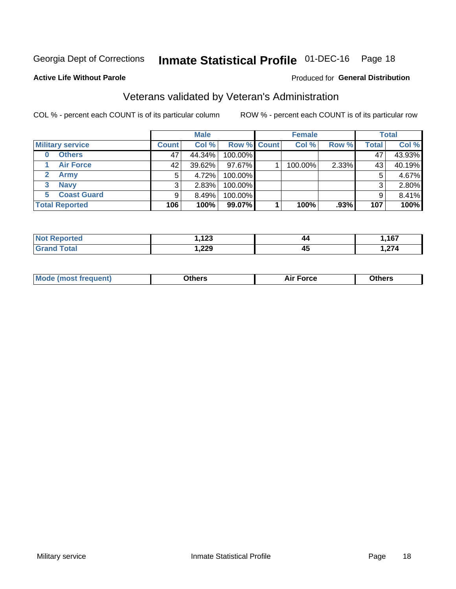# Inmate Statistical Profile 01-DEC-16 Page 18

### **Active Life Without Parole**

### Produced for General Distribution

# Veterans validated by Veteran's Administration

COL % - percent each COUNT is of its particular column

|                          |              | <b>Male</b> |                    | <b>Female</b> |       |       | <b>Total</b> |
|--------------------------|--------------|-------------|--------------------|---------------|-------|-------|--------------|
| <b>Military service</b>  | <b>Count</b> | Col %       | <b>Row % Count</b> | Col %         | Row % | Total | Col %        |
| <b>Others</b><br>0       | 47           | 44.34%      | 100.00%            |               |       | 47    | 43.93%       |
| <b>Air Force</b>         | 42           | 39.62%      | 97.67%             | 100.00%       | 2.33% | 43    | 40.19%       |
| Army                     | 5            | 4.72%       | 100.00%            |               |       | 5     | 4.67%        |
| <b>Navy</b><br>3         | 3            | 2.83%       | 100.00%            |               |       | 3     | 2.80%        |
| <b>Coast Guard</b><br>5. | 9            | $8.49\%$    | 100.00%            |               |       | 9     | 8.41%        |
| <b>Total Reported</b>    | 106          | 100%        | 99.07%             | 100%          | .93%  | 107   | 100%         |

| rteo        | ィっっ   | 44        | 167                          |
|-------------|-------|-----------|------------------------------|
| N           | , 12J |           |                              |
| $C = 4 - 7$ | ,229  | . .<br>4. | $\sim$ $\sim$ $\sim$<br>,,,, |

| <b>Moo.</b> |
|-------------|
|-------------|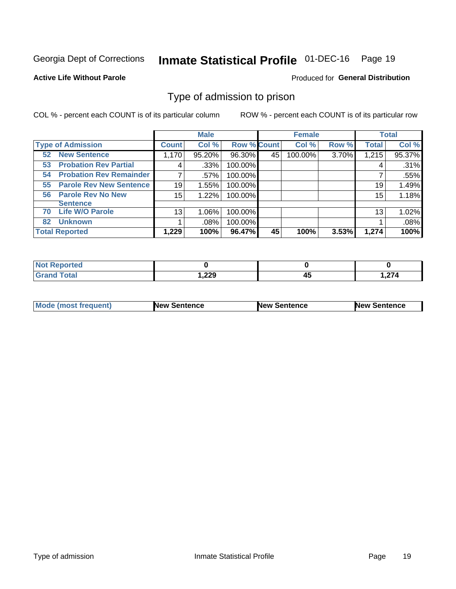#### **Inmate Statistical Profile 01-DEC-16** Page 19

**Active Life Without Parole** 

Produced for General Distribution

# Type of admission to prison

COL % - percent each COUNT is of its particular column

|                                      |              | <b>Male</b> |                    |    | <b>Female</b> |       |              | <b>Total</b> |
|--------------------------------------|--------------|-------------|--------------------|----|---------------|-------|--------------|--------------|
| <b>Type of Admission</b>             | <b>Count</b> | Col %       | <b>Row % Count</b> |    | Col %         | Row % | <b>Total</b> | Col %        |
| <b>New Sentence</b><br>52            | 1,170        | 95.20%      | 96.30%             | 45 | 100.00%       | 3.70% | 1,215        | 95.37%       |
| <b>Probation Rev Partial</b><br>53   | 4            | .33%        | 100.00%            |    |               |       | 4            | .31%         |
| <b>Probation Rev Remainder</b><br>54 |              | .57%        | 100.00%            |    |               |       |              | .55%         |
| <b>Parole Rev New Sentence</b><br>55 | 19           | 1.55%       | 100.00%            |    |               |       | 19           | 1.49%        |
| <b>Parole Rev No New</b><br>56       | 15           | 1.22%       | 100.00%            |    |               |       | 15           | 1.18%        |
| <b>Sentence</b>                      |              |             |                    |    |               |       |              |              |
| <b>Life W/O Parole</b><br>70         | 13           | 1.06%       | 100.00%            |    |               |       | 13           | 1.02%        |
| <b>Unknown</b><br>82                 |              | $.08\%$     | 100.00%            |    |               |       |              | .08%         |
| <b>Total Reported</b>                | 1,229        | 100%        | 96.47%             | 45 | 100%          | 3.53% | 1,274        | 100%         |

| Reported<br><b>NOT</b>             |               |    |       |
|------------------------------------|---------------|----|-------|
| <b>Total</b><br>"Gran <sub>"</sub> | າາດ<br>I .ZZJ | ᠇᠊ | 1,274 |

| Mode (most frequent) | <b>New Sentence</b> | <b>New Sentence</b> | <b>New Sentence</b> |
|----------------------|---------------------|---------------------|---------------------|
|                      |                     |                     |                     |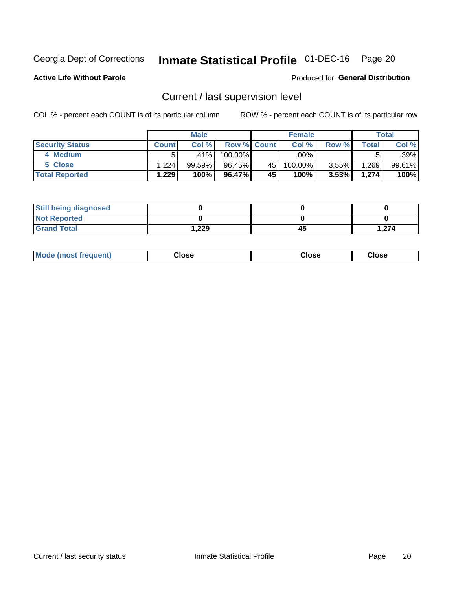# Inmate Statistical Profile 01-DEC-16 Page 20

**Active Life Without Parole** 

## **Produced for General Distribution**

# Current / last supervision level

COL % - percent each COUNT is of its particular column

|                        |              | <b>Male</b> |                    |    | <b>Female</b> |          |       | Total  |
|------------------------|--------------|-------------|--------------------|----|---------------|----------|-------|--------|
| <b>Security Status</b> | <b>Count</b> | Col%        | <b>Row % Count</b> |    | Col %         | Row %    | Total | Col %  |
| 4 Medium               |              | .41%        | 100.00%            |    | .00% '        |          |       | .39%   |
| 5 Close                | 1,224        | 99.59%      | 96.45%             | 45 | 100.00%       | 3.55%    | 1,269 | 99.61% |
| <b>Total Reported</b>  | 1,229        | 100%        | 96.47%             | 45 | 100%          | $3.53\%$ | 1,274 | 100%   |

| <b>Still being diagnosed</b> |        |    |       |
|------------------------------|--------|----|-------|
| <b>Not Reported</b>          |        |    |       |
| <b>Grand Total</b>           | 229. ا | 45 | 1,274 |

| <b>Mode (most frequent)</b> | Close | ∵lose | Close |
|-----------------------------|-------|-------|-------|
|                             |       |       |       |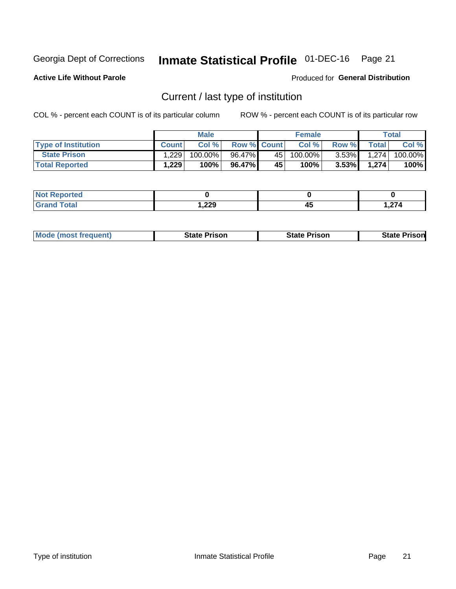# Inmate Statistical Profile 01-DEC-16 Page 21

**Active Life Without Parole** 

Produced for General Distribution

# Current / last type of institution

COL % - percent each COUNT is of its particular column

|                            |              | <b>Male</b> |                    |    | <b>Female</b> |          |              | <b>Total</b> |
|----------------------------|--------------|-------------|--------------------|----|---------------|----------|--------------|--------------|
| <b>Type of Institution</b> | <b>Count</b> | Col%        | <b>Row % Count</b> |    | Col %         | Row %    | <b>Total</b> | Col %        |
| <b>State Prison</b>        | 1.229        | 100.00%     | 96.47%             | 45 | 100.00%       | $3.53\%$ | 1.274        | 100.00%      |
| <b>Total Reported</b>      | 1,229        | 100%        | 96.47%             | 45 | $100\%$ .     | $3.53\%$ | 1.274        | 100%         |

| rted<br>. |        |    |             |
|-----------|--------|----|-------------|
|           | 229, ا | 45 | 27/<br>,214 |

|  | <b>Mode (most frequent)</b> | State Prison | <b>State Prison</b> | <b>State Prison</b> |
|--|-----------------------------|--------------|---------------------|---------------------|
|--|-----------------------------|--------------|---------------------|---------------------|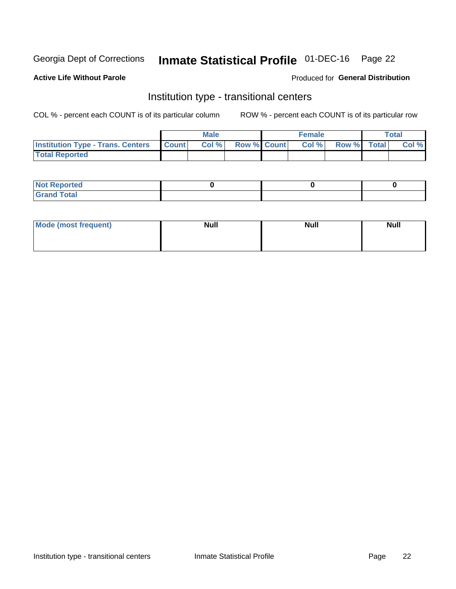# Inmate Statistical Profile 01-DEC-16 Page 22

## **Active Life Without Parole**

### Produced for General Distribution

# Institution type - transitional centers

COL % - percent each COUNT is of its particular column

|                                                  | <b>Male</b> |                    | <b>Female</b> |             | Total |
|--------------------------------------------------|-------------|--------------------|---------------|-------------|-------|
| <b>Institution Type - Trans. Centers Count  </b> | Col%        | <b>Row % Count</b> | Col %         | Row % Total | Col % |
| <b>Total Reported</b>                            |             |                    |               |             |       |

| <b>Reported</b><br><b>NOT</b><br>$\sim$            |  |  |
|----------------------------------------------------|--|--|
| $f$ $f \circ f \circ f$<br>$C = 1$<br><b>TULAI</b> |  |  |

| Mode (most frequent) | <b>Null</b> | <b>Null</b> | <b>Null</b> |
|----------------------|-------------|-------------|-------------|
|                      |             |             |             |
|                      |             |             |             |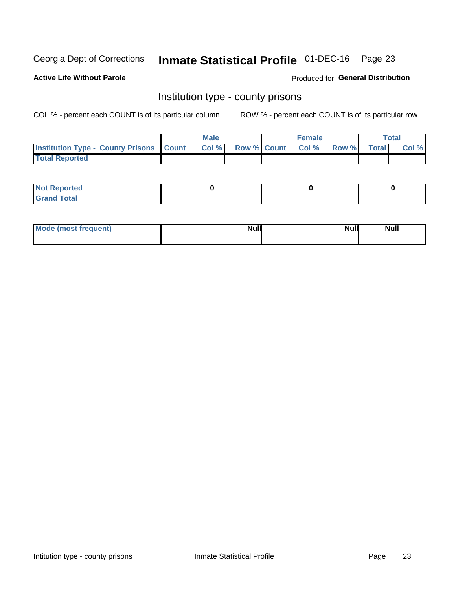# Inmate Statistical Profile 01-DEC-16 Page 23

**Active Life Without Parole** 

**Produced for General Distribution** 

## Institution type - county prisons

COL % - percent each COUNT is of its particular column

|                                                    | <b>Male</b> |       |  | <b>Female</b> |                          |             | <b>Total</b> |       |
|----------------------------------------------------|-------------|-------|--|---------------|--------------------------|-------------|--------------|-------|
| <b>Institution Type - County Prisons   Count  </b> |             | Col % |  |               | <b>Row % Count Col %</b> | Row % Total |              | Col % |
| <b>Total Reported</b>                              |             |       |  |               |                          |             |              |       |

| <b>Not</b><br>: Reported<br>$\cdots$ |  |  |
|--------------------------------------|--|--|
| <b>Total</b><br>---                  |  |  |

| Mode (most frequent) | <b>Null</b> | <b>Null</b><br><b>Null</b> |
|----------------------|-------------|----------------------------|
|                      |             |                            |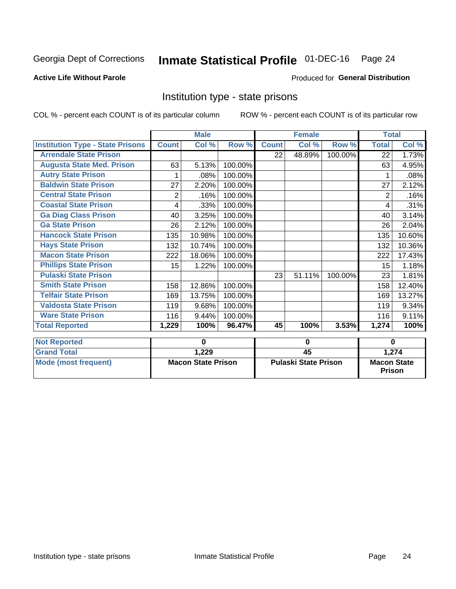# Inmate Statistical Profile 01-DEC-16 Page 24

### **Active Life Without Parole**

## **Produced for General Distribution**

# Institution type - state prisons

COL % - percent each COUNT is of its particular column

ROW % - percent each COUNT is of its particular row

|                                         | <b>Male</b>  |                           |         | <b>Female</b> |                             |         | <b>Total</b> |                    |  |
|-----------------------------------------|--------------|---------------------------|---------|---------------|-----------------------------|---------|--------------|--------------------|--|
| <b>Institution Type - State Prisons</b> | <b>Count</b> | Col %                     | Row %   | <b>Count</b>  | Col %                       | Row %   | <b>Total</b> | Col %              |  |
| <b>Arrendale State Prison</b>           |              |                           |         | 22            | 48.89%                      | 100.00% | 22           | 1.73%              |  |
| <b>Augusta State Med. Prison</b>        | 63           | 5.13%                     | 100.00% |               |                             |         | 63           | 4.95%              |  |
| <b>Autry State Prison</b>               |              | .08%                      | 100.00% |               |                             |         |              | .08%               |  |
| <b>Baldwin State Prison</b>             | 27           | 2.20%                     | 100.00% |               |                             |         | 27           | 2.12%              |  |
| <b>Central State Prison</b>             | 2            | .16%                      | 100.00% |               |                             |         | 2            | .16%               |  |
| <b>Coastal State Prison</b>             | 4            | .33%                      | 100.00% |               |                             |         | 4            | .31%               |  |
| <b>Ga Diag Class Prison</b>             | 40           | 3.25%                     | 100.00% |               |                             |         | 40           | 3.14%              |  |
| <b>Ga State Prison</b>                  | 26           | 2.12%                     | 100.00% |               |                             |         | 26           | 2.04%              |  |
| <b>Hancock State Prison</b>             | 135          | 10.98%                    | 100.00% |               |                             |         | 135          | 10.60%             |  |
| <b>Hays State Prison</b>                | 132          | 10.74%                    | 100.00% |               |                             |         | 132          | 10.36%             |  |
| <b>Macon State Prison</b>               | 222          | 18.06%                    | 100.00% |               |                             |         | 222          | 17.43%             |  |
| <b>Phillips State Prison</b>            | 15           | 1.22%                     | 100.00% |               |                             |         | 15           | 1.18%              |  |
| <b>Pulaski State Prison</b>             |              |                           |         | 23            | 51.11%                      | 100.00% | 23           | 1.81%              |  |
| <b>Smith State Prison</b>               | 158          | 12.86%                    | 100.00% |               |                             |         | 158          | 12.40%             |  |
| <b>Telfair State Prison</b>             | 169          | 13.75%                    | 100.00% |               |                             |         | 169          | 13.27%             |  |
| <b>Valdosta State Prison</b>            | 119          | 9.68%                     | 100.00% |               |                             |         | 119          | 9.34%              |  |
| <b>Ware State Prison</b>                | 116          | 9.44%                     | 100.00% |               |                             |         | 116          | 9.11%              |  |
| <b>Total Reported</b>                   | 1,229        | 100%                      | 96.47%  | 45            | 100%                        | 3.53%   | 1,274        | 100%               |  |
|                                         |              |                           |         |               |                             |         |              |                    |  |
| <b>Not Reported</b>                     |              | $\bf{0}$                  |         | $\bf{0}$      |                             |         | $\bf{0}$     |                    |  |
| <b>Grand Total</b>                      |              | 1,229                     |         |               | 45                          |         | 1,274        |                    |  |
| <b>Mode (most frequent)</b>             |              | <b>Macon State Prison</b> |         |               | <b>Pulaski State Prison</b> |         |              | <b>Macon State</b> |  |

Prison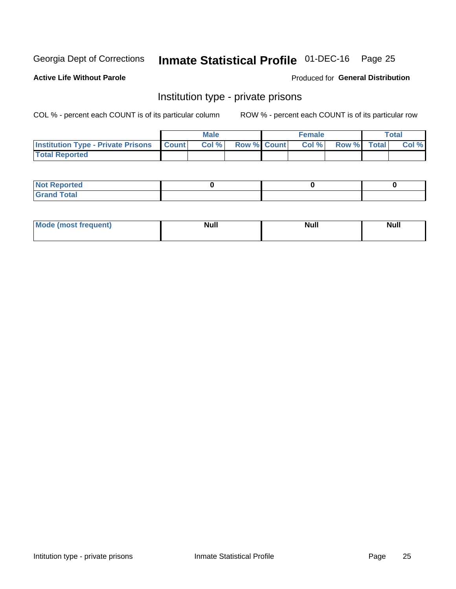# Inmate Statistical Profile 01-DEC-16 Page 25

## **Active Life Without Parole**

### Produced for General Distribution

# Institution type - private prisons

COL % - percent each COUNT is of its particular column

|                                                     | <b>Male</b> |       |                    | <b>Female</b> |       |             | Total |       |
|-----------------------------------------------------|-------------|-------|--------------------|---------------|-------|-------------|-------|-------|
| <b>Institution Type - Private Prisons   Count  </b> |             | Col % | <b>Row % Count</b> |               | Col % | Row % Total |       | Col % |
| <b>Total Reported</b>                               |             |       |                    |               |       |             |       |       |

| Not Reported          |  |  |
|-----------------------|--|--|
| <b>Cotal</b><br>_____ |  |  |

| <b>Mo</b><br>frequent) | <b>Null</b> | <b>Null</b> | . . I *<br><b>IVUII</b> |
|------------------------|-------------|-------------|-------------------------|
|                        |             |             |                         |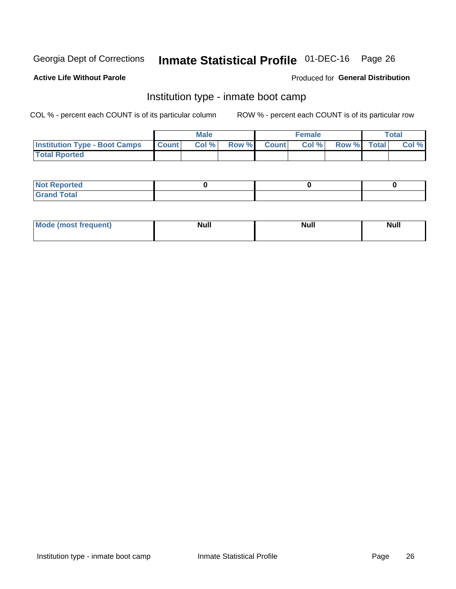# Inmate Statistical Profile 01-DEC-16 Page 26

### **Active Life Without Parole**

## **Produced for General Distribution**

# Institution type - inmate boot camp

COL % - percent each COUNT is of its particular column

|                                      | <b>Male</b>  |       |               |              | <b>Female</b> | <b>Total</b> |  |       |
|--------------------------------------|--------------|-------|---------------|--------------|---------------|--------------|--|-------|
| <b>Institution Type - Boot Camps</b> | <b>Count</b> | Col % | <b>Row %I</b> | <b>Count</b> | Col %         | Row % Total  |  | Col % |
| <b>Total Rported</b>                 |              |       |               |              |               |              |  |       |

| <b>Not Reported</b>            |  |  |
|--------------------------------|--|--|
| <b>Total</b><br>C <sub>r</sub> |  |  |

| Mod<br>uamo | Nul.<br>$- - - - - -$ | <b>Null</b> | . .<br>uu.<br>------ |
|-------------|-----------------------|-------------|----------------------|
|             |                       |             |                      |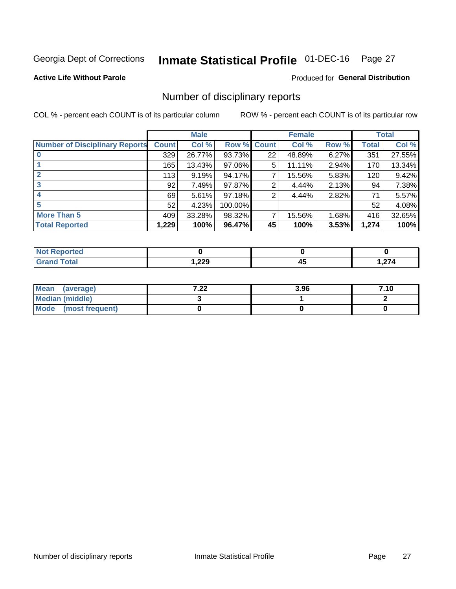# Inmate Statistical Profile 01-DEC-16 Page 27

## **Active Life Without Parole**

## **Produced for General Distribution**

# Number of disciplinary reports

COL % - percent each COUNT is of its particular column

|                                       | <b>Male</b>  |        |         | <b>Female</b> |        |       | <b>Total</b> |        |
|---------------------------------------|--------------|--------|---------|---------------|--------|-------|--------------|--------|
| <b>Number of Disciplinary Reports</b> | <b>Count</b> | Col %  | Row %   | <b>Count</b>  | Col %  | Row % | <b>Total</b> | Col %  |
|                                       | 329          | 26.77% | 93.73%  | 22            | 48.89% | 6.27% | 351          | 27.55% |
|                                       | 165          | 13.43% | 97.06%  | 5             | 11.11% | 2.94% | 170          | 13.34% |
| $\mathbf{2}$                          | 113          | 9.19%  | 94.17%  | 7             | 15.56% | 5.83% | 120          | 9.42%  |
| 3                                     | 92           | 7.49%  | 97.87%  | 2             | 4.44%  | 2.13% | 94           | 7.38%  |
|                                       | 69           | 5.61%  | 97.18%  | 2             | 4.44%  | 2.82% | 71           | 5.57%  |
| 5                                     | 52           | 4.23%  | 100.00% |               |        |       | 52           | 4.08%  |
| <b>More Than 5</b>                    | 409          | 33.28% | 98.32%  | 7             | 15.56% | 1.68% | 416          | 32.65% |
| <b>Total Reported</b>                 | 1,229        | 100%   | 96.47%  | 45            | 100%   | 3.53% | 1,274        | 100%   |

| тео<br>NO |        |   |      |
|-----------|--------|---|------|
| Гоtal     | 229, ا | ⊶ | ,274 |

| Mean (average)       | ר ר<br>$\mathbf{L}$ | 3.96 | 7.10 |
|----------------------|---------------------|------|------|
| Median (middle)      |                     |      |      |
| Mode (most frequent) |                     |      |      |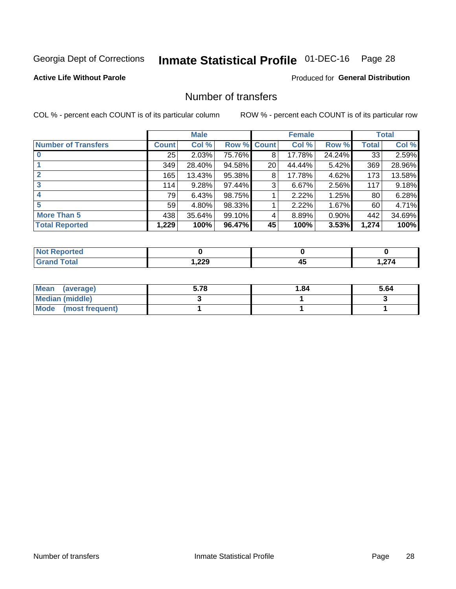# Inmate Statistical Profile 01-DEC-16 Page 28

## **Active Life Without Parole**

## **Produced for General Distribution**

# Number of transfers

COL % - percent each COUNT is of its particular column

|                            |              | <b>Male</b> |        |              | <b>Female</b> |        |              | <b>Total</b> |
|----------------------------|--------------|-------------|--------|--------------|---------------|--------|--------------|--------------|
| <b>Number of Transfers</b> | <b>Count</b> | Col %       | Row %  | <b>Count</b> | Col %         | Row %  | <b>Total</b> | Col %        |
|                            | 25           | 2.03%       | 75.76% | 8            | 17.78%        | 24.24% | 33           | 2.59%        |
|                            | 349          | 28.40%      | 94.58% | 20           | 44.44%        | 5.42%  | 369          | 28.96%       |
| $\mathbf{2}$               | 165          | 13.43%      | 95.38% | 8            | 17.78%        | 4.62%  | 173          | 13.58%       |
| 3                          | 114          | 9.28%       | 97.44% | 3            | 6.67%         | 2.56%  | 117          | 9.18%        |
|                            | 79           | 6.43%       | 98.75% |              | 2.22%         | 1.25%  | 80           | 6.28%        |
| 5                          | 59           | 4.80%       | 98.33% |              | 2.22%         | 1.67%  | 60           | 4.71%        |
| <b>More Than 5</b>         | 438          | 35.64%      | 99.10% | 4            | 8.89%         | 0.90%  | 442          | 34.69%       |
| <b>Total Reported</b>      | 1,229        | 100%        | 96.47% | 45           | 100%          | 3.53%  | 1,274        | 100%         |

| neo |        |                |      |
|-----|--------|----------------|------|
|     | 229, ا | ,,,<br>−<br>__ | ,274 |

| Mean (average)       | 5.78 | 1.84 | 5.64 |
|----------------------|------|------|------|
| Median (middle)      |      |      |      |
| Mode (most frequent) |      |      |      |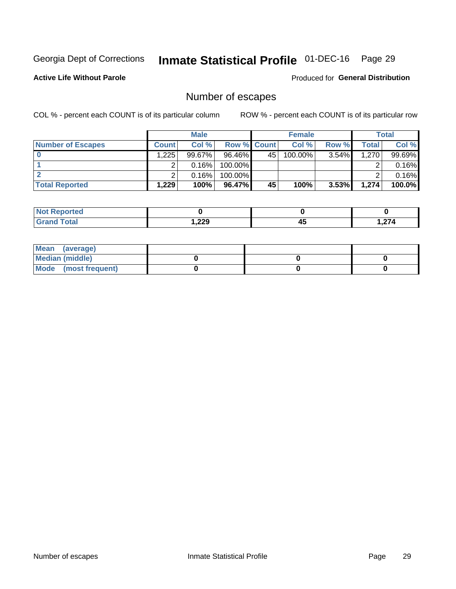# Inmate Statistical Profile 01-DEC-16 Page 29

**Active Life Without Parole** 

**Produced for General Distribution** 

# Number of escapes

COL % - percent each COUNT is of its particular column

|                          | <b>Male</b>  |           |                    | <b>Female</b> |            |          | Total |        |
|--------------------------|--------------|-----------|--------------------|---------------|------------|----------|-------|--------|
| <b>Number of Escapes</b> | <b>Count</b> | Col %     | <b>Row % Count</b> |               | Col %      | Row %    | Total | Col %  |
|                          | .225         | $99.67\%$ | 96.46%             | 45            | $100.00\%$ | 3.54%    | 1,270 | 99.69% |
|                          |              | 0.16%     | 100.00%            |               |            |          |       | 0.16%  |
|                          |              | 0.16%     | 100.00%            |               |            |          |       | 0.16%  |
| <b>Total Reported</b>    | ∃229.        | 100%      | $96.47\%$          | 45            | 100%       | $3.53\%$ | 1.274 | 100.0% |

| <b>rted</b><br><b>NOT</b> |        |          |        |
|---------------------------|--------|----------|--------|
| <b>Total</b><br>Grand     | 229, ا | ,,,<br>∼ | $\sim$ |

| Mean (average)       |  |  |
|----------------------|--|--|
| Median (middle)      |  |  |
| Mode (most frequent) |  |  |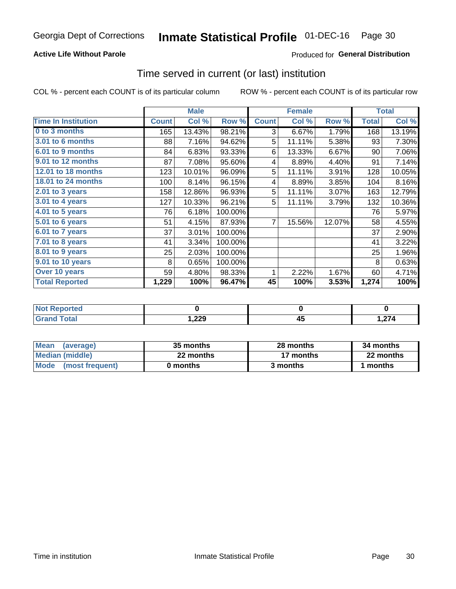## **Active Life Without Parole**

## Produced for General Distribution

## Time served in current (or last) institution

COL % - percent each COUNT is of its particular column

|                              |              | <b>Male</b> |         |              | <b>Female</b> |        |              | <b>Total</b> |
|------------------------------|--------------|-------------|---------|--------------|---------------|--------|--------------|--------------|
| <b>Time In Institution</b>   | <b>Count</b> | Col %       | Row %   | <b>Count</b> | Col %         | Row %  | <b>Total</b> | Col %        |
| 0 to 3 months                | 165          | 13.43%      | 98.21%  | 3            | 6.67%         | 1.79%  | 168          | 13.19%       |
| 3.01 to 6 months             | 88           | 7.16%       | 94.62%  | 5            | 11.11%        | 5.38%  | 93           | 7.30%        |
| 6.01 to 9 months             | 84           | 6.83%       | 93.33%  | 6            | 13.33%        | 6.67%  | 90           | 7.06%        |
| 9.01 to 12 months            | 87           | 7.08%       | 95.60%  | 4            | 8.89%         | 4.40%  | 91           | 7.14%        |
| <b>12.01 to 18 months</b>    | 123          | 10.01%      | 96.09%  | 5            | 11.11%        | 3.91%  | 128          | 10.05%       |
| <b>18.01 to 24 months</b>    | 100          | 8.14%       | 96.15%  | 4            | 8.89%         | 3.85%  | 104          | 8.16%        |
| $2.01$ to 3 years            | 158          | 12.86%      | 96.93%  | 5            | 11.11%        | 3.07%  | 163          | 12.79%       |
| 3.01 to 4 years              | 127          | 10.33%      | 96.21%  | 5            | 11.11%        | 3.79%  | 132          | 10.36%       |
| $4.01$ to 5 years            | 76           | 6.18%       | 100.00% |              |               |        | 76           | 5.97%        |
| $\overline{5.01}$ to 6 years | 51           | 4.15%       | 87.93%  | 7            | 15.56%        | 12.07% | 58           | 4.55%        |
| 6.01 to 7 years              | 37           | 3.01%       | 100.00% |              |               |        | 37           | 2.90%        |
| $7.01$ to 8 years            | 41           | 3.34%       | 100.00% |              |               |        | 41           | 3.22%        |
| 8.01 to 9 years              | 25           | 2.03%       | 100.00% |              |               |        | 25           | 1.96%        |
| 9.01 to 10 years             | 8            | 0.65%       | 100.00% |              |               |        | 8            | 0.63%        |
| Over 10 years                | 59           | 4.80%       | 98.33%  | 1            | 2.22%         | 1.67%  | 60           | 4.71%        |
| <b>Total Reported</b>        | 1,229        | 100%        | 96.47%  | 45           | 100%          | 3.53%  | 1,274        | 100%         |

| <b>roorted</b><br><b>NOT</b> |              |                |                 |
|------------------------------|--------------|----------------|-----------------|
| $f \wedge f \wedge f$        | ാറ<br>532, ، | --<br>л.<br>≖∾ | - 274<br>1,Z 14 |

| <b>Mean</b><br>(average) | 35 months | 28 months | 34 months |
|--------------------------|-----------|-----------|-----------|
| Median (middle)          | 22 months | 17 months | 22 months |
| Mode (most frequent)     | 0 months  | 3 months  | l months  |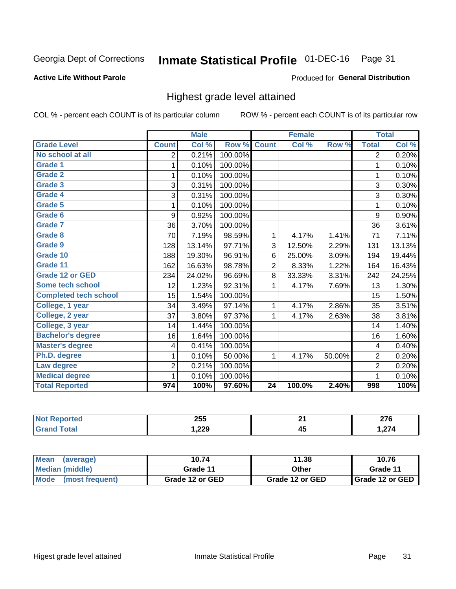#### **Inmate Statistical Profile 01-DEC-16** Page 31

## **Active Life Without Parole**

### Produced for General Distribution

# Highest grade level attained

COL % - percent each COUNT is of its particular column

|                              |                         | <b>Male</b> |         |                 | <b>Female</b> |        |                         | <b>Total</b> |
|------------------------------|-------------------------|-------------|---------|-----------------|---------------|--------|-------------------------|--------------|
| <b>Grade Level</b>           | <b>Count</b>            | Col %       | Row %   | <b>Count</b>    | Col %         | Row %  | <b>Total</b>            | Col %        |
| No school at all             | 2                       | 0.21%       | 100.00% |                 |               |        | 2                       | 0.20%        |
| Grade 1                      | 1                       | 0.10%       | 100.00% |                 |               |        | 1                       | 0.10%        |
| <b>Grade 2</b>               | 1                       | 0.10%       | 100.00% |                 |               |        | $\mathbf{1}$            | 0.10%        |
| Grade 3                      | 3                       | 0.31%       | 100.00% |                 |               |        | 3                       | 0.30%        |
| <b>Grade 4</b>               | 3                       | 0.31%       | 100.00% |                 |               |        | 3                       | 0.30%        |
| Grade 5                      | 1                       | 0.10%       | 100.00% |                 |               |        | $\mathbf{1}$            | 0.10%        |
| Grade 6                      | 9                       | 0.92%       | 100.00% |                 |               |        | 9                       | 0.90%        |
| Grade 7                      | 36                      | 3.70%       | 100.00% |                 |               |        | 36                      | 3.61%        |
| Grade 8                      | 70                      | 7.19%       | 98.59%  | 1               | 4.17%         | 1.41%  | 71                      | 7.11%        |
| Grade 9                      | 128                     | 13.14%      | 97.71%  | 3               | 12.50%        | 2.29%  | 131                     | 13.13%       |
| Grade 10                     | 188                     | 19.30%      | 96.91%  | 6               | 25.00%        | 3.09%  | 194                     | 19.44%       |
| Grade 11                     | 162                     | 16.63%      | 98.78%  | $\overline{2}$  | 8.33%         | 1.22%  | 164                     | 16.43%       |
| <b>Grade 12 or GED</b>       | 234                     | 24.02%      | 96.69%  | 8               | 33.33%        | 3.31%  | 242                     | 24.25%       |
| Some tech school             | 12                      | 1.23%       | 92.31%  | 1               | 4.17%         | 7.69%  | 13                      | 1.30%        |
| <b>Completed tech school</b> | 15                      | 1.54%       | 100.00% |                 |               |        | 15                      | 1.50%        |
| College, 1 year              | 34                      | 3.49%       | 97.14%  | 1               | 4.17%         | 2.86%  | 35                      | 3.51%        |
| College, 2 year              | 37                      | 3.80%       | 97.37%  | 1               | 4.17%         | 2.63%  | 38                      | 3.81%        |
| College, 3 year              | 14                      | 1.44%       | 100.00% |                 |               |        | 14                      | 1.40%        |
| <b>Bachelor's degree</b>     | 16                      | 1.64%       | 100.00% |                 |               |        | 16                      | 1.60%        |
| <b>Master's degree</b>       | $\overline{\mathbf{4}}$ | 0.41%       | 100.00% |                 |               |        | $\overline{\mathbf{4}}$ | 0.40%        |
| Ph.D. degree                 | 1                       | 0.10%       | 50.00%  | 1               | 4.17%         | 50.00% | $\overline{2}$          | 0.20%        |
| Law degree                   | $\overline{2}$          | 0.21%       | 100.00% |                 |               |        | $\overline{2}$          | 0.20%        |
| <b>Medical degree</b>        | 1                       | 0.10%       | 100.00% |                 |               |        | 1                       | 0.10%        |
| <b>Total Reported</b>        | 974                     | 100%        | 97.60%  | $\overline{24}$ | 100.0%        | 2.40%  | 998                     | 100%         |

| 1412101         | 255   | п.<br>- -       | ---<br>21 V                            |
|-----------------|-------|-----------------|----------------------------------------|
| $\sim$ . $\sim$ | 229,، | - -<br>л і<br>™ | $\sim$<br>$\rightarrow$ $ \rightarrow$ |

| <b>Mean</b><br>(average) | 10.74           | 11.38           | 10.76             |
|--------------------------|-----------------|-----------------|-------------------|
| Median (middle)          | Grade 11        | Other           | Grade 11          |
| Mode<br>(most frequent)  | Grade 12 or GED | Grade 12 or GED | I Grade 12 or GED |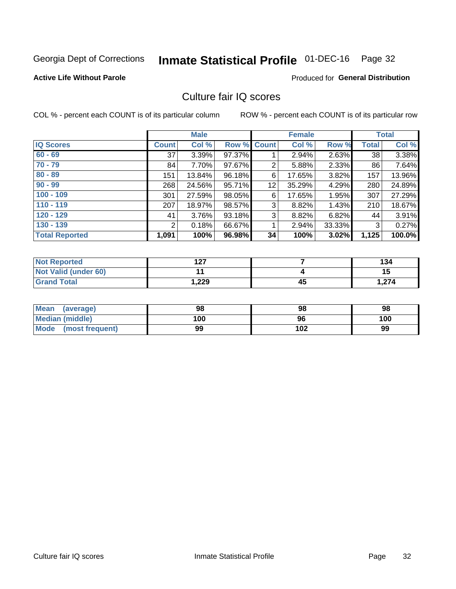# Inmate Statistical Profile 01-DEC-16 Page 32

### **Active Life Without Parole**

## **Produced for General Distribution**

# Culture fair IQ scores

COL % - percent each COUNT is of its particular column

|                       | <b>Male</b>  |        |                    |    | <b>Female</b> | <b>Total</b> |              |        |
|-----------------------|--------------|--------|--------------------|----|---------------|--------------|--------------|--------|
| <b>IQ Scores</b>      | <b>Count</b> | Col %  | <b>Row % Count</b> |    | Col %         | Row %        | <b>Total</b> | Col %  |
| $60 - 69$             | 37           | 3.39%  | 97.37%             |    | 2.94%         | 2.63%        | 38           | 3.38%  |
| $70 - 79$             | 84           | 7.70%  | 97.67%             | 2  | 5.88%         | 2.33%        | 86           | 7.64%  |
| $80 - 89$             | 151          | 13.84% | 96.18%             | 6  | 17.65%        | $3.82\%$     | 157          | 13.96% |
| $90 - 99$             | 268          | 24.56% | 95.71%             | 12 | 35.29%        | 4.29%        | 280          | 24.89% |
| $100 - 109$           | 301          | 27.59% | 98.05%             | 6  | 17.65%        | 1.95%        | 307          | 27.29% |
| $110 - 119$           | 207          | 18.97% | 98.57%             | 3  | 8.82%         | 1.43%        | 210          | 18.67% |
| $120 - 129$           | 41           | 3.76%  | 93.18%             | 3  | 8.82%         | 6.82%        | 44           | 3.91%  |
| $130 - 139$           | 2            | 0.18%  | 66.67%             | 1  | 2.94%         | 33.33%       | 3            | 0.27%  |
| <b>Total Reported</b> | 1,091        | 100%   | 96.98%             | 34 | 100%          | 3.02%        | 1,125        | 100.0% |

| <b>Not Reported</b>  | 1 2 7<br>I 41 |    | 134   |
|----------------------|---------------|----|-------|
| Not Valid (under 60) |               |    | 15    |
| <b>Grand Total</b>   | 229,          | 45 | 1,274 |

| <b>Mean</b><br>(average) | 98  | 98  | 98  |
|--------------------------|-----|-----|-----|
| Median (middle)          | 100 | 96  | 100 |
| Mode (most frequent)     | 99  | 102 | 99  |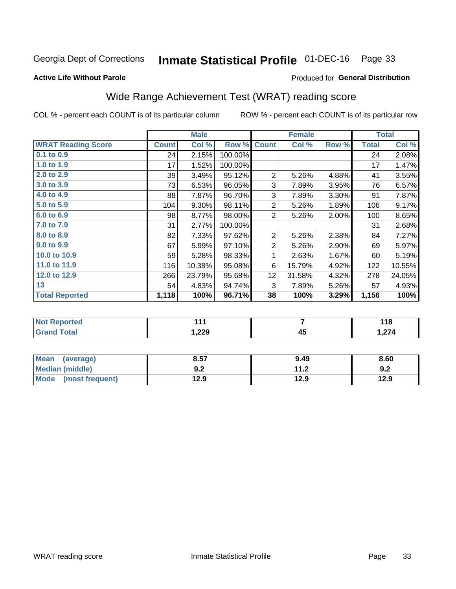# Inmate Statistical Profile 01-DEC-16 Page 33

### **Active Life Without Parole**

### Produced for General Distribution

# Wide Range Achievement Test (WRAT) reading score

COL % - percent each COUNT is of its particular column

|                           |              | <b>Male</b> |         |                           | <b>Female</b> |       |              | <b>Total</b> |  |  |
|---------------------------|--------------|-------------|---------|---------------------------|---------------|-------|--------------|--------------|--|--|
| <b>WRAT Reading Score</b> | <b>Count</b> | Col %       | Row %   | <b>Count</b>              | Col %         | Row % | <b>Total</b> | Col %        |  |  |
| 0.1 to 0.9                | 24           | 2.15%       | 100.00% |                           |               |       | 24           | 2.08%        |  |  |
| 1.0 to 1.9                | 17           | 1.52%       | 100.00% |                           |               |       | 17           | 1.47%        |  |  |
| 2.0 to 2.9                | 39           | 3.49%       | 95.12%  | $\overline{2}$            | 5.26%         | 4.88% | 41           | 3.55%        |  |  |
| 3.0 to 3.9                | 73           | 6.53%       | 96.05%  | $\ensuremath{\mathsf{3}}$ | 7.89%         | 3.95% | 76           | 6.57%        |  |  |
| 4.0 to 4.9                | 88           | 7.87%       | 96.70%  | 3                         | 7.89%         | 3.30% | 91           | 7.87%        |  |  |
| 5.0 t0 5.9                | 104          | 9.30%       | 98.11%  | $\overline{2}$            | 5.26%         | 1.89% | 106          | 9.17%        |  |  |
| 6.0 to 6.9                | 98           | 8.77%       | 98.00%  | $\overline{2}$            | 5.26%         | 2.00% | 100          | 8.65%        |  |  |
| 7.0 to 7.9                | 31           | 2.77%       | 100.00% |                           |               |       | 31           | 2.68%        |  |  |
| 8.0 to 8.9                | 82           | 7.33%       | 97.62%  | $\overline{c}$            | 5.26%         | 2.38% | 84           | 7.27%        |  |  |
| 9.0 to 9.9                | 67           | 5.99%       | 97.10%  | $\overline{2}$            | 5.26%         | 2.90% | 69           | 5.97%        |  |  |
| 10.0 to 10.9              | 59           | 5.28%       | 98.33%  | 1                         | 2.63%         | 1.67% | 60           | 5.19%        |  |  |
| 11.0 to 11.9              | 116          | 10.38%      | 95.08%  | 6                         | 15.79%        | 4.92% | 122          | 10.55%       |  |  |
| 12.0 to 12.9              | 266          | 23.79%      | 95.68%  | 12                        | 31.58%        | 4.32% | 278          | 24.05%       |  |  |
| 13                        | 54           | 4.83%       | 94.74%  | 3                         | 7.89%         | 5.26% | 57           | 4.93%        |  |  |
| <b>Total Reported</b>     | 1,118        | 100%        | 96.71%  | 38                        | 100%          | 3.29% | 1,156        | 100%         |  |  |
|                           |              |             |         |                           |               |       |              |              |  |  |
| <b>Not Reported</b>       |              | 111         |         | 7                         |               |       | 118          |              |  |  |
| <b>Grand Total</b>        |              | 1,229       |         |                           | 45            |       |              | 1,274        |  |  |

| <b>Mean</b><br>(average)       | 8.57       | 9.49         | 8.60 |
|--------------------------------|------------|--------------|------|
| <b>Median (middle)</b>         | י י<br>J.Z | 112<br>. . Z | 9.2  |
| <b>Mode</b><br>(most frequent) | 12.9       | 12.9         | 12.9 |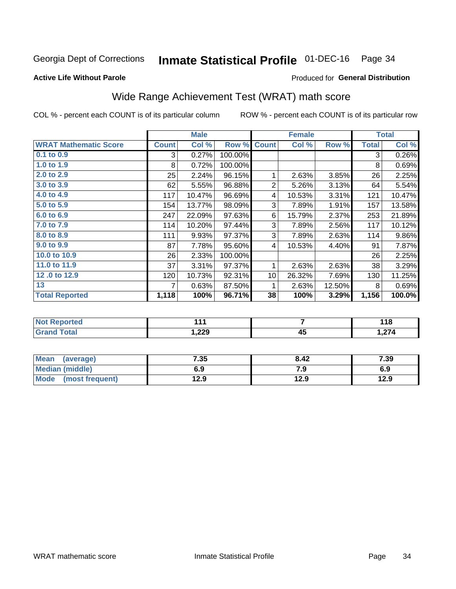# Inmate Statistical Profile 01-DEC-16 Page 34

### **Active Life Without Parole**

## **Produced for General Distribution**

# Wide Range Achievement Test (WRAT) math score

COL % - percent each COUNT is of its particular column

|                              |              | <b>Male</b> |         |                 | <b>Female</b> |        |              | <b>Total</b> |  |
|------------------------------|--------------|-------------|---------|-----------------|---------------|--------|--------------|--------------|--|
| <b>WRAT Mathematic Score</b> | <b>Count</b> | Col %       | Row %   | <b>Count</b>    | Col %         | Row %  | <b>Total</b> | Col %        |  |
| 0.1 to 0.9                   | 3            | 0.27%       | 100.00% |                 |               |        | 3            | 0.26%        |  |
| 1.0 to 1.9                   | 8            | 0.72%       | 100.00% |                 |               |        | 8            | 0.69%        |  |
| 2.0 to 2.9                   | 25           | 2.24%       | 96.15%  | 1               | 2.63%         | 3.85%  | 26           | 2.25%        |  |
| 3.0 to 3.9                   | 62           | 5.55%       | 96.88%  | $\overline{2}$  | 5.26%         | 3.13%  | 64           | 5.54%        |  |
| 4.0 to 4.9                   | 117          | 10.47%      | 96.69%  | 4               | 10.53%        | 3.31%  | 121          | 10.47%       |  |
| 5.0 to 5.9                   | 154          | 13.77%      | 98.09%  | 3               | 7.89%         | 1.91%  | 157          | 13.58%       |  |
| 6.0 to 6.9                   | 247          | 22.09%      | 97.63%  | 6               | 15.79%        | 2.37%  | 253          | 21.89%       |  |
| 7.0 to 7.9                   | 114          | 10.20%      | 97.44%  | 3               | 7.89%         | 2.56%  | 117          | 10.12%       |  |
| 8.0 to 8.9                   | 111          | 9.93%       | 97.37%  | 3               | 7.89%         | 2.63%  | 114          | $9.86\%$     |  |
| 9.0 to 9.9                   | 87           | 7.78%       | 95.60%  | 4               | 10.53%        | 4.40%  | 91           | 7.87%        |  |
| 10.0 to 10.9                 | 26           | 2.33%       | 100.00% |                 |               |        | 26           | 2.25%        |  |
| 11.0 to 11.9                 | 37           | 3.31%       | 97.37%  | 1               | 2.63%         | 2.63%  | 38           | 3.29%        |  |
| 12.0 to 12.9                 | 120          | 10.73%      | 92.31%  | 10 <sup>1</sup> | 26.32%        | 7.69%  | 130          | 11.25%       |  |
| 13                           | 7            | 0.63%       | 87.50%  | 1               | 2.63%         | 12.50% | 8            | 0.69%        |  |
| <b>Total Reported</b>        | 1,118        | 100%        | 96.71%  | 38              | 100%          | 3.29%  | 1,156        | 100.0%       |  |
|                              |              |             |         |                 |               |        |              |              |  |
| <b>Not Reported</b>          |              | 111         |         | $\overline{7}$  |               |        | 118          |              |  |
| <b>Grand Total</b>           |              | 1,229       |         | 45              |               |        | 1,274        |              |  |

| <b>Mean</b><br>(average) | 7.35 | 8.42 | 7.39 |
|--------------------------|------|------|------|
| <b>Median (middle)</b>   | 6.9  | 7.9  | 6.9  |
| Mode (most frequent)     | 12.9 | 12.9 | 12.9 |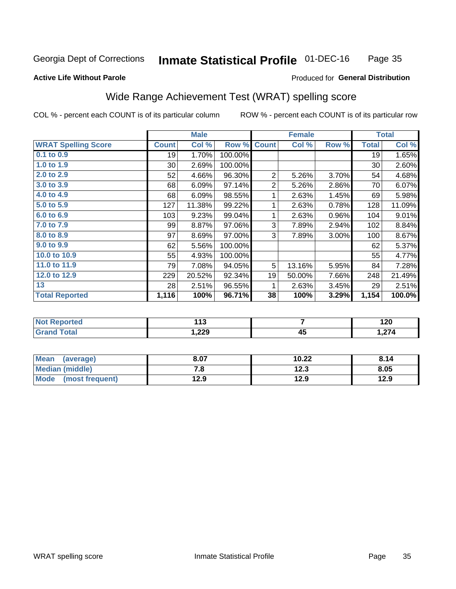#### **Inmate Statistical Profile 01-DEC-16** Page 35

## **Active Life Without Parole**

## **Produced for General Distribution**

# Wide Range Achievement Test (WRAT) spelling score

COL % - percent each COUNT is of its particular column

|                            |              | <b>Male</b> |         | <b>Female</b>  |        |       | <b>Total</b> |        |  |  |
|----------------------------|--------------|-------------|---------|----------------|--------|-------|--------------|--------|--|--|
| <b>WRAT Spelling Score</b> | <b>Count</b> | Col %       | Row %   | <b>Count</b>   | Col %  | Row % | <b>Total</b> | Col %  |  |  |
| $0.1$ to $0.9$             | 19           | 1.70%       | 100.00% |                |        |       | 19           | 1.65%  |  |  |
| 1.0 to 1.9                 | 30           | 2.69%       | 100.00% |                |        |       | 30           | 2.60%  |  |  |
| 2.0 to 2.9                 | 52           | 4.66%       | 96.30%  | 2              | 5.26%  | 3.70% | 54           | 4.68%  |  |  |
| 3.0 to 3.9                 | 68           | 6.09%       | 97.14%  | $\overline{2}$ | 5.26%  | 2.86% | 70           | 6.07%  |  |  |
| 4.0 to 4.9                 | 68           | 6.09%       | 98.55%  | 1              | 2.63%  | 1.45% | 69           | 5.98%  |  |  |
| 5.0 to 5.9                 | 127          | 11.38%      | 99.22%  | 1              | 2.63%  | 0.78% | 128          | 11.09% |  |  |
| 6.0 to 6.9                 | 103          | 9.23%       | 99.04%  | 1              | 2.63%  | 0.96% | 104          | 9.01%  |  |  |
| 7.0 to 7.9                 | 99           | 8.87%       | 97.06%  | 3              | 7.89%  | 2.94% | 102          | 8.84%  |  |  |
| 8.0 to 8.9                 | 97           | 8.69%       | 97.00%  | 3              | 7.89%  | 3.00% | 100          | 8.67%  |  |  |
| 9.0 to 9.9                 | 62           | 5.56%       | 100.00% |                |        |       | 62           | 5.37%  |  |  |
| 10.0 to 10.9               | 55           | 4.93%       | 100.00% |                |        |       | 55           | 4.77%  |  |  |
| 11.0 to 11.9               | 79           | 7.08%       | 94.05%  | 5              | 13.16% | 5.95% | 84           | 7.28%  |  |  |
| 12.0 to 12.9               | 229          | 20.52%      | 92.34%  | 19             | 50.00% | 7.66% | 248          | 21.49% |  |  |
| 13                         | 28           | 2.51%       | 96.55%  | 1              | 2.63%  | 3.45% | 29           | 2.51%  |  |  |
| <b>Total Reported</b>      | 1,116        | 100%        | 96.71%  | 38             | 100%   | 3.29% | 1,154        | 100.0% |  |  |
|                            |              |             |         |                |        |       |              |        |  |  |
| <b>Not Reported</b>        |              | 113         |         | $\overline{7}$ |        |       | 120          |        |  |  |
| <b>Grand Total</b>         |              | 1,229       |         |                | 45     |       |              | 1,274  |  |  |

| Mean<br>(average)              | 8.07 | 10.22 | 8.14 |
|--------------------------------|------|-------|------|
| <b>Median (middle)</b>         | ه. ' | 12.3  | 8.05 |
| <b>Mode</b><br>(most frequent) | 12.9 | 12.9  | 12.9 |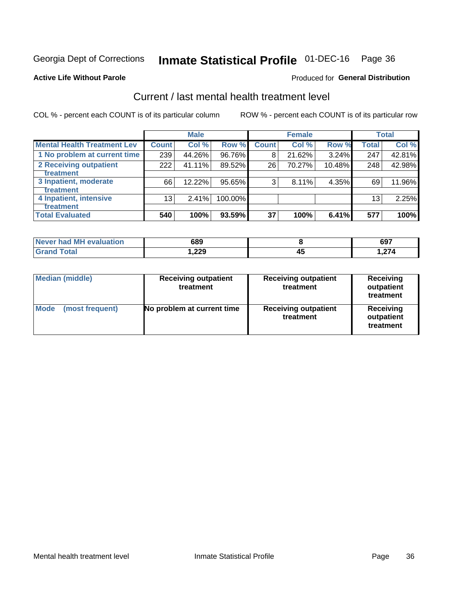# Inmate Statistical Profile 01-DEC-16 Page 36

### **Active Life Without Parole**

### Produced for General Distribution

# Current / last mental health treatment level

COL % - percent each COUNT is of its particular column

|                                    | <b>Male</b>  |        |         |              | <b>Female</b> | <b>Total</b> |                 |        |
|------------------------------------|--------------|--------|---------|--------------|---------------|--------------|-----------------|--------|
| <b>Mental Health Treatment Lev</b> | <b>Count</b> | Col%   | Row %   | <b>Count</b> | Col %         | Row %        | Total           | Col %  |
| 1 No problem at current time       | 239          | 44.26% | 96.76%  | 8            | 21.62%        | 3.24%        | 247             | 42.81% |
| 2 Receiving outpatient             | 222          | 41.11% | 89.52%  | 26           | 70.27%        | 10.48%       | 248             | 42.98% |
| Treatment                          |              |        |         |              |               |              |                 |        |
| 3 Inpatient, moderate              | 66           | 12.22% | 95.65%  | 3            | 8.11%         | 4.35%        | 69              | 11.96% |
| Treatment                          |              |        |         |              |               |              |                 |        |
| 4 Inpatient, intensive             | 13           | 2.41%  | 100.00% |              |               |              | 13 <sub>1</sub> | 2.25%  |
| <b>Treatment</b>                   |              |        |         |              |               |              |                 |        |
| <b>Total Evaluated</b>             | 540          | 100%   | 93.59%  | 37           | 100%          | 6.41%        | 577             | 100%   |

| Never had MH evaluation | 689    | 697  |
|-------------------------|--------|------|
| Total                   | 229. ا | .274 |

| <b>Median (middle)</b>         | <b>Receiving outpatient</b><br>treatment | <b>Receiving outpatient</b><br>treatment | <b>Receiving</b><br>outpatient<br>treatment |  |
|--------------------------------|------------------------------------------|------------------------------------------|---------------------------------------------|--|
| <b>Mode</b><br>(most frequent) | No problem at current time               | <b>Receiving outpatient</b><br>treatment | Receiving<br>outpatient<br>treatment        |  |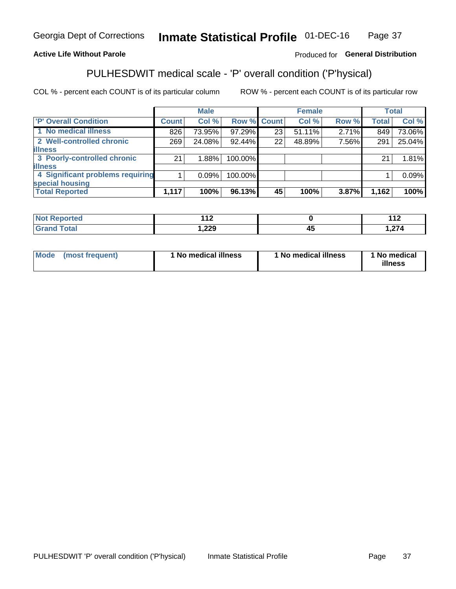#### **Inmate Statistical Profile 01-DEC-16** Page 37

## **Active Life Without Parole**

## Produced for General Distribution

# PULHESDWIT medical scale - 'P' overall condition ('P'hysical)

COL % - percent each COUNT is of its particular column

|                                  |              | <b>Male</b> |             |    | <b>Female</b> |       |              | <b>Total</b> |
|----------------------------------|--------------|-------------|-------------|----|---------------|-------|--------------|--------------|
| 'P' Overall Condition            | <b>Count</b> | Col %       | Row % Count |    | Col %         | Row % | <b>Total</b> | Col %        |
| 1 No medical illness             | 826          | 73.95%      | 97.29%      | 23 | 51.11%        | 2.71% | 849          | 73.06%       |
| 2 Well-controlled chronic        | 269          | 24.08%      | 92.44%      | 22 | 48.89%        | 7.56% | 291          | 25.04%       |
| <b>illness</b>                   |              |             |             |    |               |       |              |              |
| 3 Poorly-controlled chronic      | 21           | 1.88%       | 100.00%     |    |               |       | 21           | 1.81%        |
| <b>illness</b>                   |              |             |             |    |               |       |              |              |
| 4 Significant problems requiring |              | 0.09%       | 100.00%     |    |               |       |              | 0.09%        |
| special housing                  |              |             |             |    |               |       |              |              |
| <b>Total Reported</b>            | 1,117        | 100%        | 96.13%      | 45 | 100%          | 3.87% | 1,162        | 100%         |

| τeα    | 1.A.O         | 4 A         |
|--------|---------------|-------------|
| .      | .             | $\cdots$    |
| ______ | າາດ<br>322, ا | $\sim$<br>. |

| <b>Mode</b> | (most frequent) | 1 No medical illness | 1 No medical illness | 1 No medical<br>illness |
|-------------|-----------------|----------------------|----------------------|-------------------------|
|-------------|-----------------|----------------------|----------------------|-------------------------|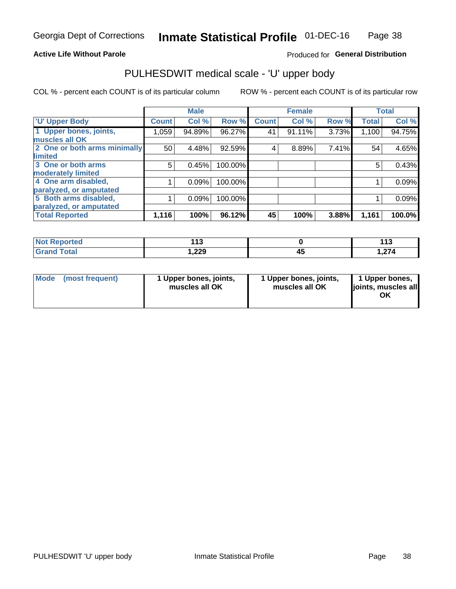## **Active Life Without Parole**

## Produced for General Distribution

# PULHESDWIT medical scale - 'U' upper body

COL % - percent each COUNT is of its particular column

|                              |               | <b>Male</b> |         |              | <b>Female</b> |       |              | <b>Total</b> |
|------------------------------|---------------|-------------|---------|--------------|---------------|-------|--------------|--------------|
| <b>U' Upper Body</b>         | <b>Count!</b> | Col %       | Row %   | <b>Count</b> | Col %         | Row % | <b>Total</b> | Col %        |
| 1 Upper bones, joints,       | 1,059         | 94.89%      | 96.27%  | 41           | 91.11%        | 3.73% | 1,100        | 94.75%       |
| muscles all OK               |               |             |         |              |               |       |              |              |
| 2 One or both arms minimally | 50            | 4.48%       | 92.59%  | 4            | 8.89%         | 7.41% | 54           | 4.65%        |
| limited                      |               |             |         |              |               |       |              |              |
| 3 One or both arms           | 5             | 0.45%       | 100.00% |              |               |       | 5            | 0.43%        |
| <b>moderately limited</b>    |               |             |         |              |               |       |              |              |
| 4 One arm disabled,          |               | 0.09%       | 100.00% |              |               |       |              | 0.09%        |
| paralyzed, or amputated      |               |             |         |              |               |       |              |              |
| 5 Both arms disabled,        |               | 0.09%       | 100.00% |              |               |       |              | 0.09%        |
| paralyzed, or amputated      |               |             |         |              |               |       |              |              |
| <b>Total Reported</b>        | 1,116         | 100%        | 96.12%  | 45           | 100%          | 3.88% | 1,161        | 100.0%       |

| <b>Not Reported</b> | <br>. . | 149<br>.    |
|---------------------|---------|-------------|
| <b>Grand Total</b>  | 229. ا  | 27<br>1.Z74 |

| Mode (most frequent) | 1 Upper bones, joints,<br>muscles all OK | 1 Upper bones, joints,<br>muscles all OK | 1 Upper bones,<br>joints, muscles all<br>ΟK |
|----------------------|------------------------------------------|------------------------------------------|---------------------------------------------|
|----------------------|------------------------------------------|------------------------------------------|---------------------------------------------|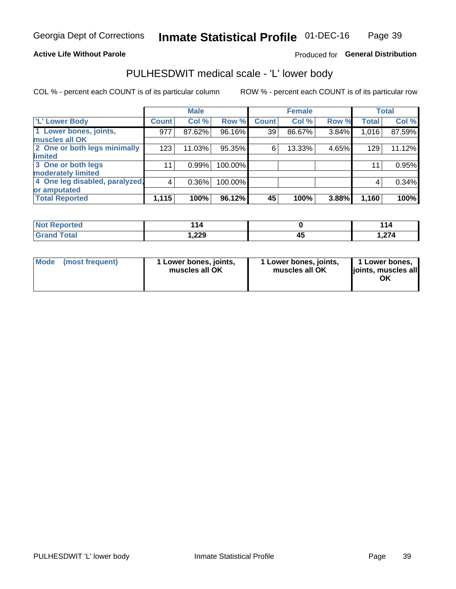## **Active Life Without Parole**

## Produced for General Distribution

# PULHESDWIT medical scale - 'L' lower body

COL % - percent each COUNT is of its particular column

|                                |               | <b>Male</b> |         |              | <b>Female</b> |       |              | <b>Total</b> |
|--------------------------------|---------------|-------------|---------|--------------|---------------|-------|--------------|--------------|
| 'L' Lower Body                 | <b>Count!</b> | Col %       | Row %   | <b>Count</b> | Col %         | Row % | <b>Total</b> | Col %        |
| 1 Lower bones, joints,         | 977           | 87.62%      | 96.16%  | 39           | 86.67%        | 3.84% | 1,016        | 87.59%       |
| muscles all OK                 |               |             |         |              |               |       |              |              |
| 2 One or both legs minimally   | 123           | 11.03%      | 95.35%  | 6            | 13.33%        | 4.65% | 129          | 11.12%       |
| limited                        |               |             |         |              |               |       |              |              |
| 3 One or both legs             | 11            | 0.99%       | 100.00% |              |               |       | 11           | 0.95%        |
| moderately limited             |               |             |         |              |               |       |              |              |
| 4 One leg disabled, paralyzed, | 4             | $0.36\%$    | 100.00% |              |               |       | 4            | 0.34%        |
| or amputated                   |               |             |         |              |               |       |              |              |
| <b>Total Reported</b>          | 1,115         | 100%        | 96.12%  | 45           | 100%          | 3.88% | 1,160        | 100%         |

| <b>Not Reported</b> | - 14   |    | 44                                  |
|---------------------|--------|----|-------------------------------------|
| <b>Grand Total</b>  | 229. ا | ᠇៶ | $\sim$<br>. <i>.</i> . <del>.</del> |

| Mode | (most frequent) | 1 Lower bones, joints,<br>muscles all OK | 1 Lower bones, joints,<br>muscles all OK | 1 Lower bones,<br>ljoints, muscles all<br>ΟK |
|------|-----------------|------------------------------------------|------------------------------------------|----------------------------------------------|
|------|-----------------|------------------------------------------|------------------------------------------|----------------------------------------------|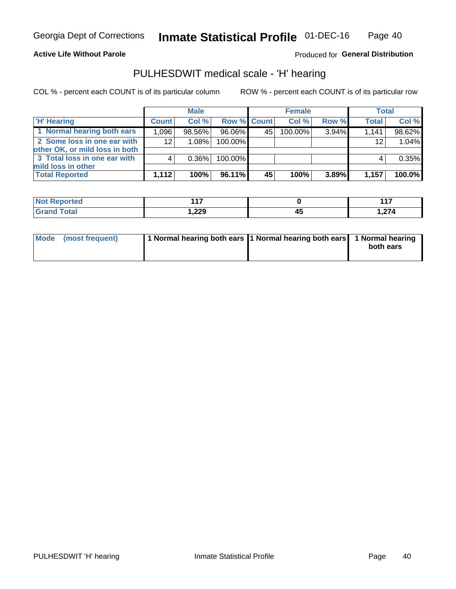**Active Life Without Parole** 

Produced for General Distribution

# PULHESDWIT medical scale - 'H' hearing

COL % - percent each COUNT is of its particular column

|                                                               |              | <b>Male</b> |             |    | <b>Female</b> |          | <b>Total</b> |        |
|---------------------------------------------------------------|--------------|-------------|-------------|----|---------------|----------|--------------|--------|
| <b>H' Hearing</b>                                             | <b>Count</b> | Col %       | Row % Count |    | Col%          | Row %    | <b>Total</b> | Col %  |
| 1 Normal hearing both ears                                    | 1,096        | 98.56%      | 96.06%      | 45 | 100.00%       | 3.94%    | 1,141        | 98.62% |
| 2 Some loss in one ear with<br>other OK, or mild loss in both | 12           | 1.08%       | 100.00%     |    |               |          | 12           | 1.04%  |
| 3 Total loss in one ear with                                  | 4            | 0.36%       | 100.00%     |    |               |          |              | 0.35%  |
| mild loss in other<br><b>Total Reported</b>                   | 1.112        | 100%        | 96.11%      | 45 | 100%          | $3.89\%$ | 1,157        | 100.0% |

| Reported<br><b>NO</b> t | .     |     | 447<br>.         |
|-------------------------|-------|-----|------------------|
| <b>c</b> otal<br>$\sim$ | 1,229 | - 7 | $\sim$<br>. Z 14 |

| Mode (most frequent) | 1 Normal hearing both ears 1 Normal hearing both ears 1 Normal hearing | both ears |
|----------------------|------------------------------------------------------------------------|-----------|
|----------------------|------------------------------------------------------------------------|-----------|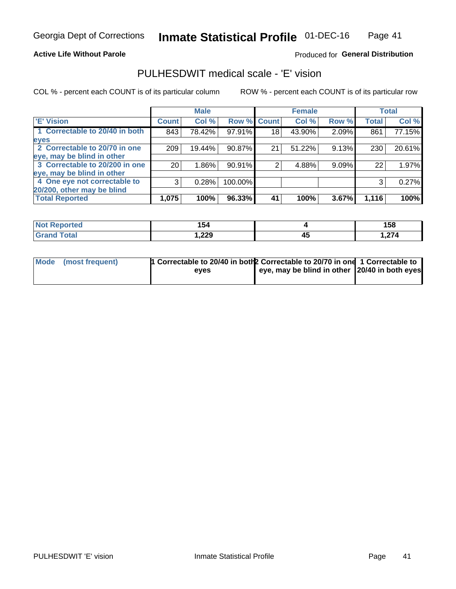### **Active Life Without Parole**

## Produced for General Distribution

# PULHESDWIT medical scale - 'E' vision

COL % - percent each COUNT is of its particular column

|                                |                 | <b>Male</b> |             |    | <b>Female</b> |       |              | <b>Total</b> |
|--------------------------------|-----------------|-------------|-------------|----|---------------|-------|--------------|--------------|
| <b>E' Vision</b>               | <b>Count</b>    | Col %       | Row % Count |    | Col %         | Row % | <b>Total</b> | Col %        |
| 1 Correctable to 20/40 in both | 843             | 78.42%      | 97.91%      | 18 | 43.90%        | 2.09% | 861          | 77.15%       |
| eyes                           |                 |             |             |    |               |       |              |              |
| 2 Correctable to 20/70 in one  | 209             | 19.44%      | 90.87%      | 21 | 51.22%        | 9.13% | 230          | 20.61%       |
| eye, may be blind in other     |                 |             |             |    |               |       |              |              |
| 3 Correctable to 20/200 in one | 20 <sub>1</sub> | $1.86\%$    | 90.91%      |    | 4.88%         | 9.09% | 22           | 1.97%        |
| eye, may be blind in other     |                 |             |             |    |               |       |              |              |
| 4 One eye not correctable to   | 3               | 0.28%       | 100.00%     |    |               |       | 3            | 0.27%        |
| 20/200, other may be blind     |                 |             |             |    |               |       |              |              |
| <b>Total Reported</b>          | 1,075           | 100%        | 96.33%      | 41 | 100%          | 3.67% | 1,116        | 100%         |

| <b>Not Reported</b> | 154   |    | 158         |
|---------------------|-------|----|-------------|
| Total               | 1,229 | 45 | $\sim$<br>. |

| Mode (most frequent) | 1 Correctable to 20/40 in both 2 Correctable to 20/70 in one 1 Correctable to<br>eves | eye, may be blind in other 20/40 in both eyes |  |
|----------------------|---------------------------------------------------------------------------------------|-----------------------------------------------|--|
|                      |                                                                                       |                                               |  |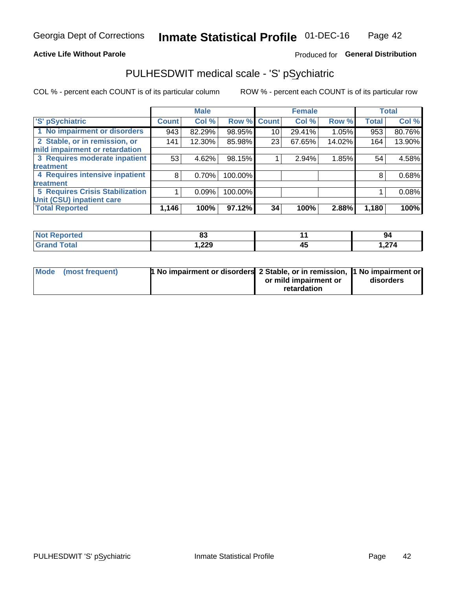### **Active Life Without Parole**

## Produced for General Distribution

# PULHESDWIT medical scale - 'S' pSychiatric

COL % - percent each COUNT is of its particular column

|                                        |              | <b>Male</b> |         |             | <b>Female</b> |        |              | <b>Total</b> |
|----------------------------------------|--------------|-------------|---------|-------------|---------------|--------|--------------|--------------|
| 'S' pSychiatric                        | <b>Count</b> | Col %       |         | Row % Count | Col %         | Row %  | <b>Total</b> | Col %        |
| 1 No impairment or disorders           | 943          | 82.29%      | 98.95%  | 10          | 29.41%        | 1.05%  | 953          | 80.76%       |
| 2 Stable, or in remission, or          | 141          | 12.30%      | 85.98%  | 23          | 67.65%        | 14.02% | 164          | 13.90%       |
| mild impairment or retardation         |              |             |         |             |               |        |              |              |
| 3 Requires moderate inpatient          | 53           | 4.62%       | 98.15%  |             | 2.94%         | 1.85%  | 54           | 4.58%        |
| treatment                              |              |             |         |             |               |        |              |              |
| 4 Requires intensive inpatient         | 8            | 0.70%       | 100.00% |             |               |        | 8            | 0.68%        |
| treatment                              |              |             |         |             |               |        |              |              |
| <b>5 Requires Crisis Stabilization</b> |              | 0.09%       | 100.00% |             |               |        |              | 0.08%        |
| Unit (CSU) inpatient care              |              |             |         |             |               |        |              |              |
| <b>Total Reported</b>                  | 1,146        | 100%        | 97.12%  | 34          | 100%          | 2.88%  | 1,180        | 100%         |

| <b>Exampled</b><br>NOT<br>Renor | $\mathbf{A}$<br>ഄഄ |    | 94    |
|---------------------------------|--------------------|----|-------|
| <b>Total</b>                    | 229, ا             | ᠇៶ | 1,274 |

| Mode (most frequent) | <b>1 No impairment or disorders</b> 2 Stable, or in remission, 11 No impairment or |                       |           |
|----------------------|------------------------------------------------------------------------------------|-----------------------|-----------|
|                      |                                                                                    | or mild impairment or | disorders |
|                      |                                                                                    | retardation           |           |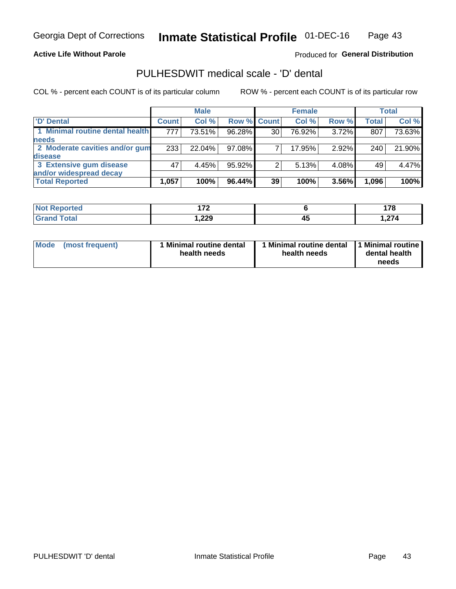**Active Life Without Parole** 

Produced for General Distribution

# PULHESDWIT medical scale - 'D' dental

COL % - percent each COUNT is of its particular column

|                                 |              | <b>Male</b> |                    |               | <b>Female</b> |       |              | <b>Total</b> |
|---------------------------------|--------------|-------------|--------------------|---------------|---------------|-------|--------------|--------------|
| 'D' Dental                      | <b>Count</b> | Col %       | <b>Row % Count</b> |               | Col %         | Row % | <b>Total</b> | Col %        |
| 1 Minimal routine dental health | 777          | 73.51%      | 96.28%             | 30            | 76.92%        | 3.72% | 807          | 73.63%       |
| <b>needs</b>                    |              |             |                    |               |               |       |              |              |
| 2 Moderate cavities and/or gum  | 233          | 22.04%      | 97.08%             |               | 17.95%        | 2.92% | 240          | 21.90%       |
| disease                         |              |             |                    |               |               |       |              |              |
| 3 Extensive gum disease         | 47           | 4.45%       | 95.92%             | $\mathcal{P}$ | 5.13%         | 4.08% | 49           | 4.47%        |
| and/or widespread decay         |              |             |                    |               |               |       |              |              |
| <b>Total Reported</b>           | 1,057        | 100%        | 96.44%             | 39            | 100%          | 3.56% | 1,096        | 100%         |

| prted<br><b>NOT</b><br> | $\rightarrow$  |    | $\overline{\phantom{a}}$<br>.<br>. |
|-------------------------|----------------|----|------------------------------------|
| $F \cap f \cap f$       | ົດດດ<br>372, ا | 43 | $\sim$<br>.                        |

| <b>Mode</b><br><b>Minimal routine dental</b><br>(most frequent)<br>health needs | Minimal routine dental<br>health needs | 1 Minimal routine<br>dental health<br>needs |
|---------------------------------------------------------------------------------|----------------------------------------|---------------------------------------------|
|---------------------------------------------------------------------------------|----------------------------------------|---------------------------------------------|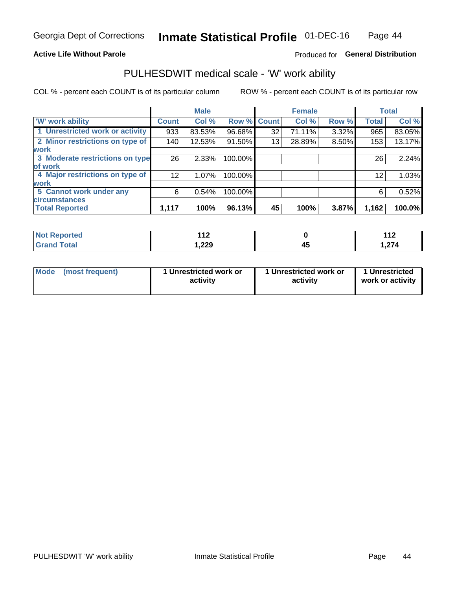### **Active Life Without Parole**

## Produced for General Distribution

# PULHESDWIT medical scale - 'W' work ability

COL % - percent each COUNT is of its particular column

|                                 |                 | <b>Male</b> |         |             | <b>Female</b> |       |              | <b>Total</b> |
|---------------------------------|-----------------|-------------|---------|-------------|---------------|-------|--------------|--------------|
| <b>W' work ability</b>          | <b>Count</b>    | Col %       |         | Row % Count | Col %         | Row % | <b>Total</b> | Col %        |
| 1 Unrestricted work or activity | 933             | 83.53%      | 96.68%  | 32          | 71.11%        | 3.32% | 965          | 83.05%       |
| 2 Minor restrictions on type of | 140             | 12.53%      | 91.50%  | 13          | 28.89%        | 8.50% | 153          | 13.17%       |
| <b>work</b>                     |                 |             |         |             |               |       |              |              |
| 3 Moderate restrictions on type | 26              | 2.33%       | 100.00% |             |               |       | 26           | 2.24%        |
| lof work                        |                 |             |         |             |               |       |              |              |
| 4 Major restrictions on type of | 12 <sub>1</sub> | $1.07\%$    | 100.00% |             |               |       | 12           | 1.03%        |
| <b>work</b>                     |                 |             |         |             |               |       |              |              |
| 5 Cannot work under any         | 6               | 0.54%       | 100.00% |             |               |       | 6            | 0.52%        |
| <b>circumstances</b>            |                 |             |         |             |               |       |              |              |
| <b>Total Reported</b>           | 1,117           | 100%        | 96.13%  | 45          | 100%          | 3.87% | 1,162        | 100.0%       |

| <b>Not Reported</b> | 44 <sup>c</sup><br>- 14 |          | $\overline{A}$<br>.       |
|---------------------|-------------------------|----------|---------------------------|
| <b>Grand Total</b>  | 229, ا                  | ,,,<br>∼ | $\sim$ $\sim$ $\sim$<br>. |

| <b>Mode</b> | (most frequent) | 1 Unrestricted work or<br>activity | 1 Unrestricted work or<br>activity | 1 Unrestricted<br>work or activity |
|-------------|-----------------|------------------------------------|------------------------------------|------------------------------------|
|-------------|-----------------|------------------------------------|------------------------------------|------------------------------------|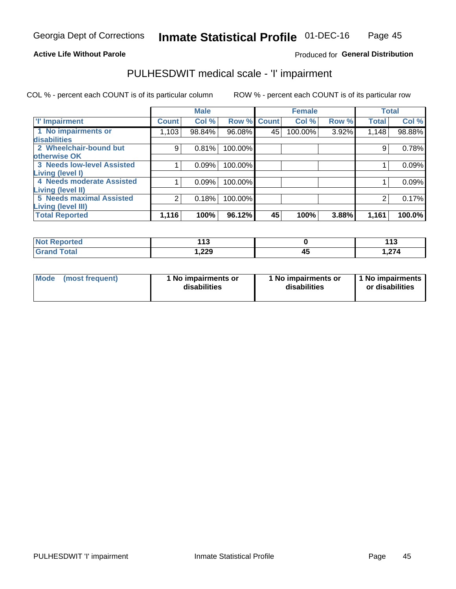## **Active Life Without Parole**

## Produced for General Distribution

# PULHESDWIT medical scale - 'I' impairment

COL % - percent each COUNT is of its particular column ROW % - percent each COUNT is of its particular row

|                                                       | <b>Male</b>  |        |             |    | <b>Female</b> |       |              | <b>Total</b> |
|-------------------------------------------------------|--------------|--------|-------------|----|---------------|-------|--------------|--------------|
| <b>T' Impairment</b>                                  | <b>Count</b> | Col %  | Row % Count |    | Col %         | Row % | <b>Total</b> | Col %        |
| 1 No impairments or<br>disabilities                   | 1,103        | 98.84% | 96.08%      | 45 | 100.00%       | 3.92% | 1,148        | 98.88%       |
| 2 Wheelchair-bound but<br>otherwise OK                | 9            | 0.81%  | 100.00%     |    |               |       |              | 0.78%        |
| <b>3 Needs low-level Assisted</b><br>Living (level I) |              | 0.09%  | 100.00%     |    |               |       |              | 0.09%        |
| 4 Needs moderate Assisted<br><b>Living (level II)</b> |              | 0.09%  | 100.00%     |    |               |       |              | 0.09%        |
| <b>5 Needs maximal Assisted</b><br>Living (level III) | 2            | 0.18%  | 100.00%     |    |               |       |              | 0.17%        |
| <b>Total Reported</b>                                 | 1,116        | 100%   | 96.12%      | 45 | 100%          | 3.88% | 1,161        | 100.0%       |

| <b>orted</b> | 442.<br>. |     | 442<br>. |
|--------------|-----------|-----|----------|
| <b>otal</b>  | 229, ا    | . . | .274,    |

| Mode | (most frequent) | 1 No impairments or<br>disabilities | 1 No impairments or<br>disabilities | 1 No impairments<br>or disabilities |
|------|-----------------|-------------------------------------|-------------------------------------|-------------------------------------|
|------|-----------------|-------------------------------------|-------------------------------------|-------------------------------------|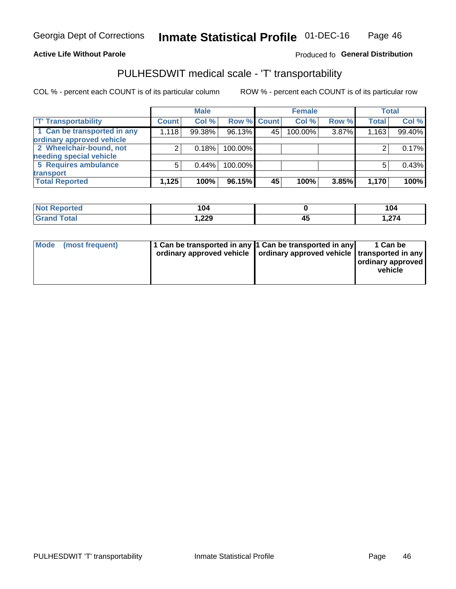### **Active Life Without Parole**

## Produced fo General Distribution

# PULHESDWIT medical scale - 'T' transportability

COL % - percent each COUNT is of its particular column

|                             |              | <b>Male</b> |             |    | <b>Female</b> |       |              | <b>Total</b> |
|-----------------------------|--------------|-------------|-------------|----|---------------|-------|--------------|--------------|
| <b>T' Transportability</b>  | <b>Count</b> | Col %       | Row % Count |    | Col %         | Row % | <b>Total</b> | Col %        |
| 1 Can be transported in any | 1,118        | 99.38%      | 96.13%      | 45 | 100.00%       | 3.87% | 1,163        | 99.40%       |
| ordinary approved vehicle   |              |             |             |    |               |       |              |              |
| 2 Wheelchair-bound, not     |              | 0.18%       | 100.00%     |    |               |       |              | 0.17%        |
| needing special vehicle     |              |             |             |    |               |       |              |              |
| 5 Requires ambulance        |              | 0.44%       | 100.00%     |    |               |       |              | 0.43%        |
| transport                   |              |             |             |    |               |       |              |              |
| <b>Total Reported</b>       | 1,125        | 100%        | 96.15%      | 45 | 100%          | 3.85% | 1,170        | 100%         |

| eported?    | 104    |    | 104   |
|-------------|--------|----|-------|
| <b>otal</b> | 229, ا | т. | 1,274 |

| Mode (most frequent) | 1 Can be transported in any 1 Can be transported in any | ordinary approved vehicle   ordinary approved vehicle   transported in any | 1 Can be<br>ordinary approved<br>vehicle |
|----------------------|---------------------------------------------------------|----------------------------------------------------------------------------|------------------------------------------|
|                      |                                                         |                                                                            |                                          |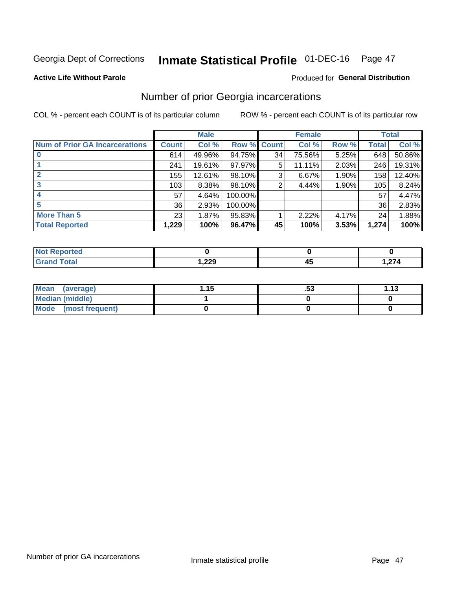# Inmate Statistical Profile 01-DEC-16 Page 47

### **Active Life Without Parole**

## **Produced for General Distribution**

# Number of prior Georgia incarcerations

COL % - percent each COUNT is of its particular column

|                                       | <b>Male</b>  |        |                    |    | <b>Female</b> | <b>Total</b> |       |        |
|---------------------------------------|--------------|--------|--------------------|----|---------------|--------------|-------|--------|
| <b>Num of Prior GA Incarcerations</b> | <b>Count</b> | Col %  | <b>Row % Count</b> |    | Col %         | Row %        | Total | Col %  |
|                                       | 614          | 49.96% | 94.75%             | 34 | 75.56%        | 5.25%        | 648   | 50.86% |
|                                       | 241          | 19.61% | 97.97%             | 5  | 11.11%        | 2.03%        | 246   | 19.31% |
|                                       | 155          | 12.61% | 98.10%             | 3  | 6.67%         | 1.90%        | 158   | 12.40% |
| 3                                     | 103          | 8.38%  | 98.10%             | 2  | 4.44%         | 1.90%        | 105   | 8.24%  |
| 4                                     | 57           | 4.64%  | 100.00%            |    |               |              | 57    | 4.47%  |
| 5                                     | 36           | 2.93%  | 100.00%            |    |               |              | 36    | 2.83%  |
| <b>More Than 5</b>                    | 23           | 1.87%  | 95.83%             |    | 2.22%         | 4.17%        | 24    | 1.88%  |
| <b>Total Reported</b>                 | 1,229        | 100%   | 96.47%             | 45 | 100%          | 3.53%        | 1,274 | 100%   |

| orted            |       |    |        |
|------------------|-------|----|--------|
| <b>otal</b>      | ົດດດ  | −~ | $\sim$ |
| $\mathbf{v}$ and | 1,44J |    | 1.LI T |

| Mean (average)       | 1.15 | .აა | 1.13 |
|----------------------|------|-----|------|
| Median (middle)      |      |     |      |
| Mode (most frequent) |      |     |      |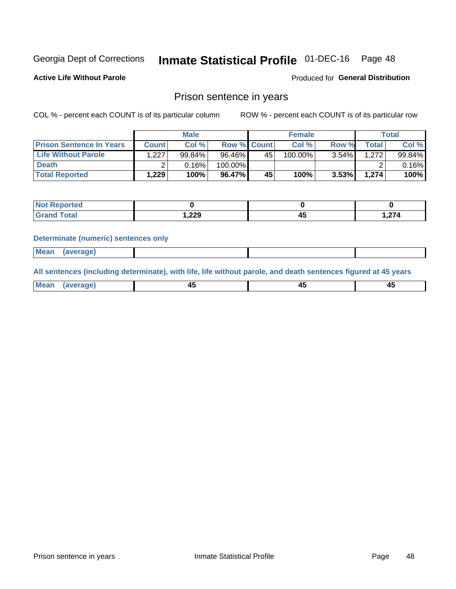# Inmate Statistical Profile 01-DEC-16 Page 48

**Active Life Without Parole** 

Produced for General Distribution

## Prison sentence in years

COL % - percent each COUNT is of its particular column

ROW % - percent each COUNT is of its particular row

|                                 | <b>Male</b>  |        |                    | <b>Female</b> |            |          | Total       |        |
|---------------------------------|--------------|--------|--------------------|---------------|------------|----------|-------------|--------|
| <b>Prison Sentence In Years</b> | <b>Count</b> | Col %  | <b>Row % Count</b> |               | Col %      | Row %    | $\tau$ otal | Col %  |
| <b>Life Without Parole</b>      | 1.227        | 99.84% | 96.46%             | 45            | $100.00\%$ | $3.54\%$ | 1.272       | 99.84% |
| <b>Death</b>                    |              | 0.16%  | 100.00%            |               |            |          |             | 0.16%  |
| <b>Total Reported</b>           | 1,229        | 100%   | 96.47%             | 45            | 100%       | $3.53\%$ | 1,274       | 100%   |

| <b>Not Reported</b> |        |    |                 |
|---------------------|--------|----|-----------------|
| <b>Total</b>        | 229, ، | -- | $\sim$<br>1.Z74 |

### **Determinate (numeric) sentences only**

| ' Mea<br><b>Service</b> A<br>ЯМА. |  |  |  |
|-----------------------------------|--|--|--|
|                                   |  |  |  |

All sentences (including determinate), with life, life without parole, and death sentences figured at 45 years

| MС<br>a r -<br>-- |         |  |  |
|-------------------|---------|--|--|
|                   | ------- |  |  |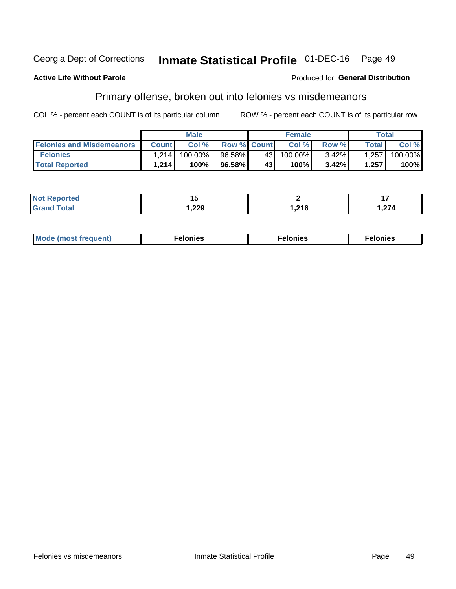#### **Inmate Statistical Profile 01-DEC-16** Georgia Dept of Corrections Page 49

### **Active Life Without Parole**

### Produced for General Distribution

# Primary offense, broken out into felonies vs misdemeanors

COL % - percent each COUNT is of its particular column

|                                  |              | <b>Male</b> |                    |              | <b>Female</b> |          |                    | Total   |
|----------------------------------|--------------|-------------|--------------------|--------------|---------------|----------|--------------------|---------|
| <b>Felonies and Misdemeanors</b> | <b>Count</b> | Col%        | <b>Row % Count</b> |              | Col%          | Row %    | Total <sub>1</sub> | Col %   |
| <b>Felonies</b>                  | 1.214        | 100.00%     | 96.58%             | 43 l         | 100.00%       | $3.42\%$ | 1,257              | 100.00% |
| <b>Total Reported</b>            | 1,214        | $100\%$     | 96.58%             | $43^{\circ}$ | 100%          | 3.42%    | 1,257              | 100%    |

| <b>Not Reported</b> |       |        |           |
|---------------------|-------|--------|-----------|
| <b>Total</b>        | 1,229 | 24c    | $\sim$    |
| <b>Grand</b>        |       | 1.ZI U | . . 2 i 4 |

| <b>Mode</b><br>frequent)<br>nies<br>≧ (most tr.<br>. | onies<br>. | lonies<br>ею<br>____ |
|------------------------------------------------------|------------|----------------------|
|------------------------------------------------------|------------|----------------------|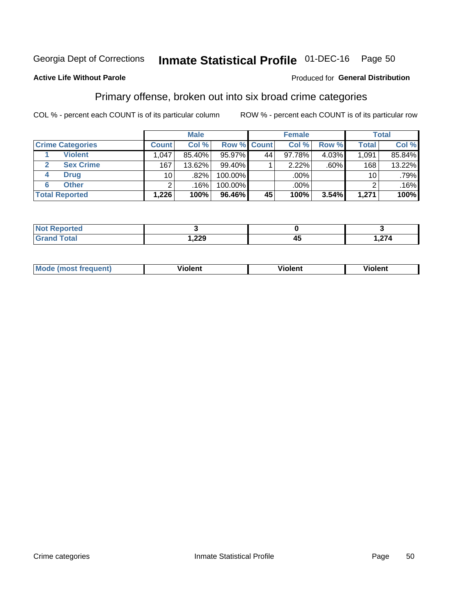#### **Inmate Statistical Profile 01-DEC-16** Page 50

### **Active Life Without Parole**

### Produced for General Distribution

# Primary offense, broken out into six broad crime categories

COL % - percent each COUNT is of its particular column

|                         |              | <b>Male</b> |         |                    | <b>Female</b> |          |              | <b>Total</b> |
|-------------------------|--------------|-------------|---------|--------------------|---------------|----------|--------------|--------------|
| <b>Crime Categories</b> | <b>Count</b> | Col %       |         | <b>Row % Count</b> | Col %         | Row %    | <b>Total</b> | Col %        |
| <b>Violent</b>          | 1,047        | 85.40%      | 95.97%  | 44                 | 97.78%        | $4.03\%$ | 1,091        | 85.84%       |
| <b>Sex Crime</b><br>2   | 167          | 13.62%      | 99.40%  |                    | 2.22%         | $.60\%$  | 168          | 13.22%       |
| <b>Drug</b><br>4        | 10           | .82%        | 100.00% |                    | .00%          |          | 10           | .79%         |
| <b>Other</b><br>6       | 2            | .16%        | 100.00% |                    | .00%          |          | ົ            | .16%         |
| <b>Total Reported</b>   | 1,226        | 100%        | 96.46%  | 45                 | 100%          | 3.54%    | 1,271        | 100%         |

| المتعاقب<br><b>NOT KEDITY</b><br>ortea<br>$\sim$ |            |        |  |  |
|--------------------------------------------------|------------|--------|--|--|
| $T0+0'$                                          | ാറ<br>322, | $\sim$ |  |  |

| <b>Mode (most frequent)</b> | <br>'iolent | Violent | --<br><b>Violent</b> |
|-----------------------------|-------------|---------|----------------------|
|                             |             |         |                      |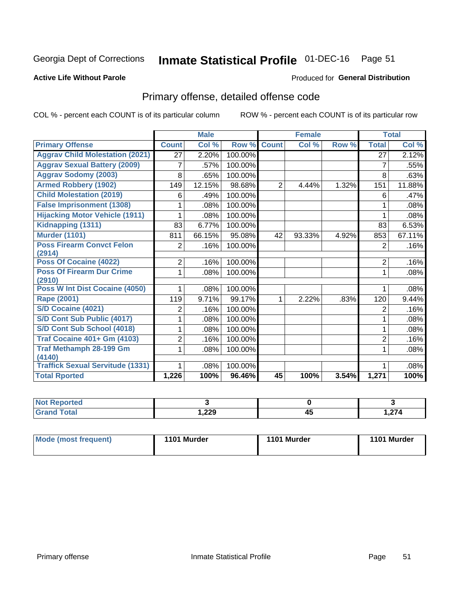# Inmate Statistical Profile 01-DEC-16 Page 51

### **Active Life Without Parole**

### Produced for General Distribution

# Primary offense, detailed offense code

COL % - percent each COUNT is of its particular column

|                                            |                | <b>Male</b>                |         |                | <b>Female</b> |       |                | <b>Total</b> |
|--------------------------------------------|----------------|----------------------------|---------|----------------|---------------|-------|----------------|--------------|
| <b>Primary Offense</b>                     | <b>Count</b>   | $\overline{\text{Col }^9}$ | Row %   | <b>Count</b>   | Col %         | Row % | <b>Total</b>   | Col %        |
| <b>Aggrav Child Molestation (2021)</b>     | 27             | 2.20%                      | 100.00% |                |               |       | 27             | 2.12%        |
| <b>Aggrav Sexual Battery (2009)</b>        | 7              | .57%                       | 100.00% |                |               |       | 7              | .55%         |
| <b>Aggrav Sodomy (2003)</b>                | 8              | .65%                       | 100.00% |                |               |       | 8              | .63%         |
| <b>Armed Robbery (1902)</b>                | 149            | 12.15%                     | 98.68%  | $\overline{2}$ | 4.44%         | 1.32% | 151            | 11.88%       |
| <b>Child Molestation (2019)</b>            | 6              | .49%                       | 100.00% |                |               |       | 6              | .47%         |
| <b>False Imprisonment (1308)</b>           |                | .08%                       | 100.00% |                |               |       |                | .08%         |
| <b>Hijacking Motor Vehicle (1911)</b>      |                | .08%                       | 100.00% |                |               |       |                | .08%         |
| Kidnapping (1311)                          | 83             | 6.77%                      | 100.00% |                |               |       | 83             | 6.53%        |
| <b>Murder (1101)</b>                       | 811            | 66.15%                     | 95.08%  | 42             | 93.33%        | 4.92% | 853            | 67.11%       |
| <b>Poss Firearm Convct Felon</b>           | $\overline{2}$ | .16%                       | 100.00% |                |               |       | 2              | .16%         |
| (2914)                                     |                |                            |         |                |               |       |                |              |
| Poss Of Cocaine (4022)                     | $\overline{2}$ | .16%                       | 100.00% |                |               |       | 2              | .16%         |
| <b>Poss Of Firearm Dur Crime</b><br>(2910) | 1              | .08%                       | 100.00% |                |               |       | 1              | .08%         |
| Poss W Int Dist Cocaine (4050)             |                | .08%                       | 100.00% |                |               |       |                | .08%         |
| <b>Rape (2001)</b>                         | 119            | 9.71%                      | 99.17%  |                | 2.22%         | .83%  | 120            | 9.44%        |
| S/D Cocaine (4021)                         | 2              | .16%                       | 100.00% |                |               |       | $\overline{2}$ | .16%         |
| S/D Cont Sub Public (4017)                 |                | .08%                       | 100.00% |                |               |       | 1              | .08%         |
| S/D Cont Sub School (4018)                 |                | .08%                       | 100.00% |                |               |       | 1              | .08%         |
| <b>Traf Cocaine 401+ Gm (4103)</b>         | 2              | .16%                       | 100.00% |                |               |       | $\overline{2}$ | .16%         |
| <b>Traf Methamph 28-199 Gm</b>             | 1              | .08%                       | 100.00% |                |               |       | 1              | .08%         |
| (4140)                                     |                |                            |         |                |               |       |                |              |
| <b>Traffick Sexual Servitude (1331)</b>    |                | .08%                       | 100.00% |                |               |       | 1              | .08%         |
| <b>Total Rported</b>                       | 1,226          | 100%                       | 96.46%  | 45             | 100%          | 3.54% | 1,271          | 100%         |

| <b>eported</b><br>NOT |        |     |       |
|-----------------------|--------|-----|-------|
| <b>Total</b>          | റററ    | - - | 07A   |
|                       | 377. . | ີ່™ | 1.Z74 |

| Mode (most frequent) | 1101 Murder | 1101 Murder | 1101 Murder |
|----------------------|-------------|-------------|-------------|
|                      |             |             |             |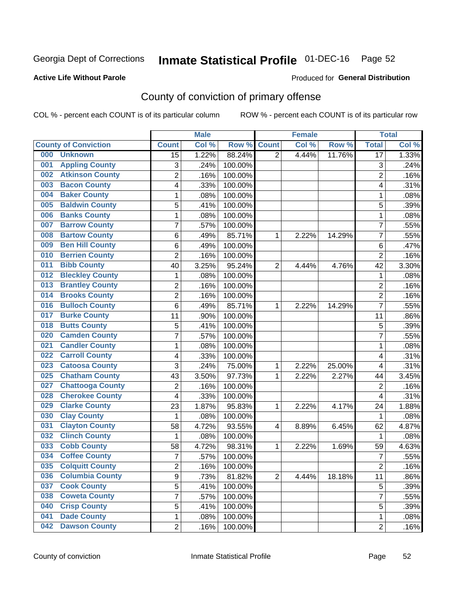# Inmate Statistical Profile 01-DEC-16 Page 52

### **Active Life Without Parole**

### Produced for General Distribution

# County of conviction of primary offense

COL % - percent each COUNT is of its particular column

|                                |                | <b>Male</b> |         |                | <b>Female</b> |        |                         | <b>Total</b> |
|--------------------------------|----------------|-------------|---------|----------------|---------------|--------|-------------------------|--------------|
| <b>County of Conviction</b>    | <b>Count</b>   | Col %       | Row %   | <b>Count</b>   | Col %         | Row %  | <b>Total</b>            | Col %        |
| 000<br><b>Unknown</b>          | 15             | 1.22%       | 88.24%  | 2              | 4.44%         | 11.76% | $\overline{17}$         | 1.33%        |
| <b>Appling County</b><br>001   | 3              | .24%        | 100.00% |                |               |        | 3                       | .24%         |
| <b>Atkinson County</b><br>002  | $\overline{c}$ | .16%        | 100.00% |                |               |        | $\overline{c}$          | .16%         |
| <b>Bacon County</b><br>003     | 4              | .33%        | 100.00% |                |               |        | 4                       | .31%         |
| <b>Baker County</b><br>004     | 1              | .08%        | 100.00% |                |               |        | 1                       | .08%         |
| <b>Baldwin County</b><br>005   | 5              | .41%        | 100.00% |                |               |        | 5                       | .39%         |
| <b>Banks County</b><br>006     | 1              | .08%        | 100.00% |                |               |        | $\mathbf{1}$            | .08%         |
| <b>Barrow County</b><br>007    | $\overline{7}$ | .57%        | 100.00% |                |               |        | $\overline{7}$          | .55%         |
| <b>Bartow County</b><br>008    | 6              | .49%        | 85.71%  | 1              | 2.22%         | 14.29% | 7                       | .55%         |
| <b>Ben Hill County</b><br>009  | 6              | .49%        | 100.00% |                |               |        | $\,6\,$                 | .47%         |
| <b>Berrien County</b><br>010   | $\overline{c}$ | .16%        | 100.00% |                |               |        | $\overline{c}$          | .16%         |
| <b>Bibb County</b><br>011      | 40             | 3.25%       | 95.24%  | $\overline{2}$ | 4.44%         | 4.76%  | 42                      | 3.30%        |
| <b>Bleckley County</b><br>012  | 1              | .08%        | 100.00% |                |               |        | $\mathbf{1}$            | .08%         |
| <b>Brantley County</b><br>013  | $\mathbf 2$    | .16%        | 100.00% |                |               |        | $\overline{2}$          | .16%         |
| <b>Brooks County</b><br>014    | $\overline{c}$ | .16%        | 100.00% |                |               |        | $\overline{2}$          | .16%         |
| <b>Bulloch County</b><br>016   | 6              | .49%        | 85.71%  | 1              | 2.22%         | 14.29% | $\overline{7}$          | .55%         |
| <b>Burke County</b><br>017     | 11             | .90%        | 100.00% |                |               |        | 11                      | .86%         |
| <b>Butts County</b><br>018     | 5              | .41%        | 100.00% |                |               |        | 5                       | .39%         |
| <b>Camden County</b><br>020    | $\overline{7}$ | .57%        | 100.00% |                |               |        | $\overline{7}$          | .55%         |
| <b>Candler County</b><br>021   | 1              | .08%        | 100.00% |                |               |        | 1                       | .08%         |
| <b>Carroll County</b><br>022   | 4              | .33%        | 100.00% |                |               |        | $\overline{\mathbf{4}}$ | .31%         |
| <b>Catoosa County</b><br>023   | 3              | .24%        | 75.00%  | $\mathbf 1$    | 2.22%         | 25.00% | $\overline{\mathbf{4}}$ | .31%         |
| <b>Chatham County</b><br>025   | 43             | 3.50%       | 97.73%  | 1              | 2.22%         | 2.27%  | 44                      | 3.45%        |
| <b>Chattooga County</b><br>027 | $\overline{2}$ | .16%        | 100.00% |                |               |        | $\overline{2}$          | .16%         |
| <b>Cherokee County</b><br>028  | 4              | .33%        | 100.00% |                |               |        | $\overline{\mathbf{4}}$ | .31%         |
| <b>Clarke County</b><br>029    | 23             | 1.87%       | 95.83%  | 1              | 2.22%         | 4.17%  | 24                      | 1.88%        |
| <b>Clay County</b><br>030      | 1              | .08%        | 100.00% |                |               |        | 1                       | .08%         |
| <b>Clayton County</b><br>031   | 58             | 4.72%       | 93.55%  | 4              | 8.89%         | 6.45%  | 62                      | 4.87%        |
| <b>Clinch County</b><br>032    | 1              | .08%        | 100.00% |                |               |        | 1                       | .08%         |
| <b>Cobb County</b><br>033      | 58             | 4.72%       | 98.31%  | 1              | 2.22%         | 1.69%  | 59                      | 4.63%        |
| <b>Coffee County</b><br>034    | $\overline{7}$ | .57%        | 100.00% |                |               |        | $\overline{7}$          | .55%         |
| 035<br><b>Colquitt County</b>  | 2              | .16%        | 100.00% |                |               |        | $\overline{c}$          | .16%         |
| <b>Columbia County</b><br>036  | 9              | .73%        | 81.82%  | $\overline{2}$ | 4.44%         | 18.18% | 11                      | .86%         |
| 037<br><b>Cook County</b>      | 5              | .41%        | 100.00% |                |               |        | 5                       | .39%         |
| <b>Coweta County</b><br>038    | $\overline{7}$ | .57%        | 100.00% |                |               |        | $\overline{7}$          | .55%         |
| <b>Crisp County</b><br>040     | 5              | .41%        | 100.00% |                |               |        | 5                       | .39%         |
| <b>Dade County</b><br>041      | 1              | .08%        | 100.00% |                |               |        | $\mathbf{1}$            | .08%         |
| <b>Dawson County</b><br>042    | $\overline{2}$ | .16%        | 100.00% |                |               |        | $\overline{2}$          | .16%         |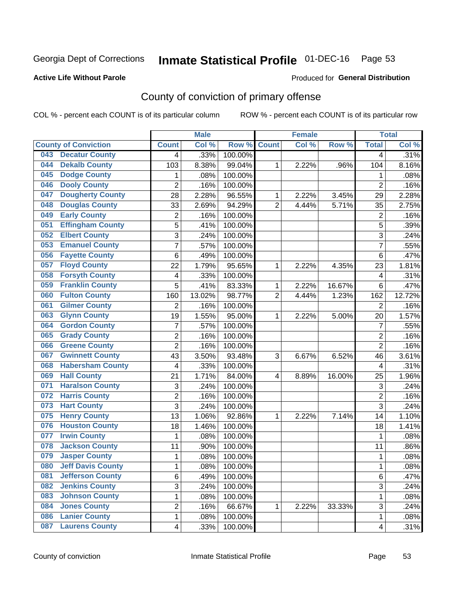# Inmate Statistical Profile 01-DEC-16 Page 53

### **Active Life Without Parole**

### Produced for General Distribution

# County of conviction of primary offense

COL % - percent each COUNT is of its particular column

|                                 |                           | <b>Male</b> |         |                | <b>Female</b> |        |                           | <b>Total</b> |
|---------------------------------|---------------------------|-------------|---------|----------------|---------------|--------|---------------------------|--------------|
| <b>County of Conviction</b>     | <b>Count</b>              | Col %       | Row %   | <b>Count</b>   | Col %         | Row %  | <b>Total</b>              | Col %        |
| <b>Decatur County</b><br>043    | 4                         | .33%        | 100.00% |                |               |        | 4                         | .31%         |
| <b>Dekalb County</b><br>044     | 103                       | 8.38%       | 99.04%  | 1              | 2.22%         | .96%   | 104                       | 8.16%        |
| <b>Dodge County</b><br>045      | 1                         | .08%        | 100.00% |                |               |        | 1                         | .08%         |
| <b>Dooly County</b><br>046      | $\overline{2}$            | .16%        | 100.00% |                |               |        | $\overline{2}$            | .16%         |
| <b>Dougherty County</b><br>047  | 28                        | 2.28%       | 96.55%  | 1              | 2.22%         | 3.45%  | 29                        | 2.28%        |
| <b>Douglas County</b><br>048    | 33                        | 2.69%       | 94.29%  | $\overline{2}$ | 4.44%         | 5.71%  | 35                        | 2.75%        |
| <b>Early County</b><br>049      | $\overline{c}$            | .16%        | 100.00% |                |               |        | $\overline{2}$            | .16%         |
| <b>Effingham County</b><br>051  | 5                         | .41%        | 100.00% |                |               |        | $\overline{5}$            | .39%         |
| <b>Elbert County</b><br>052     | 3                         | .24%        | 100.00% |                |               |        | 3                         | .24%         |
| <b>Emanuel County</b><br>053    | $\overline{7}$            | .57%        | 100.00% |                |               |        | $\overline{7}$            | .55%         |
| <b>Fayette County</b><br>056    | $\,6$                     | .49%        | 100.00% |                |               |        | 6                         | .47%         |
| <b>Floyd County</b><br>057      | 22                        | 1.79%       | 95.65%  | 1              | 2.22%         | 4.35%  | 23                        | 1.81%        |
| <b>Forsyth County</b><br>058    | 4                         | .33%        | 100.00% |                |               |        | 4                         | .31%         |
| <b>Franklin County</b><br>059   | 5                         | .41%        | 83.33%  | 1              | 2.22%         | 16.67% | 6                         | .47%         |
| <b>Fulton County</b><br>060     | 160                       | 13.02%      | 98.77%  | $\overline{2}$ | 4.44%         | 1.23%  | 162                       | 12.72%       |
| <b>Gilmer County</b><br>061     | $\overline{2}$            | .16%        | 100.00% |                |               |        | $\overline{2}$            | .16%         |
| <b>Glynn County</b><br>063      | 19                        | 1.55%       | 95.00%  | 1              | 2.22%         | 5.00%  | 20                        | 1.57%        |
| <b>Gordon County</b><br>064     | $\overline{7}$            | .57%        | 100.00% |                |               |        | $\overline{7}$            | .55%         |
| <b>Grady County</b><br>065      | $\overline{c}$            | .16%        | 100.00% |                |               |        | $\overline{2}$            | .16%         |
| <b>Greene County</b><br>066     | $\overline{2}$            | .16%        | 100.00% |                |               |        | $\overline{2}$            | .16%         |
| <b>Gwinnett County</b><br>067   | 43                        | 3.50%       | 93.48%  | 3              | 6.67%         | 6.52%  | 46                        | 3.61%        |
| <b>Habersham County</b><br>068  | $\overline{\mathbf{4}}$   | .33%        | 100.00% |                |               |        | 4                         | .31%         |
| <b>Hall County</b><br>069       | 21                        | 1.71%       | 84.00%  | 4              | 8.89%         | 16.00% | 25                        | 1.96%        |
| <b>Haralson County</b><br>071   | $\ensuremath{\mathsf{3}}$ | .24%        | 100.00% |                |               |        | $\ensuremath{\mathsf{3}}$ | .24%         |
| <b>Harris County</b><br>072     | $\overline{c}$            | .16%        | 100.00% |                |               |        | $\overline{2}$            | .16%         |
| <b>Hart County</b><br>073       | 3                         | .24%        | 100.00% |                |               |        | 3                         | .24%         |
| <b>Henry County</b><br>075      | 13                        | 1.06%       | 92.86%  | 1              | 2.22%         | 7.14%  | 14                        | 1.10%        |
| <b>Houston County</b><br>076    | 18                        | 1.46%       | 100.00% |                |               |        | 18                        | 1.41%        |
| <b>Irwin County</b><br>077      | $\mathbf{1}$              | .08%        | 100.00% |                |               |        | 1                         | .08%         |
| <b>Jackson County</b><br>078    | 11                        | .90%        | 100.00% |                |               |        | 11                        | .86%         |
| <b>Jasper County</b><br>079     | 1                         | .08%        | 100.00% |                |               |        | 1                         | .08%         |
| <b>Jeff Davis County</b><br>080 | 1                         | .08%        | 100.00% |                |               |        | 1                         | .08%         |
| <b>Jefferson County</b><br>081  | 6                         | .49%        | 100.00% |                |               |        | 6                         | .47%         |
| <b>Jenkins County</b><br>082    | 3                         | .24%        | 100.00% |                |               |        | 3                         | .24%         |
| <b>Johnson County</b><br>083    | 1                         | .08%        | 100.00% |                |               |        | 1                         | .08%         |
| <b>Jones County</b><br>084      | $\overline{c}$            | .16%        | 66.67%  | 1              | 2.22%         | 33.33% | 3                         | .24%         |
| <b>Lanier County</b><br>086     | $\mathbf 1$               | .08%        | 100.00% |                |               |        | 1                         | .08%         |
| <b>Laurens County</b><br>087    | $\overline{\mathbf{4}}$   | .33%        | 100.00% |                |               |        | $\overline{\mathbf{4}}$   | .31%         |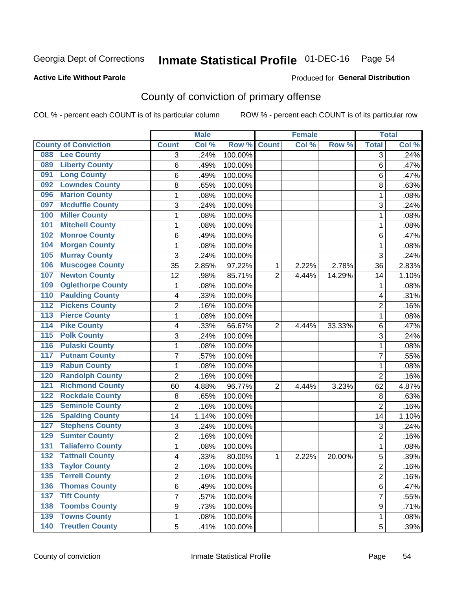# Inmate Statistical Profile 01-DEC-16 Page 54

### **Active Life Without Parole**

### Produced for General Distribution

# County of conviction of primary offense

COL % - percent each COUNT is of its particular column

|                                            |              |                | <b>Male</b> |                  |                | <b>Female</b> |        |                | <b>Total</b> |
|--------------------------------------------|--------------|----------------|-------------|------------------|----------------|---------------|--------|----------------|--------------|
| <b>County of Conviction</b>                | <b>Count</b> |                | Col %       | Row <sup>%</sup> | <b>Count</b>   | Col %         | Row %  | <b>Total</b>   | Col %        |
| <b>Lee County</b><br>088                   |              | 3              | .24%        | 100.00%          |                |               |        | 3              | .24%         |
| <b>Liberty County</b><br>089               |              | 6              | .49%        | 100.00%          |                |               |        | 6              | .47%         |
| <b>Long County</b><br>091                  |              | 6              | .49%        | 100.00%          |                |               |        | 6              | .47%         |
| <b>Lowndes County</b><br>092               |              | 8              | .65%        | 100.00%          |                |               |        | 8              | .63%         |
| <b>Marion County</b><br>096                |              | 1              | .08%        | 100.00%          |                |               |        | 1              | .08%         |
| <b>Mcduffie County</b><br>097              |              | 3              | .24%        | 100.00%          |                |               |        | 3              | .24%         |
| <b>Miller County</b><br>100                |              | 1              | .08%        | 100.00%          |                |               |        | 1              | .08%         |
| <b>Mitchell County</b><br>101              |              | 1              | .08%        | 100.00%          |                |               |        | 1              | .08%         |
| <b>Monroe County</b><br>102                |              | 6              | .49%        | 100.00%          |                |               |        | 6              | .47%         |
| <b>Morgan County</b><br>104                |              | 1              | .08%        | 100.00%          |                |               |        | 1              | .08%         |
| <b>Murray County</b><br>105                |              | 3              | .24%        | 100.00%          |                |               |        | 3              | .24%         |
| <b>Muscogee County</b><br>106              | 35           |                | 2.85%       | 97.22%           | 1              | 2.22%         | 2.78%  | 36             | 2.83%        |
| <b>Newton County</b><br>107                | 12           |                | .98%        | 85.71%           | $\overline{2}$ | 4.44%         | 14.29% | 14             | 1.10%        |
| <b>Oglethorpe County</b><br>109            |              | 1              | .08%        | 100.00%          |                |               |        | 1              | .08%         |
| <b>Paulding County</b><br>110              |              | 4              | .33%        | 100.00%          |                |               |        | 4              | .31%         |
| <b>Pickens County</b><br>112               |              | $\overline{2}$ | .16%        | 100.00%          |                |               |        | $\overline{2}$ | .16%         |
| <b>Pierce County</b><br>113                |              | 1              | .08%        | 100.00%          |                |               |        | 1              | .08%         |
| <b>Pike County</b><br>$\overline{114}$     |              | 4              | .33%        | 66.67%           | $\overline{2}$ | 4.44%         | 33.33% | 6              | .47%         |
| <b>Polk County</b><br>$\overline{115}$     |              | 3              | .24%        | 100.00%          |                |               |        | 3              | .24%         |
| <b>Pulaski County</b><br>116               |              | 1              | .08%        | 100.00%          |                |               |        | 1              | .08%         |
| <b>Putnam County</b><br>117                |              | 7              | .57%        | 100.00%          |                |               |        | $\overline{7}$ | .55%         |
| <b>Rabun County</b><br>119                 |              | 1              | .08%        | 100.00%          |                |               |        | 1              | .08%         |
| <b>Randolph County</b><br>120              |              | $\overline{2}$ | .16%        | 100.00%          |                |               |        | $\overline{2}$ | .16%         |
| <b>Richmond County</b><br>121              | 60           |                | 4.88%       | 96.77%           | $\overline{2}$ | 4.44%         | 3.23%  | 62             | 4.87%        |
| <b>Rockdale County</b><br>122              |              | 8              | .65%        | 100.00%          |                |               |        | 8              | .63%         |
| <b>Seminole County</b><br>125              |              | $\overline{2}$ | .16%        | 100.00%          |                |               |        | $\overline{2}$ | .16%         |
| <b>Spalding County</b><br>126              | 14           |                | 1.14%       | 100.00%          |                |               |        | 14             | 1.10%        |
| <b>Stephens County</b><br>127              |              | 3              | .24%        | 100.00%          |                |               |        | 3              | .24%         |
| <b>Sumter County</b><br>129                |              | 2              | .16%        | 100.00%          |                |               |        | $\overline{2}$ | .16%         |
| <b>Taliaferro County</b><br>131            |              | 1              | .08%        | 100.00%          |                |               |        | 1              | .08%         |
| <b>Tattnall County</b><br>$\overline{132}$ |              | 4              | .33%        | 80.00%           | 1              | 2.22%         | 20.00% | 5              | .39%         |
| 133<br><b>Taylor County</b>                |              | 2              | .16%        | 100.00%          |                |               |        | 2              | .16%         |
| <b>Terrell County</b><br>135               |              | $\overline{2}$ | .16%        | 100.00%          |                |               |        | $\overline{2}$ | .16%         |
| <b>Thomas County</b><br>136                |              | 6              | .49%        | 100.00%          |                |               |        | 6              | .47%         |
| <b>Tift County</b><br>137                  |              | 7              | .57%        | 100.00%          |                |               |        | $\overline{7}$ | .55%         |
| <b>Toombs County</b><br>138                |              | 9              | .73%        | 100.00%          |                |               |        | 9              | .71%         |
| <b>Towns County</b><br>139                 |              | 1              | .08%        | 100.00%          |                |               |        | 1              | .08%         |
| <b>140 Treutlen County</b>                 |              | 5              | .41%        | 100.00%          |                |               |        | 5              | .39%         |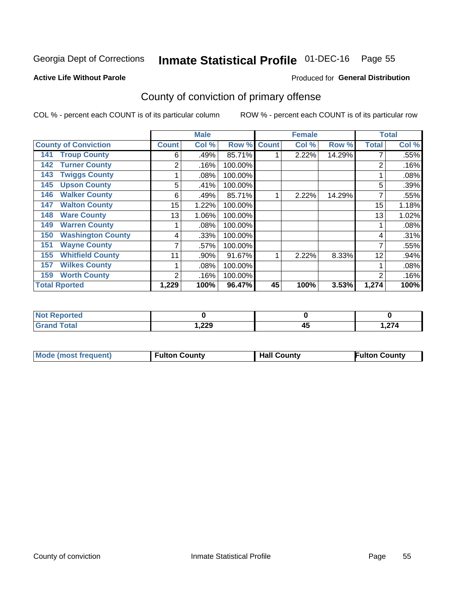# Inmate Statistical Profile 01-DEC-16 Page 55

### **Active Life Without Parole**

### Produced for General Distribution

# County of conviction of primary offense

COL % - percent each COUNT is of its particular column

|                                 |                | <b>Male</b> |         |              | <b>Female</b> |        |              | <b>Total</b> |
|---------------------------------|----------------|-------------|---------|--------------|---------------|--------|--------------|--------------|
| <b>County of Conviction</b>     | <b>Count</b>   | Col %       | Row %   | <b>Count</b> | Col %         | Row %  | <b>Total</b> | Col %        |
| <b>Troup County</b><br>141      | 6              | .49%        | 85.71%  |              | 2.22%         | 14.29% |              | .55%         |
| <b>Turner County</b><br>142     | 2              | .16%        | 100.00% |              |               |        | 2            | .16%         |
| <b>Twiggs County</b><br>143     |                | .08%        | 100.00% |              |               |        |              | .08%         |
| <b>Upson County</b><br>145      | 5              | .41%        | 100.00% |              |               |        | 5            | .39%         |
| <b>Walker County</b><br>146     | 6              | .49%        | 85.71%  |              | 2.22%         | 14.29% |              | .55%         |
| <b>Walton County</b><br>147     | 15             | 1.22%       | 100.00% |              |               |        | 15           | 1.18%        |
| <b>Ware County</b><br>148       | 13             | 1.06%       | 100.00% |              |               |        | 13           | 1.02%        |
| <b>Warren County</b><br>149     |                | .08%        | 100.00% |              |               |        |              | .08%         |
| <b>Washington County</b><br>150 | 4              | .33%        | 100.00% |              |               |        | 4            | .31%         |
| <b>Wayne County</b><br>151      | 7              | .57%        | 100.00% |              |               |        | 7            | .55%         |
| <b>Whitfield County</b><br>155  | 11             | .90%        | 91.67%  |              | 2.22%         | 8.33%  | 12           | .94%         |
| <b>Wilkes County</b><br>157     |                | .08%        | 100.00% |              |               |        |              | .08%         |
| <b>Worth County</b><br>159      | $\overline{2}$ | .16%        | 100.00% |              |               |        | 2            | .16%         |
| <b>Total Rported</b>            | 1,229          | 100%        | 96.47%  | 45           | 100%          | 3.53%  | 1,274        | 100%         |

| rеr   |       |          |             |
|-------|-------|----------|-------------|
| _____ | 229,، | . .<br>∼ | 274<br>,414 |

|  | <b>Mode (most frequent)</b> | <b>Fulton County</b> | <b>Hall County</b> | <b>Fulton County</b> |
|--|-----------------------------|----------------------|--------------------|----------------------|
|--|-----------------------------|----------------------|--------------------|----------------------|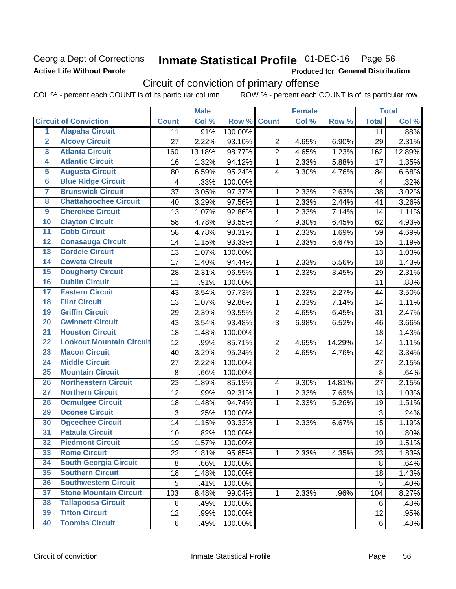## Georgia Dept of Corrections **Active Life Without Parole**

# Inmate Statistical Profile 01-DEC-16 Page 56

Produced for General Distribution

# Circuit of conviction of primary offense

COL % - percent each COUNT is of its particular column ROW % - percent each COUNT is of its particular row

|                         |                                 |              | <b>Male</b> |         |                         | <b>Female</b> |        |              | <b>Total</b> |
|-------------------------|---------------------------------|--------------|-------------|---------|-------------------------|---------------|--------|--------------|--------------|
|                         | <b>Circuit of Conviction</b>    | <b>Count</b> | Col %       | Row %   | <b>Count</b>            | Col %         | Row %  | <b>Total</b> | Col %        |
| 1                       | <b>Alapaha Circuit</b>          | 11           | .91%        | 100.00% |                         |               |        | 11           | .88%         |
| $\overline{2}$          | <b>Alcovy Circuit</b>           | 27           | 2.22%       | 93.10%  | $\overline{2}$          | 4.65%         | 6.90%  | 29           | 2.31%        |
| $\overline{3}$          | <b>Atlanta Circuit</b>          | 160          | 13.18%      | 98.77%  | $\overline{2}$          | 4.65%         | 1.23%  | 162          | 12.89%       |
| 4                       | <b>Atlantic Circuit</b>         | 16           | 1.32%       | 94.12%  | 1                       | 2.33%         | 5.88%  | 17           | 1.35%        |
| $\overline{5}$          | <b>Augusta Circuit</b>          | 80           | 6.59%       | 95.24%  | 4                       | 9.30%         | 4.76%  | 84           | 6.68%        |
| $\overline{\bf{6}}$     | <b>Blue Ridge Circuit</b>       | 4            | .33%        | 100.00% |                         |               |        | 4            | .32%         |
| 7                       | <b>Brunswick Circuit</b>        | 37           | 3.05%       | 97.37%  | 1                       | 2.33%         | 2.63%  | 38           | 3.02%        |
| $\overline{\mathbf{8}}$ | <b>Chattahoochee Circuit</b>    | 40           | 3.29%       | 97.56%  | 1                       | 2.33%         | 2.44%  | 41           | 3.26%        |
| $\overline{9}$          | <b>Cherokee Circuit</b>         | 13           | 1.07%       | 92.86%  | 1                       | 2.33%         | 7.14%  | 14           | 1.11%        |
| 10                      | <b>Clayton Circuit</b>          | 58           | 4.78%       | 93.55%  | 4                       | 9.30%         | 6.45%  | 62           | 4.93%        |
| $\overline{11}$         | <b>Cobb Circuit</b>             | 58           | 4.78%       | 98.31%  | $\mathbf{1}$            | 2.33%         | 1.69%  | 59           | 4.69%        |
| $\overline{12}$         | <b>Conasauga Circuit</b>        | 14           | 1.15%       | 93.33%  | 1                       | 2.33%         | 6.67%  | 15           | 1.19%        |
| 13                      | <b>Cordele Circuit</b>          | 13           | 1.07%       | 100.00% |                         |               |        | 13           | 1.03%        |
| 14                      | <b>Coweta Circuit</b>           | 17           | 1.40%       | 94.44%  | 1                       | 2.33%         | 5.56%  | 18           | 1.43%        |
| $\overline{15}$         | <b>Dougherty Circuit</b>        | 28           | 2.31%       | 96.55%  | 1                       | 2.33%         | 3.45%  | 29           | 2.31%        |
| 16                      | <b>Dublin Circuit</b>           | 11           | .91%        | 100.00% |                         |               |        | 11           | .88%         |
| 17                      | <b>Eastern Circuit</b>          | 43           | 3.54%       | 97.73%  | 1                       | 2.33%         | 2.27%  | 44           | 3.50%        |
| $\overline{18}$         | <b>Flint Circuit</b>            | 13           | 1.07%       | 92.86%  | 1                       | 2.33%         | 7.14%  | 14           | 1.11%        |
| 19                      | <b>Griffin Circuit</b>          | 29           | 2.39%       | 93.55%  | $\overline{2}$          | 4.65%         | 6.45%  | 31           | 2.47%        |
| $\overline{20}$         | <b>Gwinnett Circuit</b>         | 43           | 3.54%       | 93.48%  | 3                       | 6.98%         | 6.52%  | 46           | 3.66%        |
| $\overline{21}$         | <b>Houston Circuit</b>          | 18           | 1.48%       | 100.00% |                         |               |        | 18           | 1.43%        |
| $\overline{22}$         | <b>Lookout Mountain Circuit</b> | 12           | .99%        | 85.71%  | $\overline{2}$          | 4.65%         | 14.29% | 14           | 1.11%        |
| 23                      | <b>Macon Circuit</b>            | 40           | 3.29%       | 95.24%  | $\overline{2}$          | 4.65%         | 4.76%  | 42           | 3.34%        |
| $\overline{24}$         | <b>Middle Circuit</b>           | 27           | 2.22%       | 100.00% |                         |               |        | 27           | 2.15%        |
| $\overline{25}$         | <b>Mountain Circuit</b>         | 8            | .66%        | 100.00% |                         |               |        | $\,8\,$      | .64%         |
| 26                      | <b>Northeastern Circuit</b>     | 23           | 1.89%       | 85.19%  | $\overline{\mathbf{4}}$ | 9.30%         | 14.81% | 27           | 2.15%        |
| $\overline{27}$         | <b>Northern Circuit</b>         | 12           | .99%        | 92.31%  | 1                       | 2.33%         | 7.69%  | 13           | 1.03%        |
| 28                      | <b>Ocmulgee Circuit</b>         | 18           | 1.48%       | 94.74%  | 1                       | 2.33%         | 5.26%  | 19           | 1.51%        |
| 29                      | <b>Oconee Circuit</b>           | 3            | .25%        | 100.00% |                         |               |        | 3            | .24%         |
| 30                      | <b>Ogeechee Circuit</b>         | 14           | 1.15%       | 93.33%  | 1                       | 2.33%         | 6.67%  | 15           | 1.19%        |
| $\overline{31}$         | <b>Pataula Circuit</b>          | 10           | .82%        | 100.00% |                         |               |        | 10           | .80%         |
| 32                      | <b>Piedmont Circuit</b>         | 19           | 1.57%       | 100.00% |                         |               |        | 19           | 1.51%        |
| 33                      | <b>Rome Circuit</b>             | 22           | 1.81%       | 95.65%  | $\mathbf{1}$            | 2.33%         | 4.35%  | 23           | 1.83%        |
| 34                      | <b>South Georgia Circuit</b>    | 8            | .66%        | 100.00% |                         |               |        | 8            | .64%         |
| 35                      | <b>Southern Circuit</b>         | 18           | 1.48%       | 100.00% |                         |               |        | 18           | 1.43%        |
| 36                      | <b>Southwestern Circuit</b>     | 5            | .41%        | 100.00% |                         |               |        | 5            | .40%         |
| 37                      | <b>Stone Mountain Circuit</b>   | 103          | 8.48%       | 99.04%  | 1                       | 2.33%         | .96%   | 104          | 8.27%        |
| 38                      | <b>Tallapoosa Circuit</b>       | 6            | .49%        | 100.00% |                         |               |        | 6            | .48%         |
| 39                      | <b>Tifton Circuit</b>           | 12           | .99%        | 100.00% |                         |               |        | 12           | .95%         |
| 40                      | <b>Toombs Circuit</b>           | 6            | .49%        | 100.00% |                         |               |        | 6            | .48%         |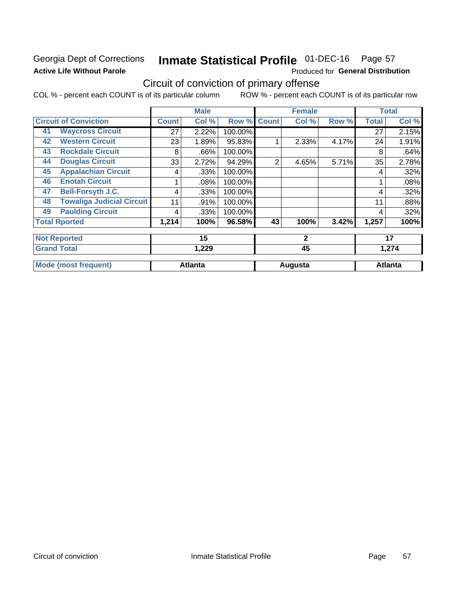# Georgia Dept of Corrections **Active Life Without Parole**

# Inmate Statistical Profile 01-DEC-16 Page 57

Produced for General Distribution

# Circuit of conviction of primary offense

COL % - percent each COUNT is of its particular column ROW % - percent each COUNT is of its particular row

|    |                                  |              | <b>Male</b>    |         |              | <b>Female</b> |       |              | <b>Total</b>   |
|----|----------------------------------|--------------|----------------|---------|--------------|---------------|-------|--------------|----------------|
|    | <b>Circuit of Conviction</b>     | <b>Count</b> | Col %          | Row %   | <b>Count</b> | Col %         | Row % | <b>Total</b> | Col%           |
| 41 | <b>Waycross Circuit</b>          | 27           | 2.22%          | 100.00% |              |               |       | 27           | 2.15%          |
| 42 | <b>Western Circuit</b>           | 23           | 1.89%          | 95.83%  |              | 2.33%         | 4.17% | 24           | 1.91%          |
| 43 | <b>Rockdale Circuit</b>          | 8            | .66%           | 100.00% |              |               |       | 8            | .64%           |
| 44 | <b>Douglas Circuit</b>           | 33           | 2.72%          | 94.29%  | 2            | 4.65%         | 5.71% | 35           | 2.78%          |
| 45 | <b>Appalachian Circuit</b>       | 4            | .33%           | 100.00% |              |               |       | 4            | .32%           |
| 46 | <b>Enotah Circuit</b>            |              | .08%           | 100.00% |              |               |       |              | .08%           |
| 47 | <b>Bell-Forsyth J.C.</b>         | 4            | .33%           | 100.00% |              |               |       | 4            | .32%           |
| 48 | <b>Towaliga Judicial Circuit</b> | 11           | .91%           | 100.00% |              |               |       | 11           | .88%           |
| 49 | <b>Paulding Circuit</b>          | 4            | .33%           | 100.00% |              |               |       | 4            | .32%           |
|    | <b>Total Rported</b>             | 1,214        | 100%           | 96.58%  | 43           | 100%          | 3.42% | 1,257        | 100%           |
|    | <b>Not Reported</b>              |              | 15             |         |              | $\mathbf{2}$  |       |              | 17             |
|    | <b>Grand Total</b>               |              | 1,229          |         |              | 45            |       |              | 1,274          |
|    | <b>Mode (most frequent)</b>      |              | <b>Atlanta</b> |         |              | Augusta       |       |              | <b>Atlanta</b> |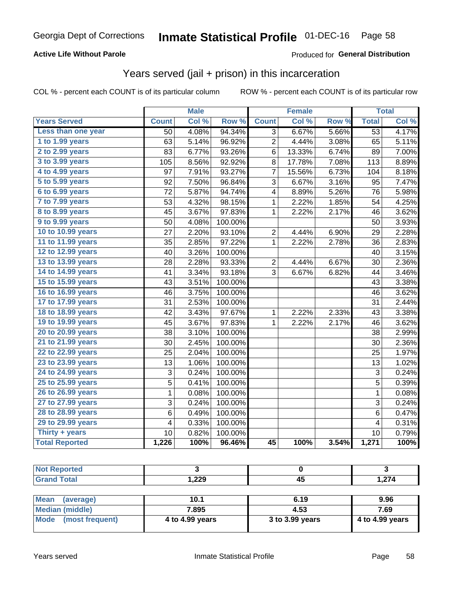## **Active Life Without Parole**

## Produced for General Distribution

# Years served (jail + prison) in this incarceration

COL % - percent each COUNT is of its particular column

|                       |                 | <b>Male</b> |         |                | <b>Female</b> |       |                 | <b>Total</b> |
|-----------------------|-----------------|-------------|---------|----------------|---------------|-------|-----------------|--------------|
| <b>Years Served</b>   | <b>Count</b>    | Col %       | Row %   | <b>Count</b>   | Col %         | Row % | <b>Total</b>    | Col %        |
| Less than one year    | $\overline{50}$ | 4.08%       | 94.34%  | $\overline{3}$ | 6.67%         | 5.66% | $\overline{53}$ | 4.17%        |
| 1 to 1.99 years       | 63              | 5.14%       | 96.92%  | 2              | 4.44%         | 3.08% | 65              | 5.11%        |
| 2 to 2.99 years       | 83              | 6.77%       | 93.26%  | 6              | 13.33%        | 6.74% | 89              | 7.00%        |
| 3 to 3.99 years       | 105             | 8.56%       | 92.92%  | 8              | 17.78%        | 7.08% | 113             | 8.89%        |
| 4 to 4.99 years       | 97              | 7.91%       | 93.27%  | 7              | 15.56%        | 6.73% | 104             | 8.18%        |
| $5$ to $5.99$ years   | 92              | 7.50%       | 96.84%  | 3              | 6.67%         | 3.16% | 95              | 7.47%        |
| 6 to 6.99 years       | 72              | 5.87%       | 94.74%  | 4              | 8.89%         | 5.26% | 76              | 5.98%        |
| 7 to 7.99 years       | 53              | 4.32%       | 98.15%  | 1              | 2.22%         | 1.85% | 54              | 4.25%        |
| 8 to 8.99 years       | 45              | 3.67%       | 97.83%  | $\mathbf{1}$   | 2.22%         | 2.17% | 46              | 3.62%        |
| 9 to 9.99 years       | 50              | 4.08%       | 100.00% |                |               |       | 50              | 3.93%        |
| 10 to 10.99 years     | 27              | 2.20%       | 93.10%  | 2              | 4.44%         | 6.90% | 29              | 2.28%        |
| 11 to 11.99 years     | 35              | 2.85%       | 97.22%  | $\mathbf{1}$   | 2.22%         | 2.78% | 36              | 2.83%        |
| 12 to 12.99 years     | 40              | 3.26%       | 100.00% |                |               |       | 40              | 3.15%        |
| 13 to 13.99 years     | 28              | 2.28%       | 93.33%  | 2              | 4.44%         | 6.67% | 30              | 2.36%        |
| 14 to 14.99 years     | 41              | 3.34%       | 93.18%  | 3              | 6.67%         | 6.82% | 44              | 3.46%        |
| 15 to 15.99 years     | 43              | 3.51%       | 100.00% |                |               |       | 43              | 3.38%        |
| 16 to 16.99 years     | 46              | 3.75%       | 100.00% |                |               |       | 46              | 3.62%        |
| 17 to 17.99 years     | 31              | 2.53%       | 100.00% |                |               |       | 31              | 2.44%        |
| 18 to 18.99 years     | 42              | 3.43%       | 97.67%  | 1              | 2.22%         | 2.33% | 43              | 3.38%        |
| 19 to 19.99 years     | 45              | 3.67%       | 97.83%  | 1              | 2.22%         | 2.17% | 46              | 3.62%        |
| 20 to 20.99 years     | 38              | 3.10%       | 100.00% |                |               |       | 38              | 2.99%        |
| 21 to 21.99 years     | 30              | 2.45%       | 100.00% |                |               |       | 30              | 2.36%        |
| 22 to 22.99 years     | 25              | 2.04%       | 100.00% |                |               |       | 25              | 1.97%        |
| 23 to 23.99 years     | 13              | 1.06%       | 100.00% |                |               |       | 13              | 1.02%        |
| 24 to 24.99 years     | 3               | 0.24%       | 100.00% |                |               |       | 3               | 0.24%        |
| 25 to 25.99 years     | 5               | 0.41%       | 100.00% |                |               |       | 5               | 0.39%        |
| 26 to 26.99 years     | $\mathbf 1$     | 0.08%       | 100.00% |                |               |       | $\mathbf{1}$    | 0.08%        |
| 27 to 27.99 years     | 3               | 0.24%       | 100.00% |                |               |       | 3               | 0.24%        |
| 28 to 28.99 years     | 6               | 0.49%       | 100.00% |                |               |       | 6               | 0.47%        |
| 29 to 29.99 years     | 4               | 0.33%       | 100.00% |                |               |       | 4               | 0.31%        |
| Thirty + years        | 10              | 0.82%       | 100.00% |                |               |       | 10              | 0.79%        |
| <b>Total Reported</b> | 1,226           | 100%        | 96.46%  | 45             | 100%          | 3.54% | 1,271           | 100%         |

| orted<br>NO.<br>.     |              |     |       |
|-----------------------|--------------|-----|-------|
| <b>otal</b><br>$\sim$ | റററ<br>1,ZZJ | - 7 | 1,274 |

| Mean<br>(average)    | 10.1            | 6.19            | 9.96            |
|----------------------|-----------------|-----------------|-----------------|
| Median (middle)      | 7.895           | 4.53            | 7.69            |
| Mode (most frequent) | 4 to 4.99 years | 3 to 3.99 years | 4 to 4.99 years |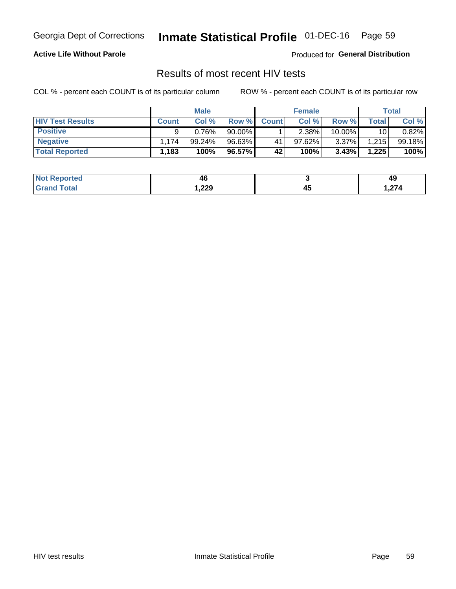# Inmate Statistical Profile 01-DEC-16 Page 59

## **Active Life Without Parole**

Produced for General Distribution

# Results of most recent HIV tests

COL % - percent each COUNT is of its particular column

|                         | <b>Male</b>  |        |           |              | <b>Female</b> | Total    |             |        |
|-------------------------|--------------|--------|-----------|--------------|---------------|----------|-------------|--------|
| <b>HIV Test Results</b> | <b>Count</b> | Col%   | Row %     | <b>Count</b> | Col %         | Row %    | $\tau$ otal | Col %  |
| <b>Positive</b>         | Q            | 0.76%  | $90.00\%$ |              | $2.38\%$      | 10.00%   | 10          | 0.82%  |
| <b>Negative</b>         | .174         | 99.24% | 96.63%    | 41           | 97.62%        | $3.37\%$ | 1,215       | 99.18% |
| <b>Total Reported</b>   | .183         | 100%   | 96.57%    | 42           | 100%          | 3.43%    | 1,225       | 100%   |

| <b>Not Reported</b> | 46     |                    | 49    |
|---------------------|--------|--------------------|-------|
| Total               | 229, ا | $\mathbf{A}$<br>≖∾ | .,274 |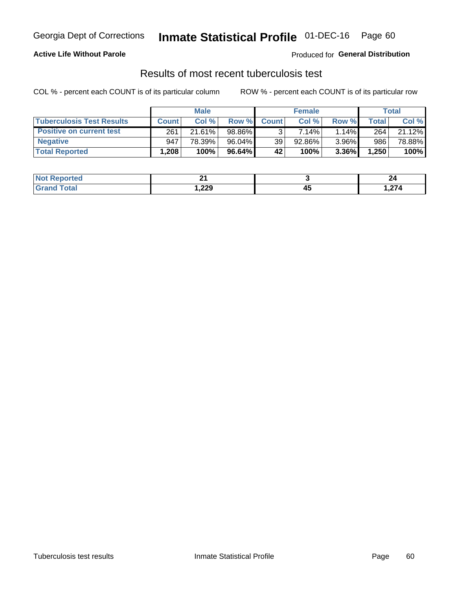# Georgia Dept of Corrections **Inmate Statistical Profile** 01-DEC-16 Page 60

## **Active Life Without Parole**

Produced for **General Distribution**

# Results of most recent tuberculosis test

COL % - percent each COUNT is of its particular column ROW % - percent each COUNT is of its particular row

|                                  | <b>Male</b>  |        |           | <b>Female</b> |        |       | Total |        |
|----------------------------------|--------------|--------|-----------|---------------|--------|-------|-------|--------|
| <b>Tuberculosis Test Results</b> | <b>Count</b> | Col%   | Row %I    | <b>Count</b>  | Col%   | Row % | Total | Col %  |
| <b>Positive on current test</b>  | 261          | 21.61% | 98.86%    |               | 7.14%  | 1.14% | 264   | 21.12% |
| <b>Negative</b>                  | 947          | 78.39% | 96.04%    | 39            | 92.86% | 3.96% | 986   | 78.88% |
| <b>Total Reported</b>            | ٔ 208.،      | 100%   | $96.64\%$ | 42            | 100%   | 3.36% | 1,250 | 100%   |

| <b>Not Reported</b> | п.<br>— — |           | 44   |
|---------------------|-----------|-----------|------|
| <b>Total</b>        | 1,229     | - -<br>45 | 274, |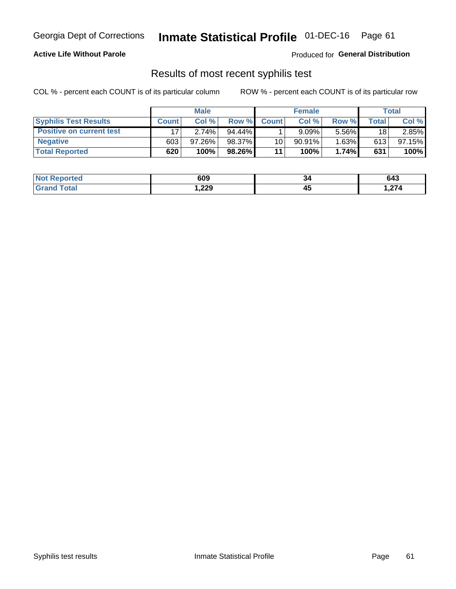# Georgia Dept of Corrections **Inmate Statistical Profile** 01-DEC-16 Page 61

## **Active Life Without Parole**

Produced for **General Distribution**

## Results of most recent syphilis test

COL % - percent each COUNT is of its particular column ROW % - percent each COUNT is of its particular row

|                                 | <b>Male</b>  |           |           | <b>Female</b> |           |          | Total |        |
|---------------------------------|--------------|-----------|-----------|---------------|-----------|----------|-------|--------|
| <b>Syphilis Test Results</b>    | <b>Count</b> | Col%      | Row %I    | <b>Count</b>  | Col %     | Row %    | Total | Col %  |
| <b>Positive on current test</b> |              | 2.74%     | $94.44\%$ |               | 9.09%     | 5.56%    | 18    | 2.85%  |
| <b>Negative</b>                 | 603          | $97.26\%$ | 98.37%    | 10            | $90.91\%$ | $1.63\%$ | 613   | 97.15% |
| <b>Total Reported</b>           | 620          | 100%      | 98.26%    | 11            | 100%      | 1.74%    | 631   | 100%   |

| <b>Not Reported</b>   | 609    | 34 | 643  |
|-----------------------|--------|----|------|
| <b>Total</b><br>Granc | 229, ، | ∼  | ,274 |